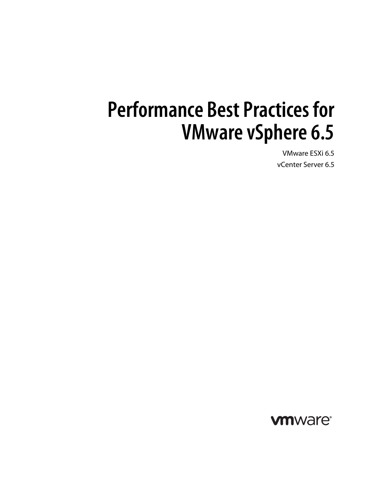# **Performance Best Practices for VMware vSphere 6.5**

VMware ESXi 6.5 vCenter Server 6.5

**vm**ware<sup>®</sup>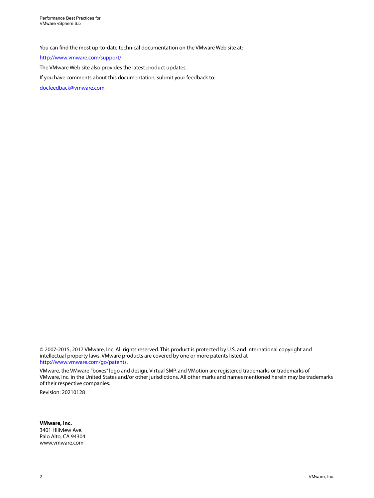You can find the most up-to-date technical documentation on the VMware Web site at:

[http://www.vmware.com/support/](http://www.vmware.com/support)

The VMware Web site also provides the latest product updates.

If you have comments about this documentation, submit your feedback to:

[docfeedback@vmware.com](mailto:docfeedback@vmware.com)

© 2007-2015, 2017 VMware, Inc. All rights reserved. This product is protected by U.S. and [international copyright and](http://www.vmware.com/go/patents)  intellectual property laws. VMware products are covered by one or more patents listed at <http://www.vmware.com/go/patents>.

VMware, the VMware "boxes" logo and design, Virtual SMP, and VMotion are registered trademarks or trademarks of VMware, Inc. in the United States and/or other jurisdictions. All other marks and names mentioned herein may be trademarks of their respective companies.

Revision: 20210128

**VMware, Inc.**

3401 Hillview Ave. Palo Alto, CA 94304 www.vmware.com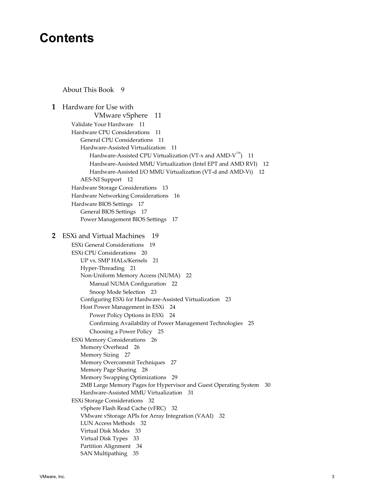# **Contents**

[About This Book 9](#page-8-0)

**[1](#page-10-0)** [Hardware for Use with](#page-10-1) VMware vSphere 11 [Validate Your Hardware 11](#page-10-2) [Hardware CPU Considerations 11](#page-10-3) [General CPU Considerations 11](#page-10-4) [Hardware-Assisted Virtualization 11](#page-10-5) [Hardware-Assisted CPU Virtualization \(VT-x and AMD-V](#page-10-6)<sup>™</sup>) 11 [Hardware-Assisted MMU Virtualization \(Intel EPT and AMD RVI\) 12](#page-11-0) [Hardware-Assisted I/O MMU Virtualization \(VT-d and AMD-Vi\) 12](#page-11-1) [AES-NI Support 12](#page-11-2) [Hardware Storage Considerations 13](#page-12-0) [Hardware Networking Considerations 16](#page-15-0) [Hardware BIOS Settings 17](#page-16-0) [General BIOS Settings 17](#page-16-1) [Power Management BIOS Settings 17](#page-16-2) **[2](#page-18-0)** [ESXi and Virtual Machines 19](#page-18-1) [ESXi General Considerations 19](#page-18-2) [ESXi CPU Considerations 20](#page-19-0) [UP vs. SMP HALs/Kernels 21](#page-20-0) [Hyper-Threading 21](#page-20-1) [Non-Uniform Memory Access \(NUMA\) 22](#page-21-0) [Manual NUMA Configuration 22](#page-21-1) [Snoop Mode Selection 23](#page-22-0) [Configuring ESXi for Hardware-Assisted Virtualization 23](#page-22-1) [Host Power Management in ESXi 24](#page-23-0) [Power Policy Options in ESXi 24](#page-23-1) [Confirming Availability of Power Management Technologies 25](#page-24-0) [Choosing a Power Policy 25](#page-24-1) [ESXi Memory Considerations 26](#page-25-0) [Memory Overhead 26](#page-25-1) [Memory Sizing 27](#page-26-0) [Memory Overcommit Techniques 27](#page-26-1) [Memory Page Sharing 28](#page-27-0) [Memory Swapping Optimizations 29](#page-28-0) [2MB Large Memory Pages for Hypervisor and Guest Operating System 30](#page-29-0) [Hardware-Assisted MMU Virtualization 31](#page-30-0) [ESXi Storage Considerations 32](#page-31-0) [vSphere Flash Read Cache \(vFRC\) 32](#page-31-1) [VMware vStorage APIs for Array Integration \(VAAI\) 32](#page-31-2) [LUN Access Methods 32](#page-31-3) [Virtual Disk Modes 33](#page-32-0) [Virtual Disk Types 33](#page-32-1) [Partition Alignment 34](#page-33-0) [SAN Multipathing 35](#page-34-0)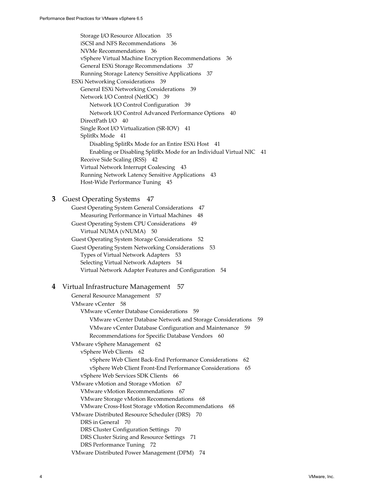[Storage I/O Resource Allocation 35](#page-34-1) [iSCSI and NFS Recommendations 36](#page-35-0) [NVMe Recommendations 36](#page-35-1) [vSphere Virtual Machine Encryption Recommendations 36](#page-35-2) [General ESXi Storage Recommendations 37](#page-36-0) [Running Storage Latency Sensitive Applications 37](#page-36-1) [ESXi Networking Considerations 39](#page-38-0) [General ESXi Networking Considerations 39](#page-38-1) [Network I/O Control \(NetIOC\) 39](#page-38-2) [Network I/O Control Configuration 39](#page-38-3) [Network I/O Control Advanced Performance Options 40](#page-39-0) [DirectPath I/O 40](#page-39-1) [Single Root I/O Virtualization \(SR-IOV\) 41](#page-40-0) [SplitRx Mode 41](#page-40-1) [Disabling SplitRx Mode for an Entire ESXi Host 41](#page-40-2) [Enabling or Disabling SplitRx Mode for an Individual Virtual NIC 41](#page-40-3) [Receive Side Scaling \(RSS\) 42](#page-41-0) [Virtual Network Interrupt Coalescing 43](#page-42-0) [Running Network Latency Sensitive Applications 43](#page-42-1) [Host-Wide Performance Tuning 45](#page-44-0)

#### **[3](#page-46-0)** [Guest Operating Systems 47](#page-46-1)

[Guest Operating System General Considerations 47](#page-46-2) [Measuring Performance in Virtual Machines 48](#page-47-0) [Guest Operating System CPU Considerations 49](#page-48-0) [Virtual NUMA \(vNUMA\) 50](#page-49-0) [Guest Operating System Storage Considerations 52](#page-51-0) [Guest Operating System Networking Considerations 53](#page-52-0) [Types of Virtual Network Adapters 53](#page-52-1) [Selecting Virtual Network Adapters 54](#page-53-0) [Virtual Network Adapter Features and Configuration 54](#page-53-1)

#### **[4](#page-56-0)** [Virtual Infrastructure Management 57](#page-56-1)

[General Resource Management 57](#page-56-2) [VMware vCenter 58](#page-57-0) [VMware vCenter Database Considerations 59](#page-58-0) [VMware vCenter Database Network and Storage Considerations 59](#page-58-1) [VMware vCenter Database Configuration and Maintenance 59](#page-58-2) [Recommendations for Specific Database Vendors 60](#page-59-0) [VMware vSphere Management 62](#page-61-0) [vSphere Web Clients 62](#page-61-1) [vSphere Web Client Back-End Performance Considerations 62](#page-61-2) [vSphere Web Client Front-End Performance Considerations 65](#page-64-0) [vSphere Web Services SDK Clients 66](#page-65-0) [VMware vMotion and Storage vMotion 67](#page-66-0) [VMware vMotion Recommendations 67](#page-66-1) [VMware Storage vMotion Recommendations 68](#page-67-0) [VMware Cross-Host Storage vMotion Recommendations 68](#page-67-1) [VMware Distributed Resource Scheduler \(DRS\) 70](#page-69-0) [DRS in General 70](#page-69-1) [DRS Cluster Configuration Settings 70](#page-69-2) [DRS Cluster Sizing and Resource Settings 71](#page-70-0) [DRS Performance Tuning 72](#page-71-0) [VMware Distributed Power Management \(DPM\) 74](#page-73-0)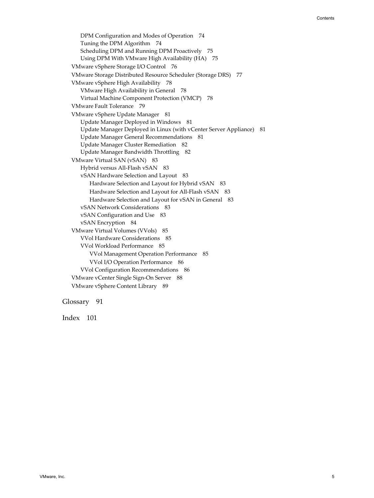[DPM Configuration and Modes of Operation 74](#page-73-1) [Tuning the DPM Algorithm 74](#page-73-2) [Scheduling DPM and Running DPM Proactively 75](#page-74-0) [Using DPM With VMware High Availability \(HA\) 75](#page-74-1) [VMware vSphere Storage I/O Control 76](#page-75-0) [VMware Storage Distributed Resource Scheduler \(Storage DRS\) 77](#page-76-0) [VMware vSphere High Availability 78](#page-77-0) [VMware High Availability in General 78](#page-77-1) [Virtual Machine Component Protection \(VMCP\) 78](#page-77-2) [VMware Fault Tolerance 79](#page-78-0) [VMware vSphere Update Manager 81](#page-80-0) [Update Manager Deployed in Windows 81](#page-80-1) [Update Manager Deployed in Linux \(with vCenter Server Appliance\) 81](#page-80-2) [Update Manager General Recommendations 81](#page-80-3) [Update Manager Cluster Remediation 82](#page-81-0) [Update Manager Bandwidth Throttling 82](#page-81-1) [VMware Virtual SAN \(vSAN\) 83](#page-82-0) [Hybrid versus All-Flash vSAN 83](#page-82-1) [vSAN Hardware Selection and Layout 83](#page-82-2) [Hardware Selection and Layout for Hybrid vSAN 83](#page-82-3) [Hardware Selection and Layout for All-Flash vSAN 83](#page-82-4) [Hardware Selection and Layout for vSAN in General 83](#page-82-5) [vSAN Network Considerations 83](#page-82-6) [vSAN Configuration and Use 83](#page-82-7) [vSAN Encryption 84](#page-83-0) [VMware Virtual Volumes \(VVols\) 85](#page-84-0) [VVol Hardware Considerations 85](#page-84-1) [VVol Workload Performance 85](#page-84-2) [VVol Management Operation Performance 85](#page-84-3) [VVol I/O Operation Performance 86](#page-85-0) [VVol Configuration Recommendations 86](#page-85-1) [VMware vCenter Single Sign-On Server 88](#page-87-0) [VMware vSphere Content Library 89](#page-88-0)

[Glossary 91](#page-90-0)

[Index 101](#page-100-0)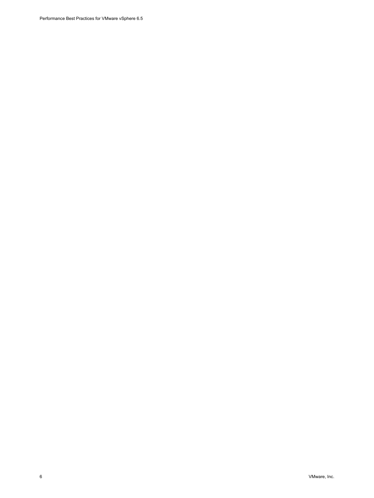Performance Best Practices for VMware vSphere 6.5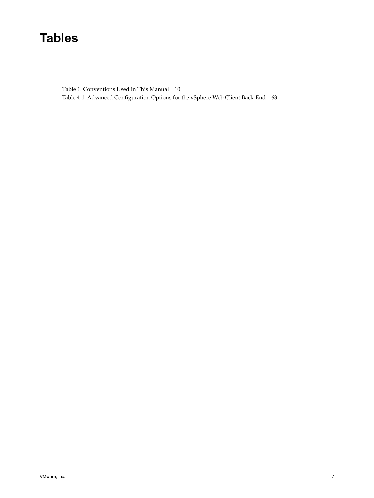# **Tables**

[Table 1. Conventions Used in This Manual 10](#page-9-0) [Table 4-1. Advanced Configuration Options for the vSphere Web Client Back-End 63](#page-62-0)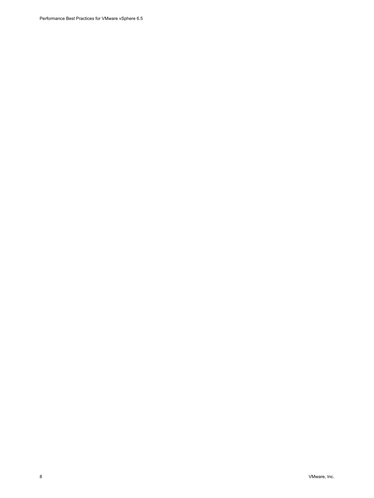Performance Best Practices for VMware vSphere 6.5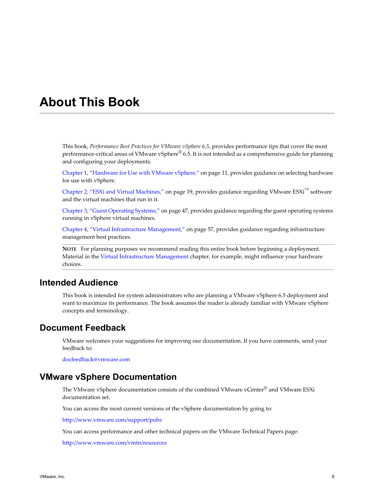# <span id="page-8-0"></span>**About This Book**

This book, *Performance Best Practices for VMware vSphere 6.5*, provides performance tips that cover the most performance-critical areas of VMware vSphere® 6.5. It is not intended as a comprehensive guide for planning and configuring your deployments.

[Chapter 1, "Hardware for Use with VMware vSphere," on page 11](#page-10-7), provides guidance on selecting hardware for use with vSphere.

[Chapter 2, "ESXi and Virtual Machines," on page 19,](#page-18-3) provides guidance regarding VMware ESXi™ software and the virtual machines that run in it.

[Chapter 3, "Guest Operating Systems," on page 47](#page-46-3), provides guidance regarding the guest operating systems running in vSphere virtual machines.

[Chapter 4, "Virtual Infrastructure Management," on page 57,](#page-56-3) provides guidance regarding infrastructure management best practices.

**NOTE** For planning purposes we recommend reading this entire book before beginning a deployment. Material in the [Virtual Infrastructure Management](#page-56-3) chapter, for example, might influence your hardware choices.

#### **Intended Audience**

This book is intended for system administrators who are planning a VMware vSphere 6.5 deployment and want to maximize its performance. The book assumes the reader is already familiar with VMware vSphere concepts and terminology.

#### **Document Feedback**

VMware welcomes your suggestions for improving our documentation. If you have comments, send your feedback to:

[docfeedback@vmware.com](mailto:docfeedback@vmware.com)

#### **VMware vSphere Documentation**

The VMware vSphere documentation consists of the combined VMware vCenter® and VMware ESXi documentation set.

You can access the most current versions of the vSphere documentation by going to:

<http://www.vmware.com/support/pubs>

You can access performance and other technical papers on the VMware Technical Papers page:

http://www.vmware.com/vmtn/resources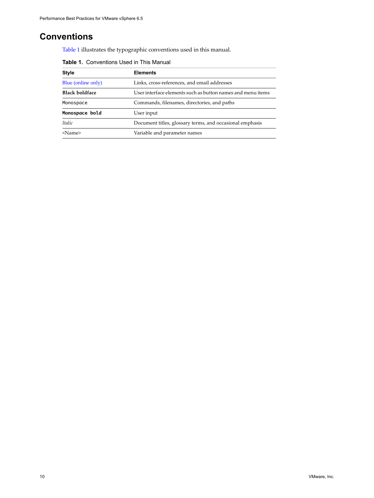# **Conventions**

[Table 1](#page-9-0) illustrates the typographic conventions used in this manual.

<span id="page-9-0"></span>**Table 1.** Conventions Used in This Manual

| <b>Style</b>          | <b>Elements</b>                                             |
|-----------------------|-------------------------------------------------------------|
| Blue (online only)    | Links, cross-references, and email addresses                |
| <b>Black boldface</b> | User interface elements such as button names and menu items |
| Monospace             | Commands, filenames, directories, and paths                 |
| Monospace bold        | User input                                                  |
| <i>Italic</i>         | Document titles, glossary terms, and occasional emphasis    |
| <name></name>         | Variable and parameter names                                |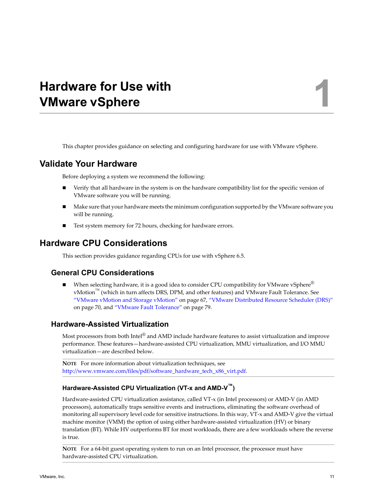# <span id="page-10-7"></span><span id="page-10-1"></span><span id="page-10-0"></span>**Hardware for Use with VMware vSphere 1**

This chapter provides guidance on selecting and configuring hardware for use with VMware vSphere.

# <span id="page-10-2"></span>**Validate Your Hardware**

Before deploying a system we recommend the following:

- Verify that all hardware in the system is on the hardware compatibility list for the specific version of VMware software you will be running.
- Make sure that your hardware meets the minimum configuration supported by the VMware software you will be running.
- Test system memory for 72 hours, checking for hardware errors.

# <span id="page-10-3"></span>**Hardware CPU Considerations**

This section provides guidance regarding CPUs for use with vSphere 6.5.

#### <span id="page-10-4"></span>**General CPU Considerations**

When selecting hardware, it is a good idea to consider CPU compatibility for VMware vSphere<sup>®</sup> vMotion™ (which in turn affects DRS, DPM, and other features) and VMware Fault Tolerance. See ["VMware vMotion and Storage vMotion" on page 67](#page-66-2), ["VMware Distributed Resource Scheduler \(DRS\)"](#page-69-3) [on page 70,](#page-69-3) and ["VMware Fault Tolerance" on page 79](#page-78-1).

#### <span id="page-10-8"></span><span id="page-10-5"></span>**Hardware-Assisted Virtualization**

Most processors from both Intel $^{\circledR}$  and AMD include hardware features to assist virtualization and improve performance. These features—hardware-assisted CPU virtualization, MMU virtualization, and I/O MMU virtualization—are described below.

**NOTE** For more information about virtualization techniques, see http://www.vmware.com/files/pdf/software\_hardware\_tech\_x86\_virt.pdf.

#### <span id="page-10-6"></span>**Hardware-Assisted CPU Virtualization (VT-x and AMD-V™)**

Hardware-assisted CPU virtualization assistance, called VT-x (in Intel processors) or AMD-V (in AMD processors), automatically traps sensitive events and instructions, eliminating the software overhead of monitoring all supervisory level code for sensitive instructions. In this way, VT-x and AMD-V give the virtual machine monitor (VMM) the option of using either hardware-assisted virtualization (HV) or binary translation (BT). While HV outperforms BT for most workloads, there are a few workloads where the reverse is true.

**NOTE** For a 64-bit guest operating system to run on an Intel processor, the processor must have hardware-assisted CPU virtualization.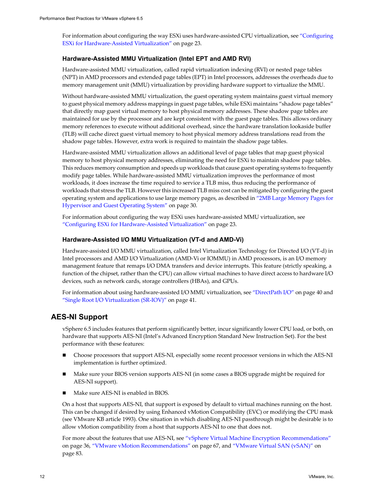For information about configuring the way ESXi uses hardware-assisted CPU virtualization, see ["Configuring](#page-22-2)  [ESXi for Hardware-Assisted Virtualization" on page 23](#page-22-2).

#### <span id="page-11-3"></span><span id="page-11-0"></span>**Hardware-Assisted MMU Virtualization (Intel EPT and AMD RVI)**

Hardware-assisted MMU virtualization, called rapid virtualization indexing (RVI) or nested page tables (NPT) in AMD processors and extended page tables (EPT) in Intel processors, addresses the overheads due to memory management unit (MMU) virtualization by providing hardware support to virtualize the MMU.

Without hardware-assisted MMU virtualization, the guest operating system maintains guest virtual memory to guest physical memory address mappings in guest page tables, while ESXi maintains "shadow page tables" that directly map guest virtual memory to host physical memory addresses. These shadow page tables are maintained for use by the processor and are kept consistent with the guest page tables. This allows ordinary memory references to execute without additional overhead, since the hardware translation lookaside buffer (TLB) will cache direct guest virtual memory to host physical memory address translations read from the shadow page tables. However, extra work is required to maintain the shadow page tables.

Hardware-assisted MMU virtualization allows an additional level of page tables that map guest physical memory to host physical memory addresses, eliminating the need for ESXi to maintain shadow page tables. This reduces memory consumption and speeds up workloads that cause guest operating systems to frequently modify page tables. While hardware-assisted MMU virtualization improves the performance of most workloads, it does increase the time required to service a TLB miss, thus reducing the performance of workloads that stress the TLB. However this increased TLB miss cost can be mitigated by configuring the guest operating system and applications to use large memory pages, as described in ["2MB Large Memory Pages for](#page-29-1)  [Hypervisor and Guest Operating System" on page 30](#page-29-1).

For information about configuring the way ESXi uses hardware-assisted MMU virtualization, see ["Configuring ESXi for Hardware-Assisted Virtualization" on page 23.](#page-22-2)

#### <span id="page-11-1"></span>**Hardware-Assisted I/O MMU Virtualization (VT-d and AMD-Vi)**

Hardware-assisted I/O MMU virtualization, called Intel Virtualization Technology for Directed I/O (VT-d) in Intel processors and AMD I/O Virtualization (AMD-Vi or IOMMU) in AMD processors, is an I/O memory management feature that remaps I/O DMA transfers and device interrupts. This feature (strictly speaking, a function of the chipset, rather than the CPU) can allow virtual machines to have direct access to hardware I/O devices, such as network cards, storage controllers (HBAs), and GPUs.

For information about using hardware-assisted I/O MMU virtualization, see ["DirectPath I/O" on page 40](#page-39-2) and ["Single Root I/O Virtualization \(SR-IOV\)" on page 41.](#page-40-4)

#### <span id="page-11-4"></span><span id="page-11-2"></span>**AES-NI Support**

vSphere 6.5 includes features that perform significantly better, incur significantly lower CPU load, or both, on hardware that supports AES-NI (Intel's Advanced Encryption Standard New Instruction Set). For the best performance with these features:

- Choose processors that support AES-NI, especially some recent processor versions in which the AES-NI implementation is further optimized.
- Make sure your BIOS version supports AES-NI (in some cases a BIOS upgrade might be required for AES-NI support).
- Make sure AES-NI is enabled in BIOS.

On a host that supports AES-NI, that support is exposed by default to virtual machines running on the host. This can be changed if desired by using Enhanced vMotion Compatibility (EVC) or modifying the CPU mask (see VMware KB article 1993). One situation in which disabling AES-NI passthrough might be desirable is to allow vMotion compatibility from a host that supports AES-NI to one that does not.

For more about the features that use AES-NI, see ["vSphere Virtual Machine Encryption Recommendations"](#page-35-3) [on page 36,](#page-35-3) ["VMware vMotion Recommendations" on page 67,](#page-66-3) and "VMware Virtual SAN (vSAN)" on [page 83](#page-82-8).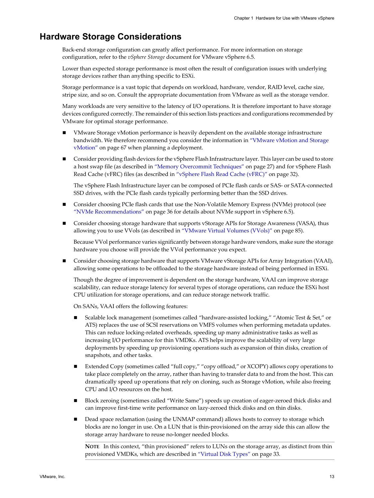## <span id="page-12-1"></span><span id="page-12-0"></span>**Hardware Storage Considerations**

Back-end storage configuration can greatly affect performance. For more information on storage configuration, refer to the *vSphere Storage* document for VMware vSphere 6.5.

Lower than expected storage performance is most often the result of configuration issues with underlying storage devices rather than anything specific to ESXi.

Storage performance is a vast topic that depends on workload, hardware, vendor, RAID level, cache size, stripe size, and so on. Consult the appropriate documentation from VMware as well as the storage vendor.

Many workloads are very sensitive to the latency of I/O operations. It is therefore important to have storage devices configured correctly. The remainder of this section lists practices and configurations recommended by VMware for optimal storage performance.

- VMware Storage vMotion performance is heavily dependent on the available storage infrastructure bandwidth. We therefore recommend you consider the information in ["VMware vMotion and Storage](#page-66-2)  [vMotion" on page 67](#page-66-2) when planning a deployment.
- Consider providing flash devices for the vSphere Flash Infrastructure layer. This layer can be used to store a host swap file (as described in ["Memory Overcommit Techniques" on page 27](#page-26-2)) and for vSphere Flash Read Cache (vFRC) files (as described in ["vSphere Flash Read Cache \(vFRC\)" on page 32\)](#page-31-4).

The vSphere Flash Infrastructure layer can be composed of PCIe flash cards or SAS- or SATA-connected SSD drives, with the PCIe flash cards typically performing better than the SSD drives.

- Consider choosing PCIe flash cards that use the Non-Volatile Memory Express (NVMe) protocol (see ["NVMe Recommendations" on page 36](#page-35-4) for details about NVMe support in vSphere 6.5).
- Consider choosing storage hardware that supports vStorage APIs for Storage Awareness (VASA), thus allowing you to use VVols (as described in ["VMware Virtual Volumes \(VVols\)" on page 85\)](#page-84-4).

Because VVol performance varies significantly between storage hardware vendors, make sure the storage hardware you choose will provide the VVol performance you expect.

 Consider choosing storage hardware that supports VMware vStorage APIs for Array Integration (VAAI), allowing some operations to be offloaded to the storage hardware instead of being performed in ESXi.

Though the degree of improvement is dependent on the storage hardware, VAAI can improve storage scalability, can reduce storage latency for several types of storage operations, can reduce the ESXi host CPU utilization for storage operations, and can reduce storage network traffic.

On SANs, VAAI offers the following features:

- Scalable lock management (sometimes called "hardware-assisted locking," "Atomic Test & Set," or ATS) replaces the use of SCSI reservations on VMFS volumes when performing metadata updates. This can reduce locking-related overheads, speeding up many administrative tasks as well as increasing I/O performance for thin VMDKs. ATS helps improve the scalability of very large deployments by speeding up provisioning operations such as expansion of thin disks, creation of snapshots, and other tasks.
- Extended Copy (sometimes called "full copy," "copy offload," or XCOPY) allows copy operations to take place completely on the array, rather than having to transfer data to and from the host. This can dramatically speed up operations that rely on cloning, such as Storage vMotion, while also freeing CPU and I/O resources on the host.
- Block zeroing (sometimes called "Write Same") speeds up creation of eager-zeroed thick disks and can improve first-time write performance on lazy-zeroed thick disks and on thin disks.
- Dead space reclamation (using the UNMAP command) allows hosts to convey to storage which blocks are no longer in use. On a LUN that is thin-provisioned on the array side this can allow the storage array hardware to reuse no-longer needed blocks.

**NOTE** In this context, "thin provisioned" refers to LUNs on the storage array, as distinct from thin provisioned VMDKs, which are described in ["Virtual Disk Types" on page 33](#page-32-2).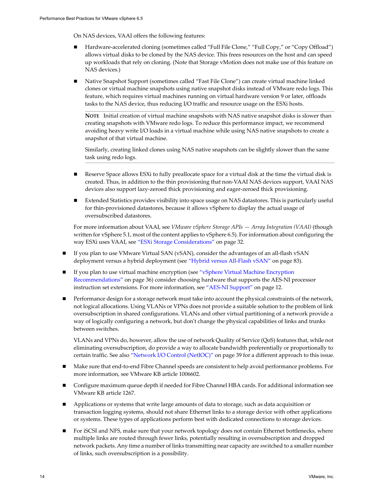On NAS devices, VAAI offers the following features:

- Hardware-accelerated cloning (sometimes called "Full File Clone," "Full Copy," or "Copy Offload") allows virtual disks to be cloned by the NAS device. This frees resources on the host and can speed up workloads that rely on cloning. (Note that Storage vMotion does not make use of this feature on NAS devices.)
- Native Snapshot Support (sometimes called "Fast File Clone") can create virtual machine linked clones or virtual machine snapshots using native snapshot disks instead of VMware redo logs. This feature, which requires virtual machines running on virtual hardware version 9 or later, offloads tasks to the NAS device, thus reducing I/O traffic and resource usage on the ESXi hosts.

**NOTE** Initial creation of virtual machine snapshots with NAS native snapshot disks is slower than creating snapshots with VMware redo logs. To reduce this performance impact, we recommend avoiding heavy write I/O loads in a virtual machine while using NAS native snapshots to create a snapshot of that virtual machine.

Similarly, creating linked clones using NAS native snapshots can be slightly slower than the same task using redo logs.

- Reserve Space allows ESXi to fully preallocate space for a virtual disk at the time the virtual disk is created. Thus, in addition to the thin provisioning that non-VAAI NAS devices support, VAAI NAS devices also support lazy-zeroed thick provisioning and eager-zeroed thick provisioning.
- Extended Statistics provides visibility into space usage on NAS datastores. This is particularly useful for thin-provisioned datastores, because it allows vSphere to display the actual usage of oversubscribed datastores.

For more information about VAAI, see *VMware vSphere Storage APIs — Array Integration (VAAI)* (though written for vSphere 5.1, most of the content applies to vSphere 6.5). For information about configuring the way ESXi uses VAAI, see ["ESXi Storage Considerations" on page 32](#page-31-5).

- If you plan to use VMware Virtual SAN (vSAN), consider the advantages of an all-flash vSAN deployment versus a hybrid deployment (see ["Hybrid versus All-Flash vSAN" on page 83](#page-82-9)).
- If you plan to use virtual machine encryption (see ["vSphere Virtual Machine Encryption](#page-35-3)  [Recommendations" on page 36\)](#page-35-3) consider choosing hardware that supports the AES-NI processor instruction set extensions. For more information, see ["AES-NI Support" on page 12.](#page-11-2)
- Performance design for a storage network must take into account the physical constraints of the network, not logical allocations. Using VLANs or VPNs does not provide a suitable solution to the problem of link oversubscription in shared configurations. VLANs and other virtual partitioning of a network provide a way of logically configuring a network, but don't change the physical capabilities of links and trunks between switches.

VLANs and VPNs do, however, allow the use of network Quality of Service (QoS) features that, while not eliminating oversubscription, do provide a way to allocate bandwidth preferentially or proportionally to certain traffic. See also ["Network I/O Control \(NetIOC\)" on page 39](#page-38-4) for a different approach to this issue.

- Make sure that end-to-end Fibre Channel speeds are consistent to help avoid performance problems. For more information, see VMware KB article 1006602.
- Configure maximum queue depth if needed for Fibre Channel HBA cards. For additional information see VMware KB article 1267.
- Applications or systems that write large amounts of data to storage, such as data acquisition or transaction logging systems, should not share Ethernet links to a storage device with other applications or systems. These types of applications perform best with dedicated connections to storage devices.
- For iSCSI and NFS, make sure that your network topology does not contain Ethernet bottlenecks, where multiple links are routed through fewer links, potentially resulting in oversubscription and dropped network packets. Any time a number of links transmitting near capacity are switched to a smaller number of links, such oversubscription is a possibility.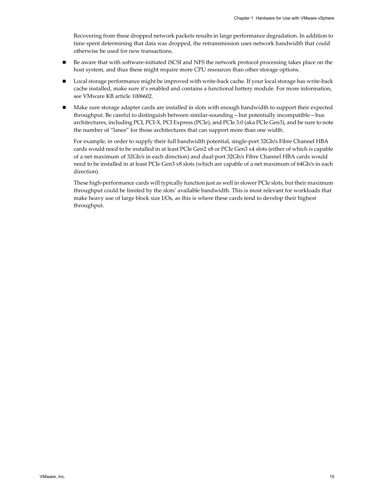Recovering from these dropped network packets results in large performance degradation. In addition to time spent determining that data was dropped, the retransmission uses network bandwidth that could otherwise be used for new transactions.

- Be aware that with software-initiated iSCSI and NFS the network protocol processing takes place on the host system, and thus these might require more CPU resources than other storage options.
- Local storage performance might be improved with write-back cache. If your local storage has write-back cache installed, make sure it's enabled and contains a functional battery module. For more information, see VMware KB article 1006602.
- Make sure storage adapter cards are installed in slots with enough bandwidth to support their expected throughput. Be careful to distinguish between similar-sounding—but potentially incompatible—bus architectures, including PCI, PCI-X, PCI Express (PCIe), and PCIe 3.0 (aka PCIe Gen3), and be sure to note the number of "lanes" for those architectures that can support more than one width.

For example, in order to supply their full bandwidth potential, single-port 32Gb/s Fibre Channel HBA cards would need to be installed in at least PCIe Gen2 x8 or PCIe Gen3 x4 slots (either of which is capable of a net maximum of 32Gb/s in each direction) and dual-port 32Gb/s Fibre Channel HBA cards would need to be installed in at least PCIe Gen3 x8 slots (which are capable of a net maximum of 64Gb/s in each direction).

These high-performance cards will typically function just as well in slower PCIe slots, but their maximum throughput could be limited by the slots' available bandwidth. This is most relevant for workloads that make heavy use of large block size I/Os, as this is where these cards tend to develop their highest throughput.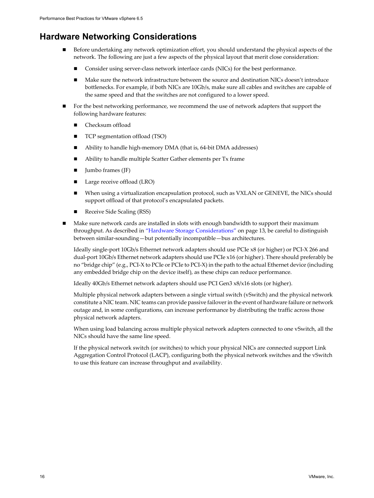# <span id="page-15-0"></span>**Hardware Networking Considerations**

- Before undertaking any network optimization effort, you should understand the physical aspects of the network. The following are just a few aspects of the physical layout that merit close consideration:
	- Consider using server-class network interface cards (NICs) for the best performance.
	- Make sure the network infrastructure between the source and destination NICs doesn't introduce bottlenecks. For example, if both NICs are 10Gb/s, make sure all cables and switches are capable of the same speed and that the switches are not configured to a lower speed.
- For the best networking performance, we recommend the use of network adapters that support the following hardware features:
	- Checksum offload
	- TCP segmentation offload (TSO)
	- Ability to handle high-memory DMA (that is, 64-bit DMA addresses)
	- Ability to handle multiple Scatter Gather elements per Tx frame
	- Jumbo frames (JF)
	- Large receive offload (LRO)
	- When using a virtualization encapsulation protocol, such as VXLAN or GENEVE, the NICs should support offload of that protocol's encapsulated packets.
	- Receive Side Scaling (RSS)
- Make sure network cards are installed in slots with enough bandwidth to support their maximum throughput. As described in ["Hardware Storage Considerations" on page 13](#page-12-0), be careful to distinguish between similar-sounding—but potentially incompatible—bus architectures.

Ideally single-port 10Gb/s Ethernet network adapters should use PCIe x8 (or higher) or PCI-X 266 and dual-port 10Gb/s Ethernet network adapters should use PCIe x16 (or higher). There should preferably be no "bridge chip" (e.g., PCI-X to PCIe or PCIe to PCI-X) in the path to the actual Ethernet device (including any embedded bridge chip on the device itself), as these chips can reduce performance.

Ideally 40Gb/s Ethernet network adapters should use PCI Gen3 x8/x16 slots (or higher).

Multiple physical network adapters between a single virtual switch (vSwitch) and the physical network constitute a NIC team. NIC teams can provide passive failover in the event of hardware failure or network outage and, in some configurations, can increase performance by distributing the traffic across those physical network adapters.

When using load balancing across multiple physical network adapters connected to one vSwitch, all the NICs should have the same line speed.

If the physical network switch (or switches) to which your physical NICs are connected support Link Aggregation Control Protocol (LACP), configuring both the physical network switches and the vSwitch to use this feature can increase throughput and availability.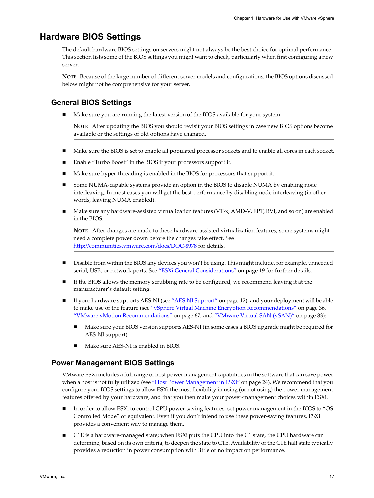# <span id="page-16-3"></span><span id="page-16-0"></span>**Hardware BIOS Settings**

The default hardware BIOS settings on servers might not always be the best choice for optimal performance. This section lists some of the BIOS settings you might want to check, particularly when first configuring a new server.

**NOTE** Because of the large number of different server models and configurations, the BIOS options discussed below might not be comprehensive for your server.

#### <span id="page-16-1"></span>**General BIOS Settings**

Make sure you are running the latest version of the BIOS available for your system.

**NOTE** After updating the BIOS you should revisit your BIOS settings in case new BIOS options become available or the settings of old options have changed.

- Make sure the BIOS is set to enable all populated processor sockets and to enable all cores in each socket.
- Enable "Turbo Boost" in the BIOS if your processors support it.
- Make sure hyper-threading is enabled in the BIOS for processors that support it.
- Some NUMA-capable systems provide an option in the BIOS to disable NUMA by enabling node interleaving. In most cases you will get the best performance by disabling node interleaving (in other words, leaving NUMA enabled).
- Make sure any hardware-assisted virtualization features (VT-x, AMD-V, EPT, RVI, and so on) are enabled in the BIOS.

**NOTE** After changes are made to these hardware-assisted virtualization features, some systems might need a complete power down before the changes take effect. See http://communities.vmware.com/docs/DOC-8978 for details.

- Disable from within the BIOS any devices you won't be using. This might include, for example, unneeded serial, USB, or network ports. See ["ESXi General Considerations" on page 19](#page-18-4) for further details.
- If the BIOS allows the memory scrubbing rate to be configured, we recommend leaving it at the manufacturer's default setting.
- If your hardware supports AES-NI (see ["AES-NI Support" on page 12](#page-11-2)), and your deployment will be able to make use of the feature (see ["vSphere Virtual Machine Encryption Recommendations" on page 36,](#page-35-3) ["VMware vMotion Recommendations" on page 67](#page-66-3), and ["VMware Virtual SAN \(vSAN\)" on page 83](#page-82-8)):
	- Make sure your BIOS version supports AES-NI (in some cases a BIOS upgrade might be required for AES-NI support)
	- Make sure AES-NI is enabled in BIOS.

#### <span id="page-16-2"></span>**Power Management BIOS Settings**

VMware ESXi includes a full range of host power management capabilities in the software that can save power when a host is not fully utilized (see ["Host Power Management in ESXi" on page 24](#page-23-2)). We recommend that you configure your BIOS settings to allow ESXi the most flexibility in using (or not using) the power management features offered by your hardware, and that you then make your power-management choices within ESXi.

- In order to allow ESXi to control CPU power-saving features, set power management in the BIOS to "OS Controlled Mode" or equivalent. Even if you don't intend to use these power-saving features, ESXi provides a convenient way to manage them.
- C1E is a hardware-managed state; when ESXi puts the CPU into the C1 state, the CPU hardware can determine, based on its own criteria, to deepen the state to C1E. Availability of the C1E halt state typically provides a reduction in power consumption with little or no impact on performance.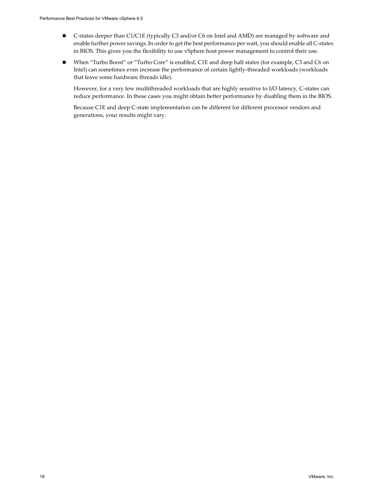- C-states deeper than C1/C1E (typically C3 and/or C6 on Intel and AMD) are managed by software and enable further power savings. In order to get the best performance per watt, you should enable all C-states in BIOS. This gives you the flexibility to use vSphere host power management to control their use.
- When "Turbo Boost" or "Turbo Core" is enabled, C1E and deep halt states (for example, C3 and C6 on Intel) can sometimes even increase the performance of certain lightly-threaded workloads (workloads that leave some hardware threads idle).

However, for a very few multithreaded workloads that are highly sensitive to I/O latency, C-states can reduce performance. In these cases you might obtain better performance by disabling them in the BIOS.

Because C1E and deep C-state implementation can be different for different processor vendors and generations, your results might vary.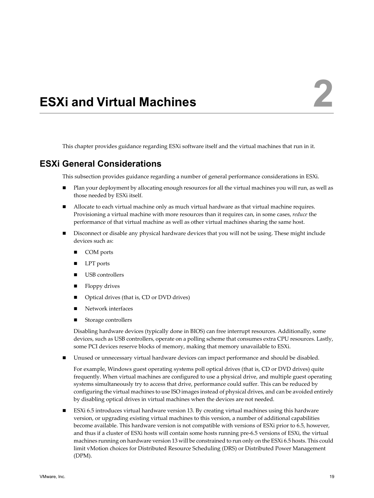# <span id="page-18-3"></span><span id="page-18-1"></span><span id="page-18-0"></span>**ESXi and Virtual Machines 2**

This chapter provides guidance regarding ESXi software itself and the virtual machines that run in it.

# <span id="page-18-4"></span><span id="page-18-2"></span>**ESXi General Considerations**

This subsection provides guidance regarding a number of general performance considerations in ESXi.

- **Plan your deployment by allocating enough resources for all the virtual machines you will run, as well as** those needed by ESXi itself.
- Allocate to each virtual machine only as much virtual hardware as that virtual machine requires. Provisioning a virtual machine with more resources than it requires can, in some cases, *reduce* the performance of that virtual machine as well as other virtual machines sharing the same host.
- Disconnect or disable any physical hardware devices that you will not be using. These might include devices such as:
	- COM ports
	- LPT ports
	- **USB** controllers
	- Floppy drives
	- Optical drives (that is, CD or DVD drives)
	- Network interfaces
	- Storage controllers

Disabling hardware devices (typically done in BIOS) can free interrupt resources. Additionally, some devices, such as USB controllers, operate on a polling scheme that consumes extra CPU resources. Lastly, some PCI devices reserve blocks of memory, making that memory unavailable to ESXi.

Unused or unnecessary virtual hardware devices can impact performance and should be disabled.

For example, Windows guest operating systems poll optical drives (that is, CD or DVD drives) quite frequently. When virtual machines are configured to use a physical drive, and multiple guest operating systems simultaneously try to access that drive, performance could suffer. This can be reduced by configuring the virtual machines to use ISO images instead of physical drives, and can be avoided entirely by disabling optical drives in virtual machines when the devices are not needed.

 ESXi 6.5 introduces virtual hardware version 13. By creating virtual machines using this hardware version, or upgrading existing virtual machines to this version, a number of additional capabilities become available. This hardware version is not compatible with versions of ESXi prior to 6.5, however, and thus if a cluster of ESXi hosts will contain some hosts running pre-6.5 versions of ESXi, the virtual machines running on hardware version 13 will be constrained to run only on the ESXi 6.5 hosts. This could limit vMotion choices for Distributed Resource Scheduling (DRS) or Distributed Power Management (DPM).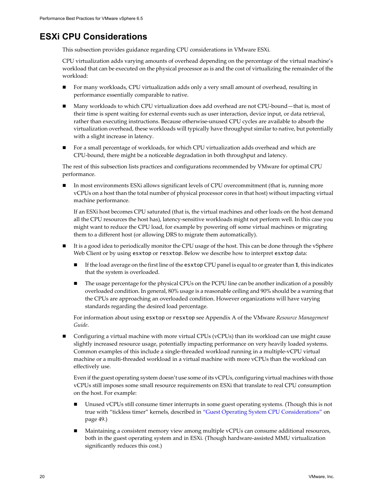# <span id="page-19-0"></span>**ESXi CPU Considerations**

This subsection provides guidance regarding CPU considerations in VMware ESXi.

CPU virtualization adds varying amounts of overhead depending on the percentage of the virtual machine's workload that can be executed on the physical processor as is and the cost of virtualizing the remainder of the workload:

- For many workloads, CPU virtualization adds only a very small amount of overhead, resulting in performance essentially comparable to native.
- Many workloads to which CPU virtualization does add overhead are not CPU-bound—that is, most of their time is spent waiting for external events such as user interaction, device input, or data retrieval, rather than executing instructions. Because otherwise-unused CPU cycles are available to absorb the virtualization overhead, these workloads will typically have throughput similar to native, but potentially with a slight increase in latency.
- For a small percentage of workloads, for which CPU virtualization adds overhead and which are CPU-bound, there might be a noticeable degradation in both throughput and latency.

The rest of this subsection lists practices and configurations recommended by VMware for optimal CPU performance.

 In most environments ESXi allows significant levels of CPU overcommitment (that is, running more vCPUs on a host than the total number of physical processor cores in that host) without impacting virtual machine performance.

If an ESXi host becomes CPU saturated (that is, the virtual machines and other loads on the host demand all the CPU resources the host has), latency-sensitive workloads might not perform well. In this case you might want to reduce the CPU load, for example by powering off some virtual machines or migrating them to a different host (or allowing DRS to migrate them automatically).

- It is a good idea to periodically monitor the CPU usage of the host. This can be done through the vSphere Web Client or by using esxtop or resxtop. Below we describe how to interpret esxtop data:
	- If the load average on the first line of the esxtop CPU panel is equal to or greater than **1**, this indicates that the system is overloaded.
	- The usage percentage for the physical CPUs on the PCPU line can be another indication of a possibly overloaded condition. In general, 80% usage is a reasonable ceiling and 90% should be a warning that the CPUs are approaching an overloaded condition. However organizations will have varying standards regarding the desired load percentage.

For information about using esxtop or resxtop see Appendix A of the VMware *Resource Management Guide*.

■ Configuring a virtual machine with more virtual CPUs (vCPUs) than its workload can use might cause slightly increased resource usage, potentially impacting performance on very heavily loaded systems. Common examples of this include a single-threaded workload running in a multiple-vCPU virtual machine or a multi-threaded workload in a virtual machine with more vCPUs than the workload can effectively use.

Even if the guest operating system doesn't use some of its vCPUs, configuring virtual machines with those vCPUs still imposes some small resource requirements on ESXi that translate to real CPU consumption on the host. For example:

- Unused vCPUs still consume timer interrupts in some guest operating systems. (Though this is not true with "tickless timer" kernels, described in ["Guest Operating System CPU Considerations" on](#page-48-1)  [page 49](#page-48-1).)
- Maintaining a consistent memory view among multiple vCPUs can consume additional resources, both in the guest operating system and in ESXi. (Though hardware-assisted MMU virtualization significantly reduces this cost.)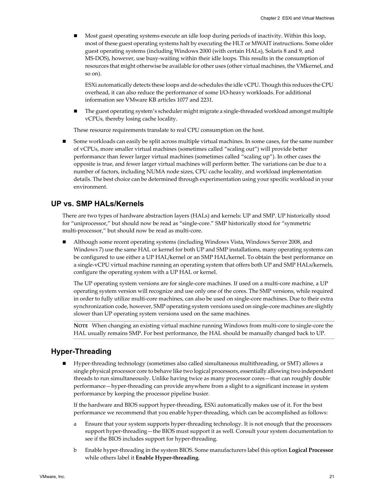Most guest operating systems execute an idle loop during periods of inactivity. Within this loop, most of these guest operating systems halt by executing the HLT or MWAIT instructions. Some older guest operating systems (including Windows 2000 (with certain HALs), Solaris 8 and 9, and MS-DOS), however, use busy-waiting within their idle loops. This results in the consumption of resources that might otherwise be available for other uses (other virtual machines, the VMkernel, and so on).

ESXi automatically detects these loops and de-schedules the idle vCPU. Though this reduces the CPU overhead, it can also reduce the performance of some I/O-heavy workloads. For additional information see VMware KB articles 1077 and 2231.

 The guest operating system's scheduler might migrate a single-threaded workload amongst multiple vCPUs, thereby losing cache locality.

These resource requirements translate to real CPU consumption on the host.

 Some workloads can easily be split across multiple virtual machines. In some cases, for the same number of vCPUs, more smaller virtual machines (sometimes called "scaling out") will provide better performance than fewer larger virtual machines (sometimes called "scaling up"). In other cases the opposite is true, and fewer larger virtual machines will perform better. The variations can be due to a number of factors, including NUMA node sizes, CPU cache locality, and workload implementation details. The best choice can be determined through experimentation using your specific workload in your environment.

#### <span id="page-20-0"></span>**UP vs. SMP HALs/Kernels**

There are two types of hardware abstraction layers (HALs) and kernels: UP and SMP. UP historically stood for "uniprocessor," but should now be read as "single-core." SMP historically stood for "symmetric multi-processor," but should now be read as multi-core.

 Although some recent operating systems (including Windows Vista, Windows Server 2008, and Windows 7) use the same HAL or kernel for both UP and SMP installations, many operating systems can be configured to use either a UP HAL/kernel or an SMP HAL/kernel. To obtain the best performance on a single-vCPU virtual machine running an operating system that offers both UP and SMP HALs/kernels, configure the operating system with a UP HAL or kernel.

The UP operating system versions are for single-core machines. If used on a multi-core machine, a UP operating system version will recognize and use only one of the cores. The SMP versions, while required in order to fully utilize multi-core machines, can also be used on single-core machines. Due to their extra synchronization code, however, SMP operating system versions used on single-core machines are slightly slower than UP operating system versions used on the same machines.

**NOTE** When changing an existing virtual machine running Windows from multi-core to single-core the HAL usually remains SMP. For best performance, the HAL should be manually changed back to UP.

#### <span id="page-20-1"></span>**Hyper-Threading**

 Hyper-threading technology (sometimes also called simultaneous multithreading, or SMT) allows a single physical processor core to behave like two logical processors, essentially allowing two independent threads to run simultaneously. Unlike having twice as many processor cores—that can roughly double performance—hyper-threading can provide anywhere from a slight to a significant increase in system performance by keeping the processor pipeline busier.

If the hardware and BIOS support hyper-threading, ESXi automatically makes use of it. For the best performance we recommend that you enable hyper-threading, which can be accomplished as follows:

- a Ensure that your system supports hyper-threading technology. It is not enough that the processors support hyper-threading—the BIOS must support it as well. Consult your system documentation to see if the BIOS includes support for hyper-threading.
- b Enable hyper-threading in the system BIOS. Some manufacturers label this option **Logical Processor** while others label it **Enable Hyper-threading**.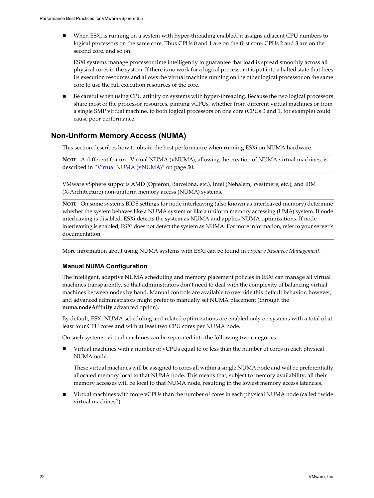■ When ESXi is running on a system with hyper-threading enabled, it assigns adjacent CPU numbers to logical processors on the same core. Thus CPUs 0 and 1 are on the first core, CPUs 2 and 3 are on the second core, and so on.

ESXi systems manage processor time intelligently to guarantee that load is spread smoothly across all physical cores in the system. If there is no work for a logical processor it is put into a halted state that frees its execution resources and allows the virtual machine running on the other logical processor on the same core to use the full execution resources of the core.

Be careful when using CPU affinity on systems with hyper-threading. Because the two logical processors share most of the processor resources, pinning vCPUs, whether from different virtual machines or from a single SMP virtual machine, to both logical processors on one core (CPUs 0 and 1, for example) could cause poor performance.

#### <span id="page-21-0"></span>**Non-Uniform Memory Access (NUMA)**

This section describes how to obtain the best performance when running ESXi on NUMA hardware.

**NOTE** A different feature, Virtual NUMA (vNUMA), allowing the creation of NUMA virtual machines, is described in ["Virtual NUMA \(vNUMA\)" on page 50.](#page-49-1)

VMware vSphere supports AMD (Opteron, Barcelona, etc.), Intel (Nehalem, Westmere, etc.), and IBM (X-Architecture) non-uniform memory access (NUMA) systems.

**NOTE** On some systems BIOS settings for node interleaving (also known as interleaved memory) determine whether the system behaves like a NUMA system or like a uniform memory accessing (UMA) system. If node interleaving is disabled, ESXi detects the system as NUMA and applies NUMA optimizations. If node interleaving is enabled, ESXi does not detect the system as NUMA. For more information, refer to your server's documentation.

More information about using NUMA systems with ESXi can be found in *vSphere Resource Management*.

#### <span id="page-21-1"></span>**Manual NUMA Configuration**

The intelligent, adaptive NUMA scheduling and memory placement policies in ESXi can manage all virtual machines transparently, so that administrators don't need to deal with the complexity of balancing virtual machines between nodes by hand. Manual controls are available to override this default behavior, however, and advanced administrators might prefer to manually set NUMA placement (through the **numa.nodeAffinity** advanced option).

By default, ESXi NUMA scheduling and related optimizations are enabled only on systems with a total of at least four CPU cores and with at least two CPU cores per NUMA node.

On such systems, virtual machines can be separated into the following two categories:

 Virtual machines with a number of vCPUs equal to or less than the number of cores in each physical NUMA node.

These virtual machines will be assigned to cores all within a single NUMA node and will be preferentially allocated memory local to that NUMA node. This means that, subject to memory availability, all their memory accesses will be local to that NUMA node, resulting in the lowest memory access latencies.

■ Virtual machines with more vCPUs than the number of cores in each physical NUMA node (called "wide virtual machines").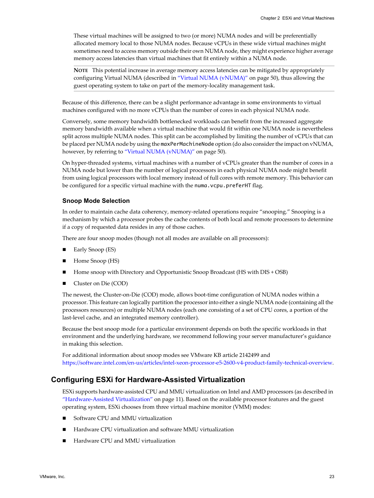These virtual machines will be assigned to two (or more) NUMA nodes and will be preferentially allocated memory local to those NUMA nodes. Because vCPUs in these wide virtual machines might sometimes need to access memory outside their own NUMA node, they might experience higher average memory access latencies than virtual machines that fit entirely within a NUMA node.

**NOTE** This potential increase in average memory access latencies can be mitigated by appropriately configuring Virtual NUMA (described in ["Virtual NUMA \(vNUMA\)" on page 50\)](#page-49-1), thus allowing the guest operating system to take on part of the memory-locality management task.

Because of this difference, there can be a slight performance advantage in some environments to virtual machines configured with no more vCPUs than the number of cores in each physical NUMA node.

Conversely, some memory bandwidth bottlenecked workloads can benefit from the increased aggregate memory bandwidth available when a virtual machine that would fit within one NUMA node is nevertheless split across multiple NUMA nodes. This split can be accomplished by limiting the number of vCPUs that can be placed per NUMA node by using the maxPerMachineNode option (do also consider the impact on vNUMA, however, by referring to ["Virtual NUMA \(vNUMA\)" on page 50\)](#page-49-1).

On hyper-threaded systems, virtual machines with a number of vCPUs greater than the number of cores in a NUMA node but lower than the number of logical processors in each physical NUMA node might benefit from using logical processors with local memory instead of full cores with remote memory. This behavior can be configured for a specific virtual machine with the numa. vcpu.preferHT flag.

#### <span id="page-22-0"></span>**Snoop Mode Selection**

In order to maintain cache data coherency, memory-related operations require "snooping." Snooping is a mechanism by which a processor probes the cache contents of both local and remote processors to determine if a copy of requested data resides in any of those caches.

There are four snoop modes (though not all modes are available on all processors):

- Early Snoop (ES)
- Home Snoop (HS)
- Home snoop with Directory and Opportunistic Snoop Broadcast (HS with DIS + OSB)
- Cluster on Die (COD)

The newest, the Cluster-on-Die (COD) mode, allows boot-time configuration of NUMA nodes within a processor. This feature can logically partition the processor into either a single NUMA node (containing all the processors resources) or multiple NUMA nodes (each one consisting of a set of CPU cores, a portion of the last-level cache, and an integrated memory controller).

Because the best snoop mode for a particular environment depends on both the specific workloads in that environment and the underlying hardware, we recommend following your server manufacturer's guidance in making this selection.

For additional information about snoop modes see VMware KB article 2142499 and https://software.intel.com/en-us/articles/intel-xeon-processor-e5-2600-v4-product-family-technical-overview.

#### <span id="page-22-2"></span><span id="page-22-1"></span>**Configuring ESXi for Hardware-Assisted Virtualization**

ESXi supports hardware-assisted CPU and MMU virtualization on Intel and AMD processors (as described in ["Hardware-Assisted Virtualization" on page 11\)](#page-10-8). Based on the available processor features and the guest operating system, ESXi chooses from three virtual machine monitor (VMM) modes:

- Software CPU and MMU virtualization
- Hardware CPU virtualization and software MMU virtualization
- Hardware CPU and MMU virtualization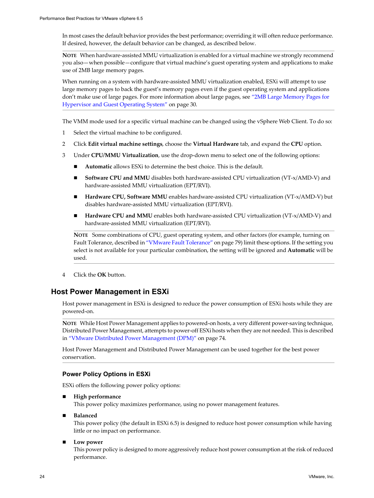In most cases the default behavior provides the best performance; overriding it will often reduce performance. If desired, however, the default behavior can be changed, as described below.

**NOTE** When hardware-assisted MMU virtualization is enabled for a virtual machine we strongly recommend you also—when possible—configure that virtual machine's guest operating system and applications to make use of 2MB large memory pages.

When running on a system with hardware-assisted MMU virtualization enabled, ESXi will attempt to use large memory pages to back the guest's memory pages even if the guest operating system and applications don't make use of large pages. For more information about large pages, see ["2MB Large Memory Pages for](#page-29-0)  [Hypervisor and Guest Operating System" on page 30](#page-29-0).

The VMM mode used for a specific virtual machine can be changed using the vSphere Web Client. To do so:

- 1 Select the virtual machine to be configured.
- 2 Click **Edit virtual machine settings**, choose the **Virtual Hardware** tab, and expand the **CPU** option.
- 3 Under **CPU/MMU Virtualization**, use the drop-down menu to select one of the following options:
	- **Automatic** allows ESXi to determine the best choice. This is the default.
	- **Software CPU and MMU** disables both hardware-assisted CPU virtualization (VT-x/AMD-V) and hardware-assisted MMU virtualization (EPT/RVI).
	- Hardware CPU, Software MMU enables hardware-assisted CPU virtualization (VT-x/AMD-V) but disables hardware-assisted MMU virtualization (EPT/RVI).
	- **Hardware CPU and MMU** enables both hardware-assisted CPU virtualization (VT-x/AMD-V) and hardware-assisted MMU virtualization (EPT/RVI).

**NOTE** Some combinations of CPU, guest operating system, and other factors (for example, turning on Fault Tolerance, described in ["VMware Fault Tolerance" on page 79](#page-78-1)) limit these options. If the setting you select is not available for your particular combination, the setting will be ignored and **Automatic** will be used.

4 Click the **OK** button.

#### <span id="page-23-2"></span><span id="page-23-0"></span>**Host Power Management in ESXi**

Host power management in ESXi is designed to reduce the power consumption of ESXi hosts while they are powered-on.

**NOTE** While Host Power Management applies to powered-on hosts, a very different power-saving technique, Distributed Power Management, attempts to power-off ESXi hosts when they are not needed. This is described in ["VMware Distributed Power Management \(DPM\)" on page 74](#page-73-3).

Host Power Management and Distributed Power Management can be used together for the best power conservation.

#### <span id="page-23-1"></span>**Power Policy Options in ESXi**

ESXi offers the following power policy options:

**High performance**

This power policy maximizes performance, using no power management features.

**Balanced**

This power policy (the default in ESXi 6.5) is designed to reduce host power consumption while having little or no impact on performance.

#### **Low power**

This power policy is designed to more aggressively reduce host power consumption at the risk of reduced performance.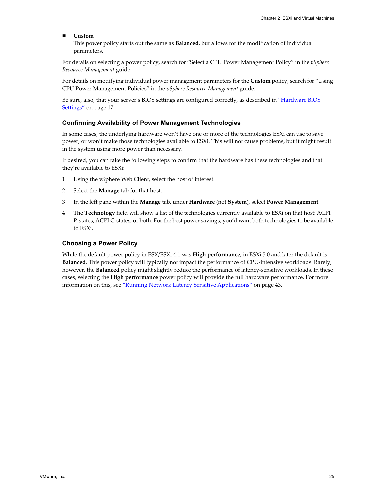#### **Custom**

This power policy starts out the same as **Balanced**, but allows for the modification of individual parameters.

For details on selecting a power policy, search for "Select a CPU Power Management Policy" in the *vSphere Resource Management* guide.

For details on modifying individual power management parameters for the **Custom** policy, search for "Using CPU Power Management Policies" in the *vSphere Resource Management* guide.

Be sure, also, that your server's BIOS settings are configured correctly, as described in ["Hardware BIOS](#page-16-3)  [Settings" on page 17](#page-16-3).

#### <span id="page-24-0"></span>**Confirming Availability of Power Management Technologies**

In some cases, the underlying hardware won't have one or more of the technologies ESXi can use to save power, or won't make those technologies available to ESXi. This will not cause problems, but it might result in the system using more power than necessary.

If desired, you can take the following steps to confirm that the hardware has these technologies and that they're available to ESXi:

- 1 Using the vSphere Web Client, select the host of interest.
- 2 Select the **Manage** tab for that host.
- 3 In the left pane within the **Manage** tab, under **Hardware** (not **System**), select **Power Management**.
- 4 The **Technology** field will show a list of the technologies currently available to ESXi on that host: ACPI P-states, ACPI C-states, or both. For the best power savings, you'd want both technologies to be available to ESXi.

#### <span id="page-24-1"></span>**Choosing a Power Policy**

While the default power policy in ESX/ESXi 4.1 was **High performance**, in ESXi 5.0 and later the default is **Balanced**. This power policy will typically not impact the performance of CPU-intensive workloads. Rarely, however, the **Balanced** policy might slightly reduce the performance of latency-sensitive workloads. In these cases, selecting the **High performance** power policy will provide the full hardware performance. For more information on this, see ["Running Network Latency Sensitive Applications" on page 43.](#page-42-1)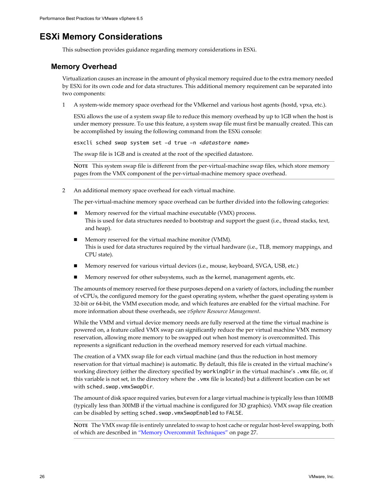# <span id="page-25-0"></span>**ESXi Memory Considerations**

This subsection provides guidance regarding memory considerations in ESXi.

#### <span id="page-25-1"></span>**Memory Overhead**

Virtualization causes an increase in the amount of physical memory required due to the extra memory needed by ESXi for its own code and for data structures. This additional memory requirement can be separated into two components:

1 A system-wide memory space overhead for the VMkernel and various host agents (hostd, vpxa, etc.).

ESXi allows the use of a system swap file to reduce this memory overhead by up to 1GB when the host is under memory pressure. To use this feature, a system swap file must first be manually created. This can be accomplished by issuing the following command from the ESXi console:

```
esxcli sched swap system set -d true -n <datastore name>
```
The swap file is 1GB and is created at the root of the specified datastore.

**NOTE** This system swap file is different from the per-virtual-machine swap files, which store memory pages from the VMX component of the per-virtual-machine memory space overhead.

2 An additional memory space overhead for each virtual machine.

The per-virtual-machine memory space overhead can be further divided into the following categories:

- Memory reserved for the virtual machine executable (VMX) process. This is used for data structures needed to bootstrap and support the guest (i.e., thread stacks, text, and heap).
- Memory reserved for the virtual machine monitor (VMM). This is used for data structures required by the virtual hardware (i.e., TLB, memory mappings, and CPU state).
- Memory reserved for various virtual devices (i.e., mouse, keyboard, SVGA, USB, etc.)
- Memory reserved for other subsystems, such as the kernel, management agents, etc.

The amounts of memory reserved for these purposes depend on a variety of factors, including the number of vCPUs, the configured memory for the guest operating system, whether the guest operating system is 32-bit or 64-bit, the VMM execution mode, and which features are enabled for the virtual machine. For more information about these overheads, see *vSphere Resource Management*.

While the VMM and virtual device memory needs are fully reserved at the time the virtual machine is powered on, a feature called VMX swap can significantly reduce the per virtual machine VMX memory reservation, allowing more memory to be swapped out when host memory is overcommitted. This represents a significant reduction in the overhead memory reserved for each virtual machine.

The creation of a VMX swap file for each virtual machine (and thus the reduction in host memory reservation for that virtual machine) is automatic. By default, this file is created in the virtual machine's working directory (either the directory specified by workingDir in the virtual machine's .vmx file, or, if this variable is not set, in the directory where the .vmx file is located) but a different location can be set with sched.swap.vmxSwapDir.

The amount of disk space required varies, but even for a large virtual machine is typically less than 100MB (typically less than 300MB if the virtual machine is configured for 3D graphics). VMX swap file creation can be disabled by setting sched.swap.vmxSwapEnabled to FALSE.

**NOTE** The VMX swap file is entirely unrelated to swap to host cache or regular host-level swapping, both of which are described in ["Memory Overcommit Techniques" on page 27](#page-26-1).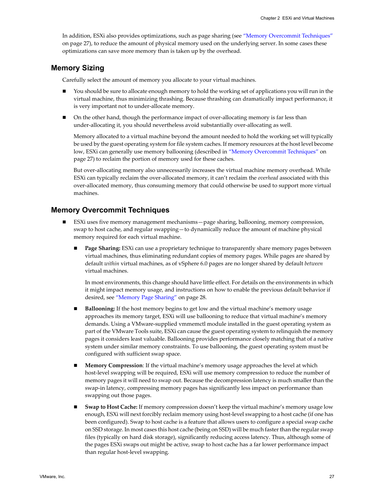In addition, ESXi also provides optimizations, such as page sharing (see ["Memory Overcommit Techniques"](#page-26-1) [on page 27\)](#page-26-1), to reduce the amount of physical memory used on the underlying server. In some cases these optimizations can save more memory than is taken up by the overhead.

#### <span id="page-26-0"></span>**Memory Sizing**

Carefully select the amount of memory you allocate to your virtual machines.

- You should be sure to allocate enough memory to hold the working set of applications you will run in the virtual machine, thus minimizing thrashing. Because thrashing can dramatically impact performance, it is very important not to under-allocate memory.
- On the other hand, though the performance impact of over-allocating memory is far less than under-allocating it, you should nevertheless avoid substantially over-allocating as well.

Memory allocated to a virtual machine beyond the amount needed to hold the working set will typically be used by the guest operating system for file system caches. If memory resources at the host level become low, ESXi can generally use memory ballooning (described in ["Memory Overcommit Techniques" on](#page-26-1)  [page 27](#page-26-1)) to reclaim the portion of memory used for these caches.

But over-allocating memory also unnecessarily increases the virtual machine memory overhead. While ESXi can typically reclaim the over-allocated memory, it can't reclaim the *overhead* associated with this over-allocated memory, thus consuming memory that could otherwise be used to support more virtual machines.

#### <span id="page-26-2"></span><span id="page-26-1"></span>**Memory Overcommit Techniques**

- ESXi uses five memory management mechanisms—page sharing, ballooning, memory compression, swap to host cache, and regular swapping—to dynamically reduce the amount of machine physical memory required for each virtual machine.
	- **Page Sharing:** ESXi can use a proprietary technique to transparently share memory pages between virtual machines, thus eliminating redundant copies of memory pages. While pages are shared by default *within* virtual machines, as of vSphere 6.0 pages are no longer shared by default *between* virtual machines.

In most environments, this change should have little effect. For details on the environments in which it might impact memory usage, and instructions on how to enable the previous default behavior if desired, see ["Memory Page Sharing" on page 28](#page-27-0).

- **Ballooning:** If the host memory begins to get low and the virtual machine's memory usage approaches its memory target, ESXi will use ballooning to reduce that virtual machine's memory demands. Using a VMware-supplied vmmemctl module installed in the guest operating system as part of the VMware Tools suite, ESXi can cause the guest operating system to relinquish the memory pages it considers least valuable. Ballooning provides performance closely matching that of a native system under similar memory constraints. To use ballooning, the guest operating system must be configured with sufficient swap space.
- **Memory Compression**: If the virtual machine's memory usage approaches the level at which host-level swapping will be required, ESXi will use memory compression to reduce the number of memory pages it will need to swap out. Because the decompression latency is much smaller than the swap-in latency, compressing memory pages has significantly less impact on performance than swapping out those pages.
- **Swap to Host Cache:** If memory compression doesn't keep the virtual machine's memory usage low enough, ESXi will next forcibly reclaim memory using host-level swapping to a host cache (if one has been configured). Swap to host cache is a feature that allows users to configure a special swap cache on SSD storage. In most cases this host cache (being on SSD) will be much faster than the regular swap files (typically on hard disk storage), significantly reducing access latency. Thus, although some of the pages ESXi swaps out might be active, swap to host cache has a far lower performance impact than regular host-level swapping.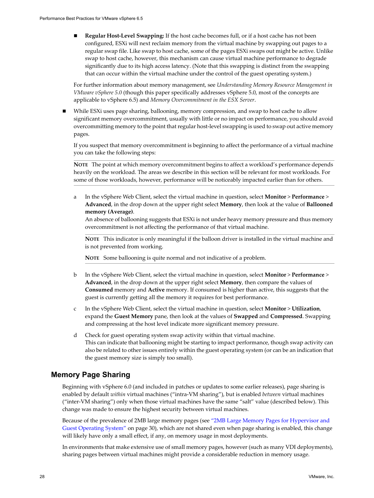**Regular Host-Level Swapping:** If the host cache becomes full, or if a host cache has not been configured, ESXi will next reclaim memory from the virtual machine by swapping out pages to a regular swap file. Like swap to host cache, some of the pages ESXi swaps out might be active. Unlike swap to host cache, however, this mechanism can cause virtual machine performance to degrade significantly due to its high access latency. (Note that this swapping is distinct from the swapping that can occur within the virtual machine under the control of the guest operating system.)

For further information about memory management, see *Understanding Memory Resource Management in VMware vSphere 5.0* (though this paper specifically addresses vSphere 5.0, most of the concepts are applicable to vSphere 6.5) and *Memory Overcommitment in the ESX Server*.

 While ESXi uses page sharing, ballooning, memory compression, and swap to host cache to allow significant memory overcommitment, usually with little or no impact on performance, you should avoid overcommitting memory to the point that regular host-level swapping is used to swap out active memory pages.

If you suspect that memory overcommitment is beginning to affect the performance of a virtual machine you can take the following steps:

**NOTE** The point at which memory overcommitment begins to affect a workload's performance depends heavily on the workload. The areas we describe in this section will be relevant for most workloads. For some of those workloads, however, performance will be noticeably impacted earlier than for others.

a In the vSphere Web Client, select the virtual machine in question, select **Monitor** > **Performance** > **Advanced**, in the drop down at the upper right select **Memory**, then look at the value of **Ballooned memory (Average)**.

An absence of ballooning suggests that ESXi is not under heavy memory pressure and thus memory overcommitment is not affecting the performance of that virtual machine.

**NOTE** This indicator is only meaningful if the balloon driver is installed in the virtual machine and is not prevented from working.

**NOTE** Some ballooning is quite normal and not indicative of a problem.

- b In the vSphere Web Client, select the virtual machine in question, select **Monitor** > **Performance** > **Advanced**, in the drop down at the upper right select **Memory**, then compare the values of **Consumed** memory and **Active** memory. If consumed is higher than active, this suggests that the guest is currently getting all the memory it requires for best performance.
- c In the vSphere Web Client, select the virtual machine in question, select **Monitor** > **Utilization**, expand the **Guest Memory** pane, then look at the values of **Swapped** and **Compressed**. Swapping and compressing at the host level indicate more significant memory pressure.
- d Check for guest operating system swap activity within that virtual machine. This can indicate that ballooning might be starting to impact performance, though swap activity can also be related to other issues entirely within the guest operating system (or can be an indication that the guest memory size is simply too small).

#### <span id="page-27-0"></span>**Memory Page Sharing**

Beginning with vSphere 6.0 (and included in patches or updates to some earlier releases), page sharing is enabled by default *within* virtual machines ("intra-VM sharing"), but is enabled *between* virtual machines ("inter-VM sharing") only when those virtual machines have the same "salt" value (described below). This change was made to ensure the highest security between virtual machines.

Because of the prevalence of 2MB large memory pages (see ["2MB Large Memory Pages for Hypervisor and](#page-29-0)  [Guest Operating System" on page 30\)](#page-29-0), which are not shared even when page sharing is enabled, this change will likely have only a small effect, if any, on memory usage in most deployments.

In environments that make extensive use of small memory pages, however (such as many VDI deployments), sharing pages between virtual machines might provide a considerable reduction in memory usage.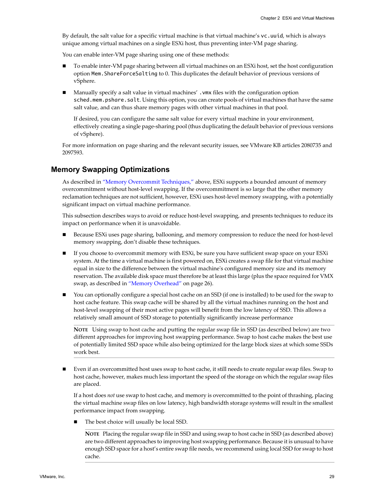By default, the salt value for a specific virtual machine is that virtual machine's vc.uuid, which is always unique among virtual machines on a single ESXi host, thus preventing inter-VM page sharing.

You can enable inter-VM page sharing using one of these methods:

- To enable inter-VM page sharing between all virtual machines on an ESXi host, set the host configuration option Mem.ShareForceSalting to 0. This duplicates the default behavior of previous versions of vSphere.
- Manually specify a salt value in virtual machines' .vmx files with the configuration option sched.mem.pshare.salt. Using this option, you can create pools of virtual machines that have the same salt value, and can thus share memory pages with other virtual machines in that pool.

If desired, you can configure the same salt value for every virtual machine in your environment, effectively creating a single page-sharing pool (thus duplicating the default behavior of previous versions of vSphere).

For more information on page sharing and the relevant security issues, see VMware KB articles 2080735 and 2097593.

#### <span id="page-28-0"></span>**Memory Swapping Optimizations**

As described in ["Memory Overcommit Techniques,"](#page-26-1) above, ESXi supports a bounded amount of memory overcommitment without host-level swapping. If the overcommitment is so large that the other memory reclamation techniques are not sufficient, however, ESXi uses host-level memory swapping, with a potentially significant impact on virtual machine performance.

This subsection describes ways to avoid or reduce host-level swapping, and presents techniques to reduce its impact on performance when it is unavoidable.

- Because ESXi uses page sharing, ballooning, and memory compression to reduce the need for host-level memory swapping, don't disable these techniques.
- If you choose to overcommit memory with ESXi, be sure you have sufficient swap space on your ESXi system. At the time a virtual machine is first powered on, ESXi creates a swap file for that virtual machine equal in size to the difference between the virtual machineʹs configured memory size and its memory reservation. The available disk space must therefore be at least this large (plus the space required for VMX swap, as described in ["Memory Overhead" on page 26\)](#page-25-1).
- You can optionally configure a special host cache on an SSD (if one is installed) to be used for the swap to host cache feature. This swap cache will be shared by all the virtual machines running on the host and host-level swapping of their most active pages will benefit from the low latency of SSD. This allows a relatively small amount of SSD storage to potentially significantly increase performance

**NOTE** Using swap to host cache and putting the regular swap file in SSD (as described below) are two different approaches for improving host swapping performance. Swap to host cache makes the best use of potentially limited SSD space while also being optimized for the large block sizes at which some SSDs work best.

 Even if an overcommitted host uses swap to host cache, it still needs to create regular swap files. Swap to host cache, however, makes much less important the speed of the storage on which the regular swap files are placed.

If a host does *not* use swap to host cache, and memory is overcommitted to the point of thrashing, placing the virtual machine swap files on low latency, high bandwidth storage systems will result in the smallest performance impact from swapping.

The best choice will usually be local SSD.

**NOTE** Placing the regular swap file in SSD and using swap to host cache in SSD (as described above) are two different approaches to improving host swapping performance. Because it is unusual to have enough SSD space for a host's entire swap file needs, we recommend using local SSD for swap to host cache.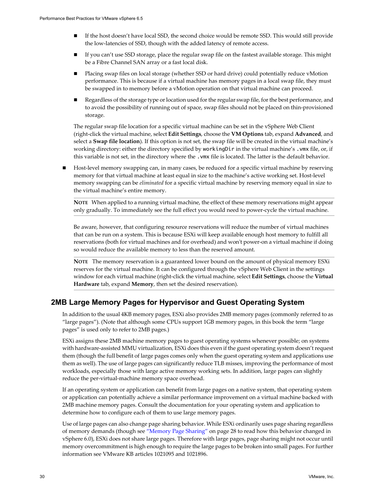- If the host doesn't have local SSD, the second choice would be remote SSD. This would still provide the low-latencies of SSD, though with the added latency of remote access.
- If you can't use SSD storage, place the regular swap file on the fastest available storage. This might be a Fibre Channel SAN array or a fast local disk.
- Placing swap files on local storage (whether SSD or hard drive) could potentially reduce vMotion performance. This is because if a virtual machine has memory pages in a local swap file, they must be swapped in to memory before a vMotion operation on that virtual machine can proceed.
- Regardless of the storage type or location used for the regular swap file, for the best performance, and to avoid the possibility of running out of space, swap files should not be placed on thin-provisioned storage.

The regular swap file location for a specific virtual machine can be set in the vSphere Web Client (right-click the virtual machine, select **Edit Settings**, choose the **VM Options** tab, expand **Advanced**, and select a **Swap file location**). If this option is not set, the swap file will be created in the virtual machine's working directory: either the directory specified by workingDir in the virtual machine's . vmx file, or, if this variable is not set, in the directory where the .vmx file is located. The latter is the default behavior.

 Host-level memory swapping can, in many cases, be reduced for a specific virtual machine by reserving memory for that virtual machine at least equal in size to the machine's active working set. Host-level memory swapping can be *eliminated* for a specific virtual machine by reserving memory equal in size to the virtual machine's entire memory.

**NOTE** When applied to a running virtual machine, the effect of these memory reservations might appear only gradually. To immediately see the full effect you would need to power-cycle the virtual machine.

Be aware, however, that configuring resource reservations will reduce the number of virtual machines that can be run on a system. This is because ESXi will keep available enough host memory to fulfill all reservations (both for virtual machines and for overhead) and won't power-on a virtual machine if doing so would reduce the available memory to less than the reserved amount.

**NOTE** The memory reservation is a guaranteed lower bound on the amount of physical memory ESXi reserves for the virtual machine. It can be configured through the vSphere Web Client in the settings window for each virtual machine (right-click the virtual machine, select **Edit Settings**, choose the **Virtual Hardware** tab, expand **Memory**, then set the desired reservation).

## <span id="page-29-1"></span><span id="page-29-0"></span>**2MB Large Memory Pages for Hypervisor and Guest Operating System**

In addition to the usual 4KB memory pages, ESXi also provides 2MB memory pages (commonly referred to as "large pages"). (Note that although some CPUs support 1GB memory pages, in this book the term "large pages" is used only to refer to 2MB pages.)

ESXi assigns these 2MB machine memory pages to guest operating systems whenever possible; on systems with hardware-assisted MMU virtualization, ESXi does this even if the guest operating system doesn't request them (though the full benefit of large pages comes only when the guest operating system and applications use them as well). The use of large pages can significantly reduce TLB misses, improving the performance of most workloads, especially those with large active memory working sets. In addition, large pages can slightly reduce the per-virtual-machine memory space overhead.

If an operating system or application can benefit from large pages on a native system, that operating system or application can potentially achieve a similar performance improvement on a virtual machine backed with 2MB machine memory pages. Consult the documentation for your operating system and application to determine how to configure each of them to use large memory pages.

Use of large pages can also change page sharing behavior. While ESXi ordinarily uses page sharing regardless of memory demands (though see ["Memory Page Sharing" on page 28](#page-27-0) to read how this behavior changed in vSphere 6.0), ESXi does not share large pages. Therefore with large pages, page sharing might not occur until memory overcommitment is high enough to require the large pages to be broken into small pages. For further information see VMware KB articles 1021095 and 1021896.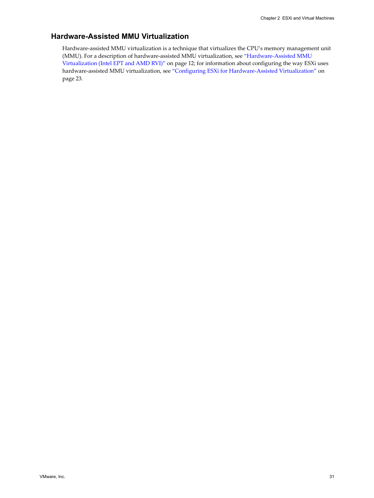#### <span id="page-30-0"></span>**Hardware-Assisted MMU Virtualization**

Hardware-assisted MMU virtualization is a technique that virtualizes the CPU's memory management unit (MMU). For a description of hardware-assisted MMU virtualization, see ["Hardware-Assisted MMU](#page-11-3)  [Virtualization \(Intel EPT and AMD RVI\)" on page 12](#page-11-3); for information about configuring the way ESXi uses hardware-assisted MMU virtualization, see ["Configuring ESXi for Hardware-Assisted Virtualization" on](#page-22-1)  [page 23](#page-22-1).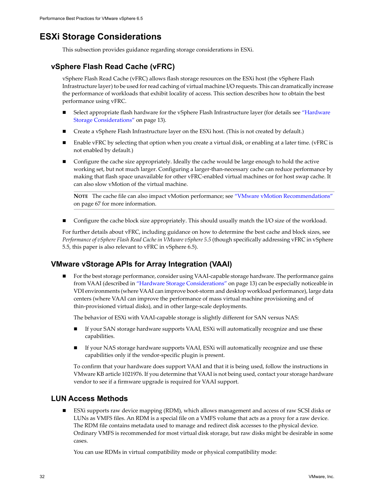# <span id="page-31-5"></span><span id="page-31-0"></span>**ESXi Storage Considerations**

This subsection provides guidance regarding storage considerations in ESXi.

# <span id="page-31-4"></span><span id="page-31-1"></span>**vSphere Flash Read Cache (vFRC)**

vSphere Flash Read Cache (vFRC) allows flash storage resources on the ESXi host (the vSphere Flash Infrastructure layer) to be used for read caching of virtual machine I/O requests. This can dramatically increase the performance of workloads that exhibit locality of access. This section describes how to obtain the best performance using vFRC.

- Select appropriate flash hardware for the vSphere Flash Infrastructure layer (for details see ["Hardware](#page-12-1)  [Storage Considerations" on page 13](#page-12-1)).
- Create a vSphere Flash Infrastructure layer on the ESXi host. (This is not created by default.)
- Enable vFRC by selecting that option when you create a virtual disk, or enabling at a later time. (vFRC is not enabled by default.)
- **O** Configure the cache size appropriately. Ideally the cache would be large enough to hold the active working set, but not much larger. Configuring a larger-than-necessary cache can reduce performance by making that flash space unavailable for other vFRC-enabled virtual machines or for host swap cache. It can also slow vMotion of the virtual machine.

**NOTE** The cache file can also impact vMotion performance; see ["VMware vMotion Recommendations"](#page-66-3) [on page 67](#page-66-3) for more information.

**Configure the cache block size appropriately. This should usually match the I/O size of the workload.** 

For further details about vFRC, including guidance on how to determine the best cache and block sizes, see *Performance of vSphere Flash Read Cache in VMware vSphere 5.5* (though specifically addressing vFRC in vSphere 5.5, this paper is also relevant to vFRC in vSphere 6.5).

## <span id="page-31-2"></span>**VMware vStorage APIs for Array Integration (VAAI)**

 For the best storage performance, consider using VAAI-capable storage hardware. The performance gains from VAAI (described in ["Hardware Storage Considerations" on page 13](#page-12-1)) can be especially noticeable in VDI environments (where VAAI can improve boot-storm and desktop workload performance), large data centers (where VAAI can improve the performance of mass virtual machine provisioning and of thin-provisioned virtual disks), and in other large-scale deployments.

The behavior of ESXi with VAAI-capable storage is slightly different for SAN versus NAS:

- If your SAN storage hardware supports VAAI, ESXi will automatically recognize and use these capabilities.
- If your NAS storage hardware supports VAAI, ESXi will automatically recognize and use these capabilities only if the vendor-specific plugin is present.

To confirm that your hardware does support VAAI and that it is being used, follow the instructions in VMware KB article 1021976. If you determine that VAAI is not being used, contact your storage hardware vendor to see if a firmware upgrade is required for VAAI support.

#### <span id="page-31-3"></span>**LUN Access Methods**

■ ESXi supports raw device mapping (RDM), which allows management and access of raw SCSI disks or LUNs as VMFS files. An RDM is a special file on a VMFS volume that acts as a proxy for a raw device. The RDM file contains metadata used to manage and redirect disk accesses to the physical device. Ordinary VMFS is recommended for most virtual disk storage, but raw disks might be desirable in some cases.

You can use RDMs in virtual compatibility mode or physical compatibility mode: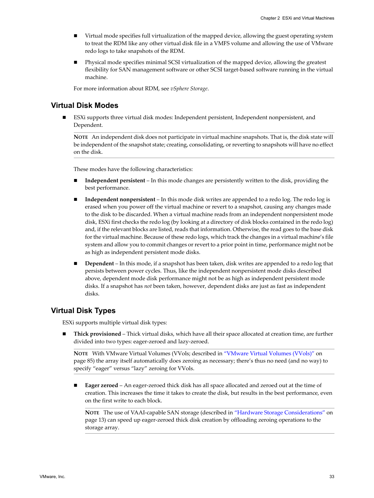- Virtual mode specifies full virtualization of the mapped device, allowing the guest operating system to treat the RDM like any other virtual disk file in a VMFS volume and allowing the use of VMware redo logs to take snapshots of the RDM.
- Physical mode specifies minimal SCSI virtualization of the mapped device, allowing the greatest flexibility for SAN management software or other SCSI target-based software running in the virtual machine.

For more information about RDM, see *vSphere Storage*.

#### <span id="page-32-0"></span>**Virtual Disk Modes**

 ESXi supports three virtual disk modes: Independent persistent, Independent nonpersistent, and Dependent.

**NOTE** An independent disk does not participate in virtual machine snapshots. That is, the disk state will be independent of the snapshot state; creating, consolidating, or reverting to snapshots will have no effect on the disk.

These modes have the following characteristics:

- **Independent persistent** In this mode changes are persistently written to the disk, providing the best performance.
- **Independent nonpersistent** In this mode disk writes are appended to a redo log. The redo log is erased when you power off the virtual machine or revert to a snapshot, causing any changes made to the disk to be discarded. When a virtual machine reads from an independent nonpersistent mode disk, ESXi first checks the redo log (by looking at a directory of disk blocks contained in the redo log) and, if the relevant blocks are listed, reads that information. Otherwise, the read goes to the base disk for the virtual machine. Because of these redo logs, which track the changes in a virtual machine's file system and allow you to commit changes or revert to a prior point in time, performance might not be as high as independent persistent mode disks.
- **Dependent** In this mode, if a snapshot has been taken, disk writes are appended to a redo log that persists between power cycles. Thus, like the independent nonpersistent mode disks described above, dependent mode disk performance might not be as high as independent persistent mode disks. If a snapshot has *not* been taken, however, dependent disks are just as fast as independent disks.

#### <span id="page-32-2"></span><span id="page-32-1"></span>**Virtual Disk Types**

ESXi supports multiple virtual disk types:

 **Thick provisioned** – Thick virtual disks, which have all their space allocated at creation time, are further divided into two types: eager-zeroed and lazy-zeroed.

**NOTE** With VMware Virtual Volumes (VVols; described in ["VMware Virtual Volumes \(VVols\)" on](#page-84-4)  [page 85](#page-84-4)) the array itself automatically does zeroing as necessary; there's thus no need (and no way) to specify "eager" versus "lazy" zeroing for VVols.

 **Eager zeroed** – An eager-zeroed thick disk has all space allocated and zeroed out at the time of creation. This increases the time it takes to create the disk, but results in the best performance, even on the first write to each block.

**NOTE** The use of VAAI-capable SAN storage (described in ["Hardware Storage Considerations" on](#page-12-1)  [page 13](#page-12-1)) can speed up eager-zeroed thick disk creation by offloading zeroing operations to the storage array.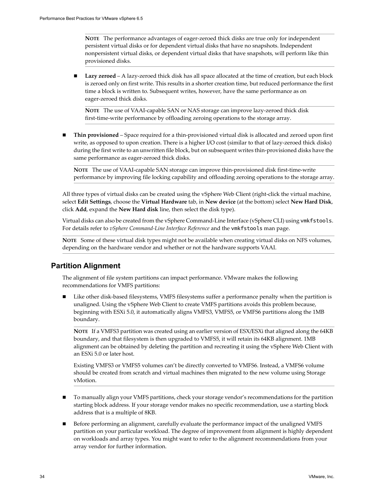**NOTE** The performance advantages of eager-zeroed thick disks are true only for independent persistent virtual disks or for dependent virtual disks that have no snapshots. Independent nonpersistent virtual disks, or dependent virtual disks that have snapshots, will perform like thin provisioned disks.

 **Lazy zeroed** – A lazy-zeroed thick disk has all space allocated at the time of creation, but each block is zeroed only on first write. This results in a shorter creation time, but reduced performance the first time a block is written to. Subsequent writes, however, have the same performance as on eager-zeroed thick disks.

**NOTE** The use of VAAI-capable SAN or NAS storage can improve lazy-zeroed thick disk first-time-write performance by offloading zeroing operations to the storage array.

 **Thin provisioned** – Space required for a thin-provisioned virtual disk is allocated and zeroed upon first write, as opposed to upon creation. There is a higher I/O cost (similar to that of lazy-zeroed thick disks) during the first write to an unwritten file block, but on subsequent writes thin-provisioned disks have the same performance as eager-zeroed thick disks.

**NOTE** The use of VAAI-capable SAN storage can improve thin-provisioned disk first-time-write performance by improving file locking capability and offloading zeroing operations to the storage array.

All three types of virtual disks can be created using the vSphere Web Client (right-click the virtual machine, select **Edit Settings**, choose the **Virtual Hardware** tab, in **New device** (at the bottom) select **New Hard Disk**, click **Add**, expand the **New Hard disk** line, then select the disk type).

Virtual disks can also be created from the vSphere Command-Line Interface (vSphere CLI) using vmkfstools. For details refer to *vSphere Command-Line Interface Reference* and the vmkfstools man page.

**NOTE** Some of these virtual disk types might not be available when creating virtual disks on NFS volumes, depending on the hardware vendor and whether or not the hardware supports VAAI.

#### <span id="page-33-0"></span>**Partition Alignment**

The alignment of file system partitions can impact performance. VMware makes the following recommendations for VMFS partitions:

 Like other disk-based filesystems, VMFS filesystems suffer a performance penalty when the partition is unaligned. Using the vSphere Web Client to create VMFS partitions avoids this problem because, beginning with ESXi 5.0, it automatically aligns VMFS3, VMFS5, or VMFS6 partitions along the 1MB boundary.

**NOTE** If a VMFS3 partition was created using an earlier version of ESX/ESXi that aligned along the 64KB boundary, and that filesystem is then upgraded to VMFS5, it will retain its 64KB alignment. 1MB alignment can be obtained by deleting the partition and recreating it using the vSphere Web Client with an ESXi 5.0 or later host.

Existing VMFS3 or VMFS5 volumes can't be directly converted to VMFS6. Instead, a VMFS6 volume should be created from scratch and virtual machines then migrated to the new volume using Storage vMotion.

- To manually align your VMFS partitions, check your storage vendor's recommendations for the partition starting block address. If your storage vendor makes no specific recommendation, use a starting block address that is a multiple of 8KB.
- Before performing an alignment, carefully evaluate the performance impact of the unaligned VMFS partition on your particular workload. The degree of improvement from alignment is highly dependent on workloads and array types. You might want to refer to the alignment recommendations from your array vendor for further information.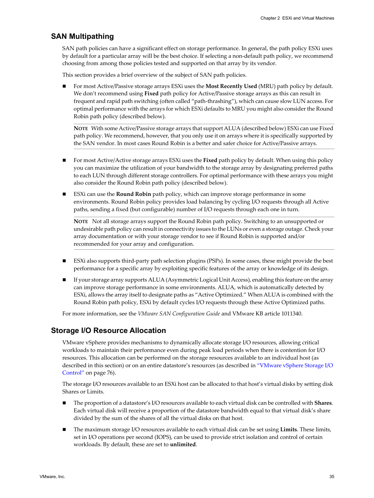#### <span id="page-34-0"></span>**SAN Multipathing**

SAN path policies can have a significant effect on storage performance. In general, the path policy ESXi uses by default for a particular array will be the best choice. If selecting a non-default path policy, we recommend choosing from among those policies tested and supported on that array by its vendor.

This section provides a brief overview of the subject of SAN path policies.

 For most Active/Passive storage arrays ESXi uses the **Most Recently Used** (MRU) path policy by default. We don't recommend using **Fixed** path policy for Active/Passive storage arrays as this can result in frequent and rapid path switching (often called "path-thrashing"), which can cause slow LUN access. For optimal performance with the arrays for which ESXi defaults to MRU you might also consider the Round Robin path policy (described below).

**NOTE** With some Active/Passive storage arrays that support ALUA (described below) ESXi can use Fixed path policy. We recommend, however, that you only use it on arrays where it is specifically supported by the SAN vendor. In most cases Round Robin is a better and safer choice for Active/Passive arrays.

- For most Active/Active storage arrays ESXi uses the **Fixed** path policy by default. When using this policy you can maximize the utilization of your bandwidth to the storage array by designating preferred paths to each LUN through different storage controllers. For optimal performance with these arrays you might also consider the Round Robin path policy (described below).
- ESXi can use the **Round Robin** path policy, which can improve storage performance in some environments. Round Robin policy provides load balancing by cycling I/O requests through all Active paths, sending a fixed (but configurable) number of I/O requests through each one in turn.

**NOTE** Not all storage arrays support the Round Robin path policy. Switching to an unsupported or undesirable path policy can result in connectivity issues to the LUNs or even a storage outage. Check your array documentation or with your storage vendor to see if Round Robin is supported and/or recommended for your array and configuration.

- ESXi also supports third-party path selection plugins (PSPs). In some cases, these might provide the best performance for a specific array by exploiting specific features of the array or knowledge of its design.
- If your storage array supports ALUA (Asymmetric Logical Unit Access), enabling this feature on the array can improve storage performance in some environments. ALUA, which is automatically detected by ESXi, allows the array itself to designate paths as "Active Optimized." When ALUA is combined with the Round Robin path policy, ESXi by default cycles I/O requests through these Active Optimized paths.

For more information, see the *VMware SAN Configuration Guide* and VMware KB article 1011340.

#### <span id="page-34-1"></span>**Storage I/O Resource Allocation**

VMware vSphere provides mechanisms to dynamically allocate storage I/O resources, allowing critical workloads to maintain their performance even during peak load periods when there is contention for I/O resources. This allocation can be performed on the storage resources available to an individual host (as described in this section) or on an entire datastore's resources (as described in ["VMware vSphere Storage I/O](#page-75-1)  [Control" on page 76](#page-75-1)).

The storage I/O resources available to an ESXi host can be allocated to that host's virtual disks by setting disk Shares or Limits.

- The proportion of a datastore's I/O resources available to each virtual disk can be controlled with **Shares**. Each virtual disk will receive a proportion of the datastore bandwidth equal to that virtual disk's share divided by the sum of the shares of all the virtual disks on that host.
- The maximum storage I/O resources available to each virtual disk can be set using **Limits**. These limits, set in I/O operations per second (IOPS), can be used to provide strict isolation and control of certain workloads. By default, these are set to **unlimited**.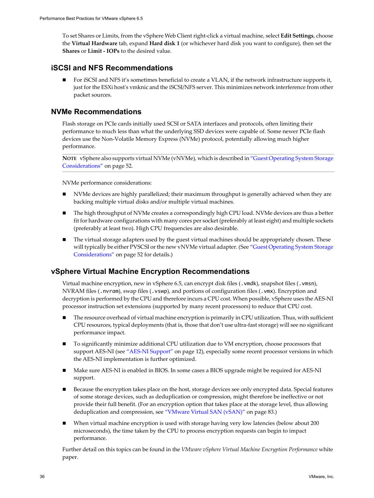To set Shares or Limits, from the vSphere Web Client right-click a virtual machine, select **Edit Settings**, choose the **Virtual Hardware** tab, expand **Hard disk 1** (or whichever hard disk you want to configure), then set the **Shares** or **Limit - IOPs** to the desired value.

#### <span id="page-35-0"></span>**iSCSI and NFS Recommendations**

 For iSCSI and NFS it's sometimes beneficial to create a VLAN, if the network infrastructure supports it, just for the ESXi host's ymknic and the iSCSI/NFS server. This minimizes network interference from other packet sources.

#### <span id="page-35-4"></span><span id="page-35-1"></span>**NVMe Recommendations**

Flash storage on PCIe cards initially used SCSI or SATA interfaces and protocols, often limiting their performance to much less than what the underlying SSD devices were capable of. Some newer PCIe flash devices use the Non-Volatile Memory Express (NVMe) protocol, potentially allowing much higher performance.

**NOTE** vSphere also supports virtual NVMe (vNVMe), which is described in ["Guest Operating System Storage](#page-51-1)  [Considerations" on page 52.](#page-51-1)

NVMe performance considerations:

- NVMe devices are highly parallelized; their maximum throughput is generally achieved when they are backing multiple virtual disks and/or multiple virtual machines.
- The high throughput of NVMe creates a correspondingly high CPU load. NVMe devices are thus a better fit for hardware configurations with many cores per socket (preferably at least eight) and multiple sockets (preferably at least two). High CPU frequencies are also desirable.
- The virtual storage adapters used by the guest virtual machines should be appropriately chosen. These will typically be either PVSCSI or the new vNVMe virtual adapter. (See ["Guest Operating System Storage](#page-51-1)  [Considerations" on page 52](#page-51-1) for details.)

#### <span id="page-35-3"></span><span id="page-35-2"></span>**vSphere Virtual Machine Encryption Recommendations**

Virtual machine encryption, new in vSphere 6.5, can encrypt disk files (.vmdk), snapshot files (.vmsn), NVRAM files (.nvram), swap files (.vswp), and portions of configuration files (.vmx). Encryption and decryption is performed by the CPU and therefore incurs a CPU cost. When possible, vSphere uses the AES-NI processor instruction set extensions (supported by many recent processors) to reduce that CPU cost.

- The resource overhead of virtual machine encryption is primarily in CPU utilization. Thus, with sufficient CPU resources, typical deployments (that is, those that don't use ultra-fast storage) will see no significant performance impact.
- To significantly minimize additional CPU utilization due to VM encryption, choose processors that support AES-NI (see ["AES-NI Support" on page 12](#page-11-4)), especially some recent processor versions in which the AES-NI implementation is further optimized.
- Make sure AES-NI is enabled in BIOS. In some cases a BIOS upgrade might be required for AES-NI support.
- Because the encryption takes place on the host, storage devices see only encrypted data. Special features of some storage devices, such as deduplication or compression, might therefore be ineffective or not provide their full benefit. (For an encryption option that takes place at the storage level, thus allowing deduplication and compression, see ["VMware Virtual SAN \(vSAN\)" on page 83.](#page-82-8))
- When virtual machine encryption is used with storage having very low latencies (below about 200 microseconds), the time taken by the CPU to process encryption requests can begin to impact performance.

Further detail on this topics can be found in the *VMware vSphere Virtual Machine Encryption Performance* white paper.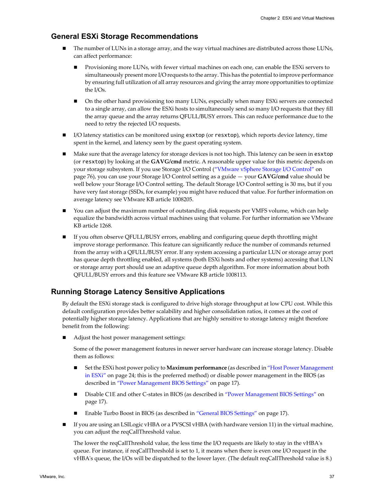#### **General ESXi Storage Recommendations**

- The number of LUNs in a storage array, and the way virtual machines are distributed across those LUNs, can affect performance:
	- Provisioning more LUNs, with fewer virtual machines on each one, can enable the ESXi servers to simultaneously present more I/O requests to the array. This has the potential to improve performance by ensuring full utilization of all array resources and giving the array more opportunities to optimize the I/Os.
	- On the other hand provisioning too many LUNs, especially when many ESXi servers are connected to a single array, can allow the ESXi hosts to simultaneously send so many I/O requests that they fill the array queue and the array returns QFULL/BUSY errors. This can reduce performance due to the need to retry the rejected I/O requests.
- I/O latency statistics can be monitored using esxtop (or resxtop), which reports device latency, time spent in the kernel, and latency seen by the guest operating system.
- Make sure that the average latency for storage devices is not too high. This latency can be seen in esxtop (or resxtop) by looking at the **GAVG/cmd** metric. A reasonable upper value for this metric depends on your storage subsystem. If you use Storage I/O Control (["VMware vSphere Storage I/O Control" on](#page-75-0)  [page 76](#page-75-0)), you can use your Storage I/O Control setting as a guide — your **GAVG/cmd** value should be well below your Storage I/O Control setting. The default Storage I/O Control setting is 30 ms, but if you have very fast storage (SSDs, for example) you might have reduced that value. For further information on average latency see VMware KB article 1008205.
- You can adjust the maximum number of outstanding disk requests per VMFS volume, which can help equalize the bandwidth across virtual machines using that volume. For further information see VMware KB article 1268.
- If you often observe QFULL/BUSY errors, enabling and configuring queue depth throttling might improve storage performance. This feature can significantly reduce the number of commands returned from the array with a QFULL/BUSY error. If any system accessing a particular LUN or storage array port has queue depth throttling enabled, all systems (both ESXi hosts and other systems) accessing that LUN or storage array port should use an adaptive queue depth algorithm. For more information about both QFULL/BUSY errors and this feature see VMware KB article 1008113.

#### **Running Storage Latency Sensitive Applications**

By default the ESXi storage stack is configured to drive high storage throughput at low CPU cost. While this default configuration provides better scalability and higher consolidation ratios, it comes at the cost of potentially higher storage latency. Applications that are highly sensitive to storage latency might therefore benefit from the following:

Adjust the host power management settings:

Some of the power management features in newer server hardware can increase storage latency. Disable them as follows:

- Set the ESXi host power policy to **Maximum performance** (as described in "Host Power Management" [in ESXi" on page 24;](#page-23-0) this is the preferred method) or disable power management in the BIOS (as described in ["Power Management BIOS Settings" on page 17](#page-16-0)).
- Disable C1E and other C-states in BIOS (as described in "Power Management BIOS Settings" on [page 17](#page-16-0)).
- Enable Turbo Boost in BIOS (as described in ["General BIOS Settings" on page 17\)](#page-16-1).
- If you are using an LSILogic vHBA or a PVSCSI vHBA (with hardware version 11) in the virtual machine, you can adjust the reqCallThreshold value.

The lower the reqCallThreshold value, the less time the I/O requests are likely to stay in the vHBAʹs queue. For instance, if reqCallThreshold is set to 1, it means when there is even one I/O request in the vHBAʹs queue, the I/Os will be dispatched to the lower layer. (The default reqCallThreshold value is 8.)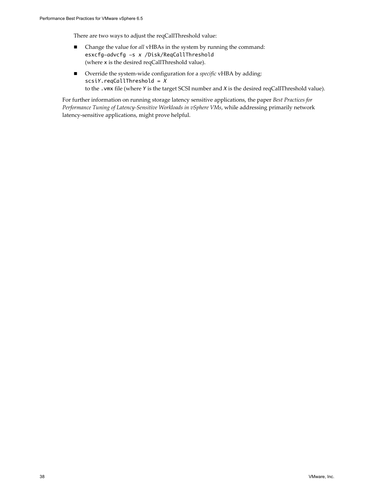There are two ways to adjust the reqCallThreshold value:

- Change the value for *all* vHBAs in the system by running the command: esxcfg-advcfg -s *x* /Disk/ReqCallThreshold (where *x* is the desired reqCallThreshold value).
- Override the system-wide configuration for a *specific* vHBA by adding: scsi*Y*.reqCallThreshold = *X* to the .vmx file (where *Y* is the target SCSI number and *X* is the desired reqCallThreshold value).

For further information on running storage latency sensitive applications, the paper *Best Practices for Performance Tuning of Latency-Sensitive Workloads in vSphere VMs*, while addressing primarily network latency-sensitive applications, might prove helpful.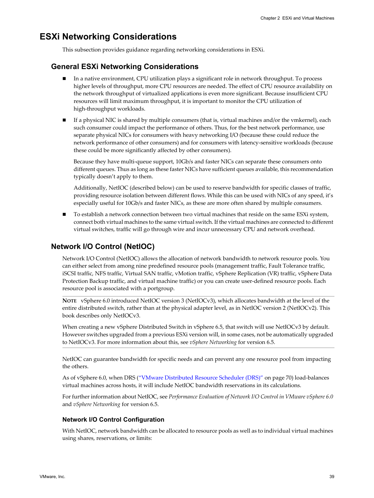## **ESXi Networking Considerations**

This subsection provides guidance regarding networking considerations in ESXi.

#### **General ESXi Networking Considerations**

- In a native environment, CPU utilization plays a significant role in network throughput. To process higher levels of throughput, more CPU resources are needed. The effect of CPU resource availability on the network throughput of virtualized applications is even more significant. Because insufficient CPU resources will limit maximum throughput, it is important to monitor the CPU utilization of high-throughput workloads.
- If a physical NIC is shared by multiple consumers (that is, virtual machines and/or the vmkernel), each such consumer could impact the performance of others. Thus, for the best network performance, use separate physical NICs for consumers with heavy networking I/O (because these could reduce the network performance of other consumers) and for consumers with latency-sensitive workloads (because these could be more significantly affected by other consumers).

Because they have multi-queue support, 10Gb/s and faster NICs can separate these consumers onto different queues. Thus as long as these faster NICs have sufficient queues available, this recommendation typically doesn't apply to them.

Additionally, NetIOC (described below) can be used to reserve bandwidth for specific classes of traffic, providing resource isolation between different flows. While this can be used with NICs of any speed, it's especially useful for 10Gb/s and faster NICs, as these are more often shared by multiple consumers.

■ To establish a network connection between two virtual machines that reside on the same ESXi system, connect both virtual machines to the same virtual switch. If the virtual machines are connected to different virtual switches, traffic will go through wire and incur unnecessary CPU and network overhead.

## <span id="page-38-0"></span>**Network I/O Control (NetIOC)**

Network I/O Control (NetIOC) allows the allocation of network bandwidth to network resource pools. You can either select from among nine predefined resource pools (management traffic, Fault Tolerance traffic, iSCSI traffic, NFS traffic, Virtual SAN traffic, vMotion traffic, vSphere Replication (VR) traffic, vSphere Data Protection Backup traffic, and virtual machine traffic) or you can create user-defined resource pools. Each resource pool is associated with a portgroup.

**NOTE** vSphere 6.0 introduced NetIOC version 3 (NetIOCv3), which allocates bandwidth at the level of the entire distributed switch, rather than at the physical adapter level, as in NetIOC version 2 (NetIOCv2). This book describes only NetIOCv3.

When creating a new vSphere Distributed Switch in vSphere 6.5, that switch will use NetIOCv3 by default. However switches upgraded from a previous ESXi version will, in some cases, not be automatically upgraded to NetIOCv3. For more information about this, see *vSphere Networking* for version 6.5.

NetIOC can guarantee bandwidth for specific needs and can prevent any one resource pool from impacting the others.

As of vSphere 6.0, when DRS [\("VMware Distributed Resource Scheduler \(DRS\)" on page 70](#page-69-0)) load-balances virtual machines across hosts, it will include NetIOC bandwidth reservations in its calculations.

For further information about NetIOC, see *Performance Evaluation of Network I/O Control in VMware vSphere 6.0*  and *vSphere Networking* for version 6.5.

#### **Network I/O Control Configuration**

With NetIOC, network bandwidth can be allocated to resource pools as well as to individual virtual machines using shares, reservations, or limits: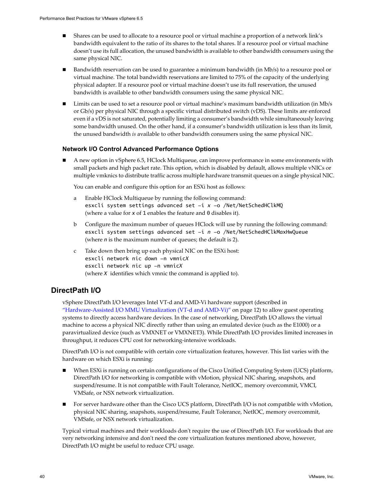- Shares can be used to allocate to a resource pool or virtual machine a proportion of a network link's bandwidth equivalent to the ratio of its shares to the total shares. If a resource pool or virtual machine doesn't use its full allocation, the unused bandwidth is available to other bandwidth consumers using the same physical NIC.
- Bandwidth reservation can be used to guarantee a minimum bandwidth (in Mb/s) to a resource pool or virtual machine. The total bandwidth reservations are limited to 75% of the capacity of the underlying physical adapter. If a resource pool or virtual machine doesn't use its full reservation, the unused bandwidth is available to other bandwidth consumers using the same physical NIC.
- Limits can be used to set a resource pool or virtual machine's maximum bandwidth utilization (in Mb/s or Gb/s) per physical NIC through a specific virtual distributed switch (vDS). These limits are enforced even if a vDS is not saturated, potentially limiting a consumer's bandwidth while simultaneously leaving some bandwidth unused. On the other hand, if a consumer's bandwidth utilization is less than its limit, the unused bandwidth *is* available to other bandwidth consumers using the same physical NIC.

#### **Network I/O Control Advanced Performance Options**

 A new option in vSphere 6.5, HClock Multiqueue, can improve performance in some environments with small packets and high packet rate. This option, which is disabled by default, allows multiple vNICs or multiple vmknics to distribute traffic across multiple hardware transmit queues on a single physical NIC.

You can enable and configure this option for an ESXi host as follows:

- a Enable HClock Multiqueue by running the following command: esxcli system settings advanced set -i *x* -o /Net/NetSchedHClkMQ (where a value for *x* of 1 enables the feature and 0 disables it).
- b Configure the maximum number of queues HClock will use by running the following command: esxcli system settings advanced set -i *n* -o /Net/NetSchedHClkMaxHwQueue (where *n* is the maximum number of queues; the default is 2).
- c Take down then bring up each physical NIC on the ESXi host: esxcli network nic down -n vmnic*X* esxcli network nic up -n vmnic*X* (where *X* identifies which vmnic the command is applied to).

#### <span id="page-39-0"></span>**DirectPath I/O**

vSphere DirectPath I/O leverages Intel VT-d and AMD-Vi hardware support (described in ["Hardware-Assisted I/O MMU Virtualization \(VT-d and AMD-Vi\)" on page 12\)](#page-11-0) to allow guest operating systems to directly access hardware devices. In the case of networking, DirectPath I/O allows the virtual machine to access a physical NIC directly rather than using an emulated device (such as the E1000) or a paravirtualized device (such as VMXNET or VMXNET3). While DirectPath I/O provides limited increases in throughput, it reduces CPU cost for networking-intensive workloads.

DirectPath I/O is not compatible with certain core virtualization features, however. This list varies with the hardware on which ESXi is running:

- When ESXi is running on certain configurations of the Cisco Unified Computing System (UCS) platform, DirectPath I/O for networking is compatible with vMotion, physical NIC sharing, snapshots, and suspend/resume. It is not compatible with Fault Tolerance, NetIOC, memory overcommit, VMCI, VMSafe, or NSX network virtualization.
- For server hardware other than the Cisco UCS platform, DirectPath I/O is not compatible with vMotion, physical NIC sharing, snapshots, suspend/resume, Fault Tolerance, NetIOC, memory overcommit, VMSafe, or NSX network virtualization.

Typical virtual machines and their workloads donʹt require the use of DirectPath I/O. For workloads that are very networking intensive and donʹt need the core virtualization features mentioned above, however, DirectPath I/O might be useful to reduce CPU usage.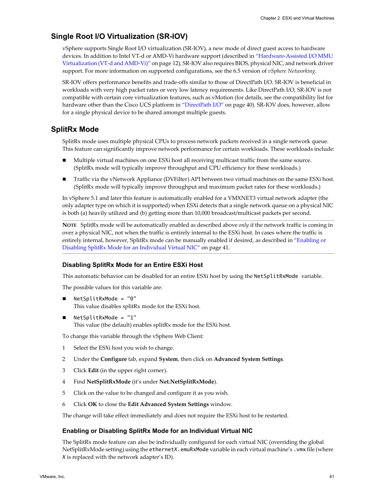#### <span id="page-40-2"></span><span id="page-40-1"></span>**Single Root I/O Virtualization (SR-IOV)**

vSphere supports Single Root I/O virtualization (SR-IOV), a new mode of direct guest access to hardware devices. In addition to Intel VT-d or AMD-Vi hardware support (described in ["Hardware-Assisted I/O MMU](#page-11-0)  [Virtualization \(VT-d and AMD-Vi\)" on page 12](#page-11-0)), SR-IOV also requires BIOS, physical NIC, and network driver support. For more information on supported configurations, see the 6.5 version of *vSphere Networking*.

SR-IOV offers performance benefits and trade-offs similar to those of DirectPath I/O. SR-IOV is beneficial in workloads with very high packet rates or very low latency requirements. Like DirectPath I/O, SR-IOV is not compatible with certain core virtualization features, such as vMotion (for details, see the compatibility list for hardware other than the Cisco UCS platform in ["DirectPath I/O" on page 40\)](#page-39-0). SR-IOV does, however, allow for a single physical device to be shared amongst multiple guests.

#### **SplitRx Mode**

SplitRx mode uses multiple physical CPUs to process network packets received in a single network queue. This feature can significantly improve network performance for certain workloads. These workloads include:

- Multiple virtual machines on one ESXi host all receiving multicast traffic from the same source. (SplitRx mode will typically improve throughput and CPU efficiency for these workloads.)
- Traffic via the vNetwork Appliance (DVFilter) API between two virtual machines on the same ESXi host. (SplitRx mode will typically improve throughput and maximum packet rates for these workloads.)

In vSphere 5.1 and later this feature is automatically enabled for a VMXNET3 virtual network adapter (the only adapter type on which it is supported) when ESXi detects that a single network queue on a physical NIC is both (a) heavily utilized and (b) getting more than 10,000 broadcast/multicast packets per second.

**NOTE** SplitRx mode will be automatically enabled as described above *only* if the network traffic is coming in over a physical NIC, not when the traffic is entirely internal to the ESXi host. In cases where the traffic is entirely internal, however, SplitRx mode can be manually enabled if desired, as described in ["Enabling or](#page-40-0)  [Disabling SplitRx Mode for an Individual Virtual NIC" on page 41.](#page-40-0)

#### **Disabling SplitRx Mode for an Entire ESXi Host**

This automatic behavior can be disabled for an entire ESXi host by using the NetSplitRxMode variable.

The possible values for this variable are:

- $\blacksquare$  NetSplitRxMode = "0" This value disables splitRx mode for the ESXi host.
- NetSplitRxMode = "1" This value (the default) enables splitRx mode for the ESXi host.

To change this variable through the vSphere Web Client:

- 1 Select the ESXi host you wish to change.
- 2 Under the **Configure** tab, expand **System**, then click on **Advanced System Settings**.
- 3 Click **Edit** (in the upper right corner).
- 4 Find **NetSplitRxMode** (it's under **Net.NetSplitRxMode**).
- 5 Click on the value to be changed and configure it as you wish.
- 6 Click **OK** to close the **Edit Advanced System Settings** window.

The change will take effect immediately and does not require the ESXi host to be restarted.

#### <span id="page-40-0"></span>**Enabling or Disabling SplitRx Mode for an Individual Virtual NIC**

The SplitRx mode feature can also be individually configured for each virtual NIC (overriding the global NetSplitRxMode setting) using the ethernet*X*.emuRxMode variable in each virtual machine's .vmx file (where *X* is replaced with the network adapter's ID).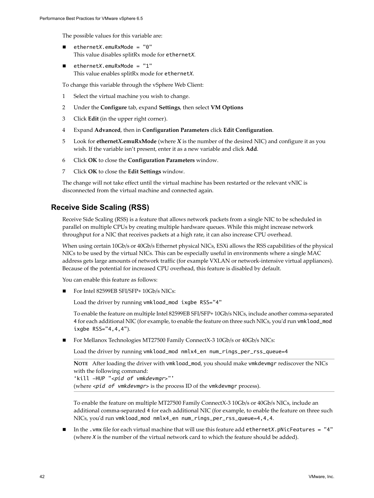The possible values for this variable are:

- $ethernetX$ .emuRxMode =  $"0"$ This value disables splitRx mode for ethernet*X*.
- $\blacksquare$  ethernet*X*.emuRxMode = "1" This value enables splitRx mode for ethernet*X*.

To change this variable through the vSphere Web Client:

- 1 Select the virtual machine you wish to change.
- 2 Under the **Configure** tab, expand **Settings**, then select **VM Options**
- 3 Click **Edit** (in the upper right corner).
- 4 Expand **Advanced**, then in **Configuration Parameters** click **Edit Configuration**.
- 5 Look for **ethernet***X***.emuRxMode** (where *X* is the number of the desired NIC) and configure it as you wish. If the variable isn't present, enter it as a new variable and click **Add**.
- 6 Click **OK** to close the **Configuration Parameters** window.
- 7 Click **OK** to close the **Edit Settings** window.

The change will not take effect until the virtual machine has been restarted or the relevant vNIC is disconnected from the virtual machine and connected again.

## **Receive Side Scaling (RSS)**

Receive Side Scaling (RSS) is a feature that allows network packets from a single NIC to be scheduled in parallel on multiple CPUs by creating multiple hardware queues. While this might increase network throughput for a NIC that receives packets at a high rate, it can also increase CPU overhead.

When using certain 10Gb/s or 40Gb/s Ethernet physical NICs, ESXi allows the RSS capabilities of the physical NICs to be used by the virtual NICs. This can be especially useful in environments where a single MAC address gets large amounts of network traffic (for example VXLAN or network-intensive virtual appliances). Because of the potential for increased CPU overhead, this feature is disabled by default.

You can enable this feature as follows:

For Intel 82599EB SFI/SFP+ 10Gb/s NICs:

Load the driver by running vmkload\_mod ixgbe RSS="4"

To enable the feature on multiple Intel 82599EB SFI/SFP+ 10Gb/s NICs, include another comma-separated 4 for each additional NIC (for example, to enable the feature on three such NICs, you'd run vmkload\_mod ixgbe RSS="4,4,4").

For Mellanox Technologies MT27500 Family ConnectX-3 10Gb/s or 40Gb/s NICs:

Load the driver by running vmkload\_mod nmlx4\_en num\_rings\_per\_rss\_queue=4

```
NOTE After loading the driver with vmkload_mod, you should make vmkdevmgr rediscover the NICs 
with the following command:
'kill -HUP "<pid of vmkdevmgr>"'
(where <pid of vmkdevmgr> is the process ID of the vmkdevmgr process).
```
To enable the feature on multiple MT27500 Family ConnectX-3 10Gb/s or 40Gb/s NICs, include an additional comma-separated 4 for each additional NIC (for example, to enable the feature on three such NICs, youʹd run vmkload\_mod nmlx4\_en num\_rings\_per\_rss\_queue=4,4,4.

 In the .vmx file for each virtual machine that will use this feature add ethernet*X*.pNicFeatures = "4" (where *X* is the number of the virtual network card to which the feature should be added).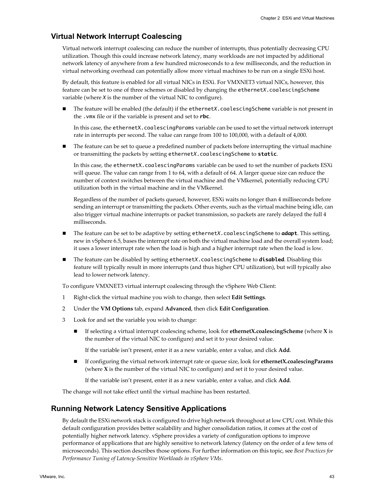#### <span id="page-42-0"></span>**Virtual Network Interrupt Coalescing**

Virtual network interrupt coalescing can reduce the number of interrupts, thus potentially decreasing CPU utilization. Though this could increase network latency, many workloads are not impacted by additional network latency of anywhere from a few hundred microseconds to a few milliseconds, and the reduction in virtual networking overhead can potentially allow more virtual machines to be run on a single ESXi host.

By default, this feature is enabled for all virtual NICs in ESXi. For VMXNET3 virtual NICs, however, this feature can be set to one of three schemes or disabled by changing the ethernet*X*.coalescingScheme variable (where *X* is the number of the virtual NIC to configure).

■ The feature will be enabled (the default) if the ethernet*X*.coalescingScheme variable is not present in the .vmx file or if the variable is present and set to **rbc**.

In this case, the ethernetX.coalescingParams variable can be used to set the virtual network interrupt rate in interrupts per second. The value can range from 100 to 100,000, with a default of 4,000.

 The feature can be set to queue a predefined number of packets before interrupting the virtual machine or transmitting the packets by setting ethernet*X*.coalescingScheme to **static**.

In this case, the ethernetX.coalescingParams variable can be used to set the number of packets ESXi will queue. The value can range from 1 to 64, with a default of 64. A larger queue size can reduce the number of context switches between the virtual machine and the VMkernel, potentially reducing CPU utilization both in the virtual machine and in the VMkernel.

Regardless of the number of packets queued, however, ESXi waits no longer than 4 milliseconds before sending an interrupt or transmitting the packets. Other events, such as the virtual machine being idle, can also trigger virtual machine interrupts or packet transmission, so packets are rarely delayed the full 4 milliseconds.

- The feature can be set to be adaptive by setting ethernet*X*.coalescingScheme to **adapt**. This setting, new in vSphere 6.5, bases the interrupt rate on both the virtual machine load and the overall system load; it uses a lower interrupt rate when the load is high and a higher interrupt rate when the load is low.
- The feature can be disabled by setting ethernet*X*.coalescingScheme to **disabled**. Disabling this feature will typically result in more interrupts (and thus higher CPU utilization), but will typically also lead to lower network latency.

To configure VMXNET3 virtual interrupt coalescing through the vSphere Web Client:

- 1 Right-click the virtual machine you wish to change, then select **Edit Settings**.
- 2 Under the **VM Options** tab, expand **Advanced**, then click **Edit Configuration**.
- 3 Look for and set the variable you wish to change:
	- If selecting a virtual interrupt coalescing scheme, look for **ethernetX.coalescingScheme** (where **X** is the number of the virtual NIC to configure) and set it to your desired value.

If the variable isn't present, enter it as a new variable, enter a value, and click **Add**.

 If configuring the virtual network interrupt rate or queue size, look for **ethernetX.coalescingParams** (where **X** is the number of the virtual NIC to configure) and set it to your desired value.

If the variable isn't present, enter it as a new variable, enter a value, and click **Add**.

The change will not take effect until the virtual machine has been restarted.

#### **Running Network Latency Sensitive Applications**

By default the ESXi network stack is configured to drive high network throughout at low CPU cost. While this default configuration provides better scalability and higher consolidation ratios, it comes at the cost of potentially higher network latency. vSphere provides a variety of configuration options to improve performance of applications that are highly sensitive to network latency (latency on the order of a few tens of microseconds). This section describes those options. For further information on this topic, see *Best Practices for Performance Tuning of Latency-Sensitive Workloads in vSphere VMs*.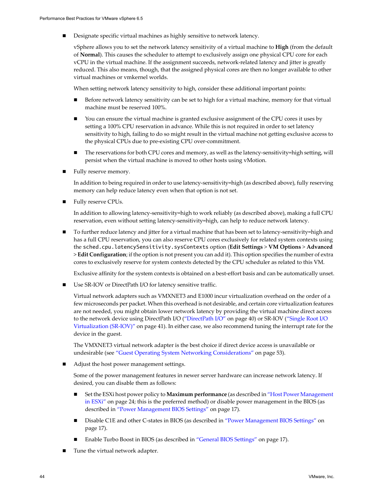Designate specific virtual machines as highly sensitive to network latency.

vSphere allows you to set the network latency sensitivity of a virtual machine to **High** (from the default of **Normal**). This causes the scheduler to attempt to exclusively assign one physical CPU core for each vCPU in the virtual machine. If the assignment succeeds, network-related latency and jitter is greatly reduced. This also means, though, that the assigned physical cores are then no longer available to other virtual machines or vmkernel worlds.

When setting network latency sensitivity to high, consider these additional important points:

- Before network latency sensitivity can be set to high for a virtual machine, memory for that virtual machine must be reserved 100%.
- You can ensure the virtual machine is granted exclusive assignment of the CPU cores it uses by setting a 100% CPU reservation in advance. While this is not required in order to set latency sensitivity to high, failing to do so might result in the virtual machine not getting exclusive access to the physical CPUs due to pre-existing CPU over-commitment.
- The reservations for both CPU cores and memory, as well as the latency-sensitivity=high setting, will persist when the virtual machine is moved to other hosts using vMotion.
- Fully reserve memory.

In addition to being required in order to use latency-sensitivity=high (as described above), fully reserving memory can help reduce latency even when that option is not set.

**Fully reserve CPUs.** 

In addition to allowing latency-sensitivity=high to work reliably (as described above), making a full CPU reservation, even without setting latency-sensitivity=high, can help to reduce network latency.

 To further reduce latency and jitter for a virtual machine that has been set to latency-sensitivity=high and has a full CPU reservation, you can also reserve CPU cores exclusively for related system contexts using the sched.cpu.latencySensitivity.sysContexts option (**Edit Settings** > **VM Options** > **Advanced** > **Edit Configuration**; if the option is not present you can add it). This option specifies the number of extra cores to exclusively reserve for system contexts detected by the CPU scheduler as related to this VM.

Exclusive affinity for the system contexts is obtained on a best-effort basis and can be automatically unset.

■ Use SR-IOV or DirectPath I/O for latency sensitive traffic.

Virtual network adapters such as VMXNET3 and E1000 incur virtualization overhead on the order of a few microseconds per packet. When this overhead is not desirable, and certain core virtualization features are not needed, you might obtain lower network latency by providing the virtual machine direct access to the network device using DirectPath I/O [\("DirectPath I/O" on page 40\)](#page-39-0) or SR-IOV [\("Single Root I/O](#page-40-1)  [Virtualization \(SR-IOV\)" on page 41\)](#page-40-1). In either case, we also recommend tuning the interrupt rate for the device in the guest.

The VMXNET3 virtual network adapter is the best choice if direct device access is unavailable or undesirable (see ["Guest Operating System Networking Considerations" on page 53](#page-52-0)).

Adjust the host power management settings.

Some of the power management features in newer server hardware can increase network latency. If desired, you can disable them as follows:

- Set the ESXi host power policy to **Maximum performance** (as described in ["Host Power Management](#page-23-0)  [in ESXi" on page 24;](#page-23-0) this is the preferred method) or disable power management in the BIOS (as described in ["Power Management BIOS Settings" on page 17](#page-16-0)).
- Disable C1E and other C-states in BIOS (as described in "Power Management BIOS Settings" on [page 17](#page-16-0)).
- Enable Turbo Boost in BIOS (as described in ["General BIOS Settings" on page 17\)](#page-16-1).
- Tune the virtual network adapter.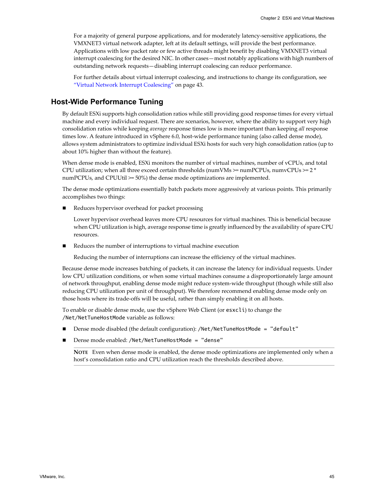For a majority of general purpose applications, and for moderately latency-sensitive applications, the VMXNET3 virtual network adapter, left at its default settings, will provide the best performance. Applications with low packet rate or few active threads might benefit by disabling VMXNET3 virtual interrupt coalescing for the desired NIC. In other cases—most notably applications with high numbers of outstanding network requests—disabling interrupt coalescing can reduce performance.

For further details about virtual interrupt coalescing, and instructions to change its configuration, see ["Virtual Network Interrupt Coalescing" on page 43](#page-42-0).

#### **Host-Wide Performance Tuning**

By default ESXi supports high consolidation ratios while still providing good response times for every virtual machine and every individual request. There are scenarios, however, where the ability to support very high consolidation ratios while keeping *average* response times low is more important than keeping *all* response times low. A feature introduced in vSphere 6.0, host-wide performance tuning (also called dense mode), allows system administrators to optimize individual ESXi hosts for such very high consolidation ratios (up to about 10% higher than without the feature).

When dense mode is enabled, ESXi monitors the number of virtual machines, number of vCPUs, and total CPU utilization; when all three exceed certain thresholds (numVMs  $\ge$ = numPCPUs, numvCPUs  $\ge$ = 2  $^*$ numPCPUs, and CPUUtil >= 50%) the dense mode optimizations are implemented.

The dense mode optimizations essentially batch packets more aggressively at various points. This primarily accomplishes two things:

Reduces hypervisor overhead for packet processing

Lower hypervisor overhead leaves more CPU resources for virtual machines. This is beneficial because when CPU utilization is high, average response time is greatly influenced by the availability of spare CPU resources.

Reduces the number of interruptions to virtual machine execution

Reducing the number of interruptions can increase the efficiency of the virtual machines.

Because dense mode increases batching of packets, it can increase the latency for individual requests. Under low CPU utilization conditions, or when some virtual machines consume a disproportionately large amount of network throughput, enabling dense mode might reduce system-wide throughput (though while still also reducing CPU utilization per unit of throughput). We therefore recommend enabling dense mode only on those hosts where its trade-offs will be useful, rather than simply enabling it on all hosts.

To enable or disable dense mode, use the vSphere Web Client (or esxcli) to change the /Net/NetTuneHostMode variable as follows:

- Dense mode disabled (the default configuration): /Net/NetTuneHostMode = "default"
- Dense mode enabled: /Net/NetTuneHostMode = "dense"

**NOTE** Even when dense mode is enabled, the dense mode optimizations are implemented only when a host's consolidation ratio and CPU utilization reach the thresholds described above.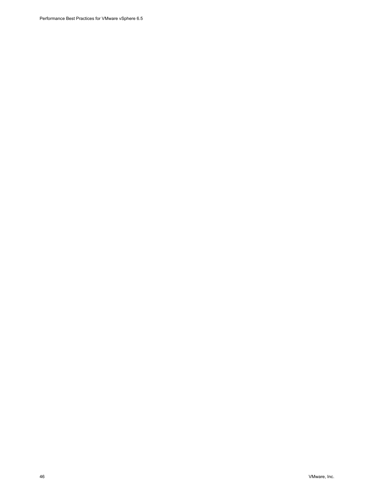Performance Best Practices for VMware vSphere 6.5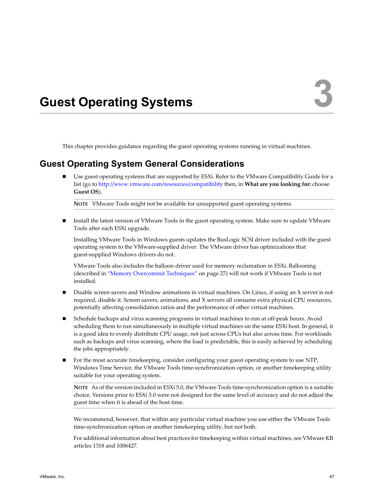# **Guest Operating Systems 3**

This chapter provides guidance regarding the guest operating systems running in virtual machines.

## **Guest Operating System General Considerations**

 Use guest operating systems that are supported by ESXi. Refer to the VMware Compatibility Guide for a list (go to http://www.vmware.com/resources/compatibility then, in **What are you looking for:** choose **Guest OS**).

**NOTE** VMware Tools might not be available for unsupported guest operating systems.

 Install the latest version of VMware Tools in the guest operating system. Make sure to update VMware Tools after each ESXi upgrade.

Installing VMware Tools in Windows guests updates the BusLogic SCSI driver included with the guest operating system to the VMware-supplied driver. The VMware driver has optimizations that guest-supplied Windows drivers do not.

VMware Tools also includes the balloon driver used for memory reclamation in ESXi. Ballooning (described in ["Memory Overcommit Techniques" on page 27\)](#page-26-0) will not work if VMware Tools is not installed.

- Disable screen savers and Window animations in virtual machines. On Linux, if using an X server is not required, disable it. Screen savers, animations, and X servers all consume extra physical CPU resources, potentially affecting consolidation ratios and the performance of other virtual machines.
- Schedule backups and virus scanning programs in virtual machines to run at off-peak hours. Avoid scheduling them to run simultaneously in multiple virtual machines on the same ESXi host. In general, it is a good idea to evenly distribute CPU usage, not just across CPUs but also across time. For workloads such as backups and virus scanning, where the load is predictable, this is easily achieved by scheduling the jobs appropriately.
- For the most accurate timekeeping, consider configuring your guest operating system to use NTP, Windows Time Service, the VMware Tools time-synchronization option, or another timekeeping utility suitable for your operating system.

**NOTE** As of the version included in ESXi 5.0, the VMware Tools time-synchronization option is a suitable choice. Versions prior to ESXi 5.0 were not designed for the same level of accuracy and do not adjust the guest time when it is ahead of the host time.

We recommend, however, that within any particular virtual machine you use either the VMware Tools time-synchronization option or another timekeeping utility, but not both.

For additional information about best practices for timekeeping within virtual machines, see VMware KB articles 1318 and 1006427.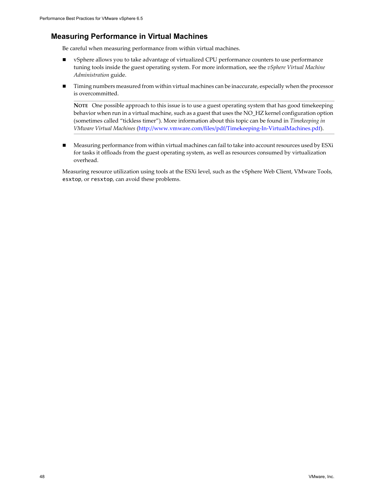## **Measuring Performance in Virtual Machines**

Be careful when measuring performance from within virtual machines.

- vSphere allows you to take advantage of virtualized CPU performance counters to use performance tuning tools inside the guest operating system. For more information, see the *vSphere Virtual Machine Administration* guide.
- Timing numbers measured from within virtual machines can be inaccurate, especially when the processor is overcommitted.

**NOTE** One possible approach to this issue is to use a guest operating system that has good timekeeping behavior when run in a virtual machine, such as a guest that uses the NO\_HZ kernel configuration option (sometimes called "tickless timer"). More information about this topic can be found in *Timekeeping in VMware Virtual Machines* (http://www.vmware.com/files/pdf/Timekeeping-In-VirtualMachines.pdf).

 Measuring performance from within virtual machines can fail to take into account resources used by ESXi for tasks it offloads from the guest operating system, as well as resources consumed by virtualization overhead.

Measuring resource utilization using tools at the ESXi level, such as the vSphere Web Client, VMware Tools, esxtop, or resxtop, can avoid these problems.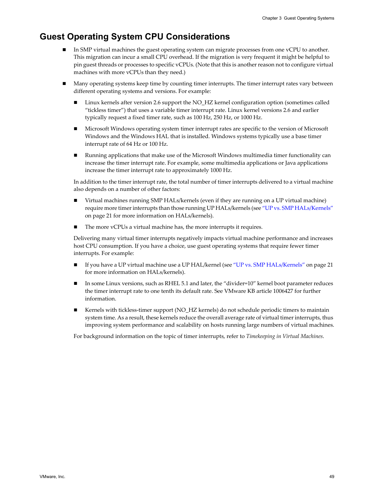## **Guest Operating System CPU Considerations**

- In SMP virtual machines the guest operating system can migrate processes from one vCPU to another. This migration can incur a small CPU overhead. If the migration is very frequent it might be helpful to pin guest threads or processes to specific vCPUs. (Note that this is another reason not to configure virtual machines with more vCPUs than they need.)
- Many operating systems keep time by counting timer interrupts. The timer interrupt rates vary between different operating systems and versions. For example:
	- Linux kernels after version 2.6 support the NO\_HZ kernel configuration option (sometimes called "tickless timer") that uses a variable timer interrupt rate. Linux kernel versions 2.6 and earlier typically request a fixed timer rate, such as 100 Hz, 250 Hz, or 1000 Hz.
	- Microsoft Windows operating system timer interrupt rates are specific to the version of Microsoft Windows and the Windows HAL that is installed. Windows systems typically use a base timer interrupt rate of 64 Hz or 100 Hz.
	- Running applications that make use of the Microsoft Windows multimedia timer functionality can increase the timer interrupt rate. For example, some multimedia applications or Java applications increase the timer interrupt rate to approximately 1000 Hz.

In addition to the timer interrupt rate, the total number of timer interrupts delivered to a virtual machine also depends on a number of other factors:

- Virtual machines running SMP HALs/kernels (even if they are running on a UP virtual machine) require more timer interrupts than those running UP HALs/kernels (see ["UP vs. SMP HALs/Kernels"](#page-20-0) [on page 21](#page-20-0) for more information on HALs/kernels).
- The more vCPUs a virtual machine has, the more interrupts it requires.

Delivering many virtual timer interrupts negatively impacts virtual machine performance and increases host CPU consumption. If you have a choice, use guest operating systems that require fewer timer interrupts. For example:

- If you have a UP virtual machine use a UP HAL/kernel (see ["UP vs. SMP HALs/Kernels" on page 21](#page-20-0) for more information on HALs/kernels).
- In some Linux versions, such as RHEL 5.1 and later, the "divider=10" kernel boot parameter reduces the timer interrupt rate to one tenth its default rate. See VMware KB article 1006427 for further information.
- Kernels with tickless-timer support (NO\_HZ kernels) do not schedule periodic timers to maintain system time. As a result, these kernels reduce the overall average rate of virtual timer interrupts, thus improving system performance and scalability on hosts running large numbers of virtual machines.

For background information on the topic of timer interrupts, refer to *Timekeeping in Virtual Machines*.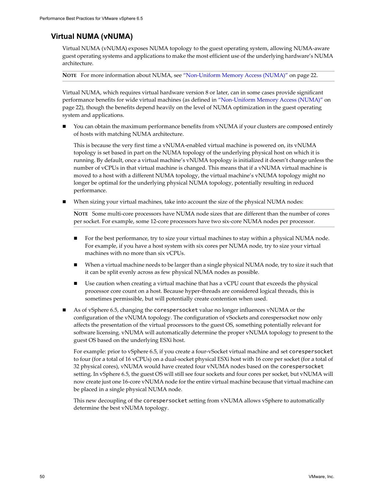## **Virtual NUMA (vNUMA)**

Virtual NUMA (vNUMA) exposes NUMA topology to the guest operating system, allowing NUMA-aware guest operating systems and applications to make the most efficient use of the underlying hardware's NUMA architecture.

**NOTE** For more information about NUMA, see ["Non-Uniform Memory Access \(NUMA\)" on page 22](#page-21-0).

Virtual NUMA, which requires virtual hardware version 8 or later, can in some cases provide significant performance benefits for wide virtual machines (as defined in ["Non-Uniform Memory Access \(NUMA\)" on](#page-21-0)  [page 22](#page-21-0)), though the benefits depend heavily on the level of NUMA optimization in the guest operating system and applications.

 You can obtain the maximum performance benefits from vNUMA if your clusters are composed entirely of hosts with matching NUMA architecture.

This is because the very first time a vNUMA-enabled virtual machine is powered on, its vNUMA topology is set based in part on the NUMA topology of the underlying physical host on which it is running. By default, once a virtual machine's vNUMA topology is initialized it doesn't change unless the number of vCPUs in that virtual machine is changed. This means that if a vNUMA virtual machine is moved to a host with a different NUMA topology, the virtual machine's vNUMA topology might no longer be optimal for the underlying physical NUMA topology, potentially resulting in reduced performance.

When sizing your virtual machines, take into account the size of the physical NUMA nodes:

**NOTE** Some multi-core processors have NUMA node sizes that are different than the number of cores per socket. For example, some 12-core processors have two six-core NUMA nodes per processor.

- For the best performance, try to size your virtual machines to stay within a physical NUMA node. For example, if you have a host system with six cores per NUMA node, try to size your virtual machines with no more than six vCPUs.
- When a virtual machine needs to be larger than a single physical NUMA node, try to size it such that it can be split evenly across as few physical NUMA nodes as possible.
- Use caution when creating a virtual machine that has a vCPU count that exceeds the physical processor core count on a host. Because hyper-threads are considered logical threads, this is sometimes permissible, but will potentially create contention when used.
- As of vSphere 6.5, changing the corespersocket value no longer influences vNUMA or the configuration of the vNUMA topology. The configuration of vSockets and corespersocket now only affects the presentation of the virtual processors to the guest OS, something potentially relevant for software licensing. vNUMA will automatically determine the proper vNUMA topology to present to the guest OS based on the underlying ESXi host.

For example: prior to vSphere 6.5, if you create a four-vSocket virtual machine and set corespersocket to four (for a total of 16 vCPUs) on a dual-socket physical ESXi host with 16 core per socket (for a total of 32 physical cores), vNUMA would have created four vNUMA nodes based on the corespersocket setting. In vSphere 6.5, the guest OS will still see four sockets and four cores per socket, but vNUMA will now create just one 16-core vNUMA node for the entire virtual machine because that virtual machine can be placed in a single physical NUMA node.

This new decoupling of the corespersocket setting from vNUMA allows vSphere to automatically determine the best vNUMA topology.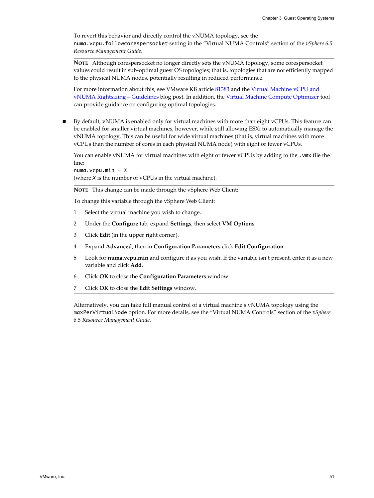To revert this behavior and directly control the vNUMA topology, see the numa.vcpu.followcorespersocket setting in the "Virtual NUMA Controls" section of the *vSphere 6.5 Resource Management Guide*.

**NOTE** Although corespersocket no longer directly sets the vNUMA topology, some corespersocket values could result in sub-optimal guest OS topologies; that is, topologies that are not efficiently mapped to the physical NUMA nodes, potentially resulting in reduced performance.

For more information about this, see VMware KB article [81383](https://kb.vmware.com/s/article/81383) and the [Virtual Machine vCPU and](https://blogs.vmware.com/performance/2017/03/virtual-machine-vcpu-and-vnuma-rightsizing-rules-of-thumb.html)  [vNUMA Rightsizing – Guidelines](https://blogs.vmware.com/performance/2017/03/virtual-machine-vcpu-and-vnuma-rightsizing-rules-of-thumb.html) blog post. In addition, the [Virtual Machine Compute Optimizer](https://flings.vmware.com/virtual-machine-compute-optimizer) tool can provide guidance on configuring optimal topologies.

 By default, vNUMA is enabled only for virtual machines with more than eight vCPUs. This feature can be enabled for smaller virtual machines, however, while still allowing ESXi to automatically manage the vNUMA topology. This can be useful for wide virtual machines (that is, virtual machines with more vCPUs than the number of cores in each physical NUMA node) with eight or fewer vCPUs.

You can enable vNUMA for virtual machines with eight or fewer vCPUs by adding to the . vmx file the line:

```
numa.vcpu.min = X
(where X is the number of vCPUs in the virtual machine).
```
**NOTE** This change can be made through the vSphere Web Client:

To change this variable through the vSphere Web Client:

- 1 Select the virtual machine you wish to change.
- 2 Under the **Configure** tab, expand **Settings**, then select **VM Options**
- 3 Click **Edit** (in the upper right corner).
- 4 Expand **Advanced**, then in **Configuration Parameters** click **Edit Configuration**.
- 5 Look for **numa.vcpu.min** and configure it as you wish. If the variable isn't present, enter it as a new variable and click **Add**.
- 6 Click **OK** to close the **Configuration Parameters** window.
- 7 Click **OK** to close the **Edit Settings** window.

Alternatively, you can take full manual control of a virtual machine's vNUMA topology using the maxPerVirtualNode option. For more details, see the "Virtual NUMA Controls" section of the *vSphere 6.5 Resource Management Guide*.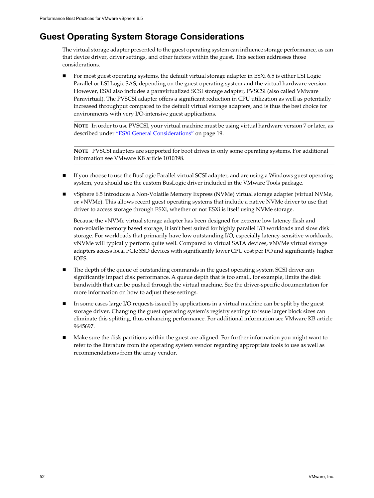## **Guest Operating System Storage Considerations**

The virtual storage adapter presented to the guest operating system can influence storage performance, as can that device driver, driver settings, and other factors within the guest. This section addresses those considerations.

■ For most guest operating systems, the default virtual storage adapter in ESXi 6.5 is either LSI Logic Parallel or LSI Logic SAS, depending on the guest operating system and the virtual hardware version. However, ESXi also includes a paravirtualized SCSI storage adapter, PVSCSI (also called VMware Paravirtual). The PVSCSI adapter offers a significant reduction in CPU utilization as well as potentially increased throughput compared to the default virtual storage adapters, and is thus the best choice for environments with very I/O-intensive guest applications.

**NOTE** In order to use PVSCSI, your virtual machine must be using virtual hardware version 7 or later, as described under ["ESXi General Considerations" on page 19](#page-18-0).

**NOTE** PVSCSI adapters are supported for boot drives in only some operating systems. For additional information see VMware KB article 1010398.

- If you choose to use the BusLogic Parallel virtual SCSI adapter, and are using a Windows guest operating system, you should use the custom BusLogic driver included in the VMware Tools package.
- vSphere 6.5 introduces a Non-Volatile Memory Express (NVMe) virtual storage adapter (virtual NVMe, or vNVMe). This allows recent guest operating systems that include a native NVMe driver to use that driver to access storage through ESXi, whether or not ESXi is itself using NVMe storage.

Because the vNVMe virtual storage adapter has been designed for extreme low latency flash and non-volatile memory based storage, it isn't best suited for highly parallel I/O workloads and slow disk storage. For workloads that primarily have low outstanding I/O, especially latency-sensitive workloads, vNVMe will typically perform quite well. Compared to virtual SATA devices, vNVMe virtual storage adapters access local PCIe SSD devices with significantly lower CPU cost per I/O and significantly higher IOPS.

- The depth of the queue of outstanding commands in the guest operating system SCSI driver can significantly impact disk performance. A queue depth that is too small, for example, limits the disk bandwidth that can be pushed through the virtual machine. See the driver-specific documentation for more information on how to adjust these settings.
- In some cases large I/O requests issued by applications in a virtual machine can be split by the guest storage driver. Changing the guest operating system's registry settings to issue larger block sizes can eliminate this splitting, thus enhancing performance. For additional information see VMware KB article 9645697.
- Make sure the disk partitions within the guest are aligned. For further information you might want to refer to the literature from the operating system vendor regarding appropriate tools to use as well as recommendations from the array vendor.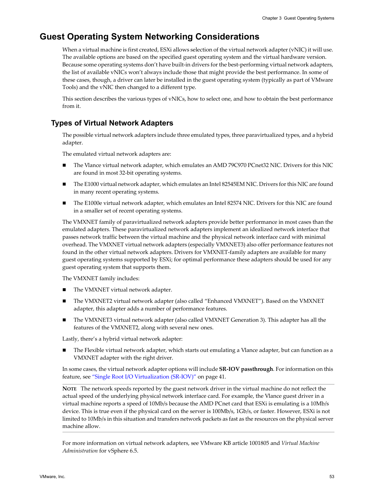## <span id="page-52-0"></span>**Guest Operating System Networking Considerations**

When a virtual machine is first created, ESXi allows selection of the virtual network adapter (vNIC) it will use. The available options are based on the specified guest operating system and the virtual hardware version. Because some operating systems don't have built-in drivers for the best-performing virtual network adapters, the list of available vNICs won't always include those that might provide the best performance. In some of these cases, though, a driver can later be installed in the guest operating system (typically as part of VMware Tools) and the vNIC then changed to a different type.

This section describes the various types of vNICs, how to select one, and how to obtain the best performance from it.

## **Types of Virtual Network Adapters**

The possible virtual network adapters include three emulated types, three paravirtualized types, and a hybrid adapter.

The emulated virtual network adapters are:

- The Vlance virtual network adapter, which emulates an AMD 79C970 PCnet32 NIC. Drivers for this NIC are found in most 32-bit operating systems.
- The E1000 virtual network adapter, which emulates an Intel 82545EM NIC. Drivers for this NIC are found in many recent operating systems.
- The E1000e virtual network adapter, which emulates an Intel 82574 NIC. Drivers for this NIC are found in a smaller set of recent operating systems.

The VMXNET family of paravirtualized network adapters provide better performance in most cases than the emulated adapters. These paravirtualized network adapters implement an idealized network interface that passes network traffic between the virtual machine and the physical network interface card with minimal overhead. The VMXNET virtual network adapters (especially VMXNET3) also offer performance features not found in the other virtual network adapters. Drivers for VMXNET-family adapters are available for many guest operating systems supported by ESXi; for optimal performance these adapters should be used for any guest operating system that supports them.

The VMXNET family includes:

- The VMXNET virtual network adapter.
- The VMXNET2 virtual network adapter (also called "Enhanced VMXNET"). Based on the VMXNET adapter, this adapter adds a number of performance features.
- The VMXNET3 virtual network adapter (also called VMXNET Generation 3). This adapter has all the features of the VMXNET2, along with several new ones.

Lastly, there's a hybrid virtual network adapter:

 The Flexible virtual network adapter, which starts out emulating a Vlance adapter, but can function as a VMXNET adapter with the right driver.

In some cases, the virtual network adapter options will include **SR-IOV passthrough**. For information on this feature, see ["Single Root I/O Virtualization \(SR-IOV\)" on page 41.](#page-40-2)

**NOTE** The network speeds reported by the guest network driver in the virtual machine do not reflect the actual speed of the underlying physical network interface card. For example, the Vlance guest driver in a virtual machine reports a speed of 10Mb/s because the AMD PCnet card that ESXi is emulating is a 10Mb/s device. This is true even if the physical card on the server is 100Mb/s, 1Gb/s, or faster. However, ESXi is not limited to 10Mb/s in this situation and transfers network packets as fast as the resources on the physical server machine allow.

For more information on virtual network adapters, see VMware KB article 1001805 and *Virtual Machine Administration* for vSphere 6.5.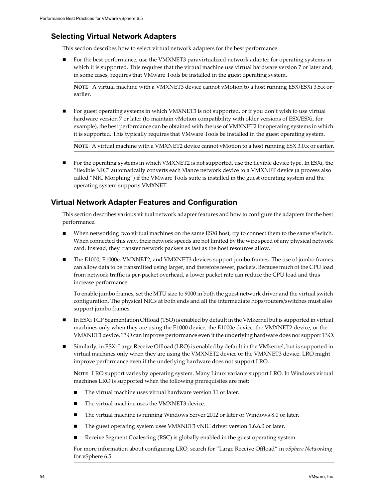## **Selecting Virtual Network Adapters**

This section describes how to select virtual network adapters for the best performance.

 For the best performance, use the VMXNET3 paravirtualized network adapter for operating systems in which it is supported. This requires that the virtual machine use virtual hardware version 7 or later and, in some cases, requires that VMware Tools be installed in the guest operating system.

**NOTE** A virtual machine with a VMXNET3 device cannot vMotion to a host running ESX/ESXi 3.5.x or earlier.

 For guest operating systems in which VMXNET3 is not supported, or if you don't wish to use virtual hardware version 7 or later (to maintain vMotion compatibility with older versions of ESX/ESXi, for example), the best performance can be obtained with the use of VMXNET2 for operating systems in which it is supported. This typically requires that VMware Tools be installed in the guest operating system.

**NOTE** A virtual machine with a VMXNET2 device cannot vMotion to a host running ESX 3.0.x or earlier.

 For the operating systems in which VMXNET2 is not supported, use the flexible device type. In ESXi, the "flexible NIC" automatically converts each Vlance network device to a VMXNET device (a process also called "NIC Morphing") if the VMware Tools suite is installed in the guest operating system and the operating system supports VMXNET.

## **Virtual Network Adapter Features and Configuration**

This section describes various virtual network adapter features and how to configure the adapters for the best performance.

- When networking two virtual machines on the same ESXi host, try to connect them to the same vSwitch. When connected this way, their network speeds are not limited by the wire speed of any physical network card. Instead, they transfer network packets as fast as the host resources allow.
- The E1000, E1000e, VMXNET2, and VMXNET3 devices support jumbo frames. The use of jumbo frames can allow data to be transmitted using larger, and therefore fewer, packets. Because much of the CPU load from network traffic is per-packet overhead, a lower packet rate can reduce the CPU load and thus increase performance.

To enable jumbo frames, set the MTU size to 9000 in both the guest network driver and the virtual switch configuration. The physical NICs at both ends and all the intermediate hops/routers/switches must also support jumbo frames.

- In ESXi TCP Segmentation Offload (TSO) is enabled by default in the VMkernel but is supported in virtual machines only when they are using the E1000 device, the E1000e device, the VMXNET2 device, or the VMXNET3 device. TSO can improve performance even if the underlying hardware does not support TSO.
- Similarly, in ESXi Large Receive Offload (LRO) is enabled by default in the VMkernel, but is supported in virtual machines only when they are using the VMXNET2 device or the VMXNET3 device. LRO might improve performance even if the underlying hardware does not support LRO.

**NOTE** LRO support varies by operating system. Many Linux variants support LRO. In Windows virtual machines LRO is supported when the following prerequisites are met:

- The virtual machine uses virtual hardware version 11 or later.
- The virtual machine uses the VMXNET3 device.
- The virtual machine is running Windows Server 2012 or later or Windows 8.0 or later.
- The guest operating system uses VMXNET3 vNIC driver version 1.6.6.0 or later.
- Receive Segment Coalescing (RSC) is globally enabled in the guest operating system.

For more information about configuring LRO, search for "Large Receive Offload" in *vSphere Networking* for vSphere 6.5.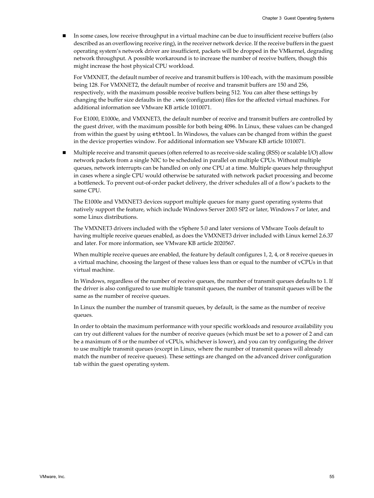In some cases, low receive throughput in a virtual machine can be due to insufficient receive buffers (also described as an overflowing receive ring), in the receiver network device. If the receive buffers in the guest operating system's network driver are insufficient, packets will be dropped in the VMkernel, degrading network throughput. A possible workaround is to increase the number of receive buffers, though this might increase the host physical CPU workload.

For VMXNET, the default number of receive and transmit buffers is 100 each, with the maximum possible being 128. For VMXNET2, the default number of receive and transmit buffers are 150 and 256, respectively, with the maximum possible receive buffers being 512. You can alter these settings by changing the buffer size defaults in the .vmx (configuration) files for the affected virtual machines. For additional information see VMware KB article 1010071.

For E1000, E1000e, and VMXNET3, the default number of receive and transmit buffers are controlled by the guest driver, with the maximum possible for both being 4096. In Linux, these values can be changed from within the guest by using ethtool. In Windows, the values can be changed from within the guest in the device properties window. For additional information see VMware KB article 1010071.

 Multiple receive and transmit queues (often referred to as receive-side scaling (RSS) or scalable I/O) allow network packets from a single NIC to be scheduled in parallel on multiple CPUs. Without multiple queues, network interrupts can be handled on only one CPU at a time. Multiple queues help throughput in cases where a single CPU would otherwise be saturated with network packet processing and become a bottleneck. To prevent out-of-order packet delivery, the driver schedules all of a flow's packets to the same CPU.

The E1000e and VMXNET3 devices support multiple queues for many guest operating systems that natively support the feature, which include Windows Server 2003 SP2 or later, Windows 7 or later, and some Linux distributions.

The VMXNET3 drivers included with the vSphere 5.0 and later versions of VMware Tools default to having multiple receive queues enabled, as does the VMXNET3 driver included with Linux kernel 2.6.37 and later. For more information, see VMware KB article 2020567.

When multiple receive queues are enabled, the feature by default configures 1, 2, 4, or 8 receive queues in a virtual machine, choosing the largest of these values less than or equal to the number of vCPUs in that virtual machine.

In Windows, regardless of the number of receive queues, the number of transmit queues defaults to 1. If the driver is also configured to use multiple transmit queues, the number of transmit queues will be the same as the number of receive queues.

In Linux the number the number of transmit queues, by default, is the same as the number of receive queues.

In order to obtain the maximum performance with your specific workloads and resource availability you can try out different values for the number of receive queues (which must be set to a power of 2 and can be a maximum of 8 or the number of vCPUs, whichever is lower), and you can try configuring the driver to use multiple transmit queues (except in Linux, where the number of transmit queues will already match the number of receive queues). These settings are changed on the advanced driver configuration tab within the guest operating system.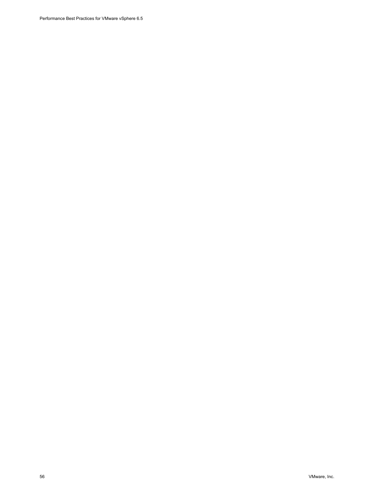Performance Best Practices for VMware vSphere 6.5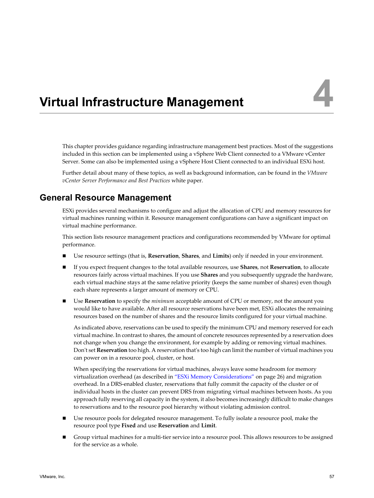## **Virtual Infrastructure Management 4**

This chapter provides guidance regarding infrastructure management best practices. Most of the suggestions included in this section can be implemented using a vSphere Web Client connected to a VMware vCenter Server. Some can also be implemented using a vSphere Host Client connected to an individual ESXi host.

Further detail about many of these topics, as well as background information, can be found in the *VMware vCenter Server Performance and Best Practices* white paper.

## **General Resource Management**

ESXi provides several mechanisms to configure and adjust the allocation of CPU and memory resources for virtual machines running within it. Resource management configurations can have a significant impact on virtual machine performance.

This section lists resource management practices and configurations recommended by VMware for optimal performance.

- Use resource settings (that is, **Reservation**, **Shares**, and **Limits**) only if needed in your environment.
- If you expect frequent changes to the total available resources, use **Shares**, not **Reservation**, to allocate resources fairly across virtual machines. If you use **Shares** and you subsequently upgrade the hardware, each virtual machine stays at the same relative priority (keeps the same number of shares) even though each share represents a larger amount of memory or CPU.
- Use **Reservation** to specify the *minimum* acceptable amount of CPU or memory, not the amount you would like to have available. After all resource reservations have been met, ESXi allocates the remaining resources based on the number of shares and the resource limits configured for your virtual machine.

As indicated above, reservations can be used to specify the minimum CPU and memory reserved for each virtual machine. In contrast to shares, the amount of concrete resources represented by a reservation does not change when you change the environment, for example by adding or removing virtual machines. Donʹt set **Reservation** too high. A reservation thatʹs too high can limit the number of virtual machines you can power on in a resource pool, cluster, or host.

When specifying the reservations for virtual machines, always leave some headroom for memory virtualization overhead (as described in ["ESXi Memory Considerations" on page 26\)](#page-25-0) and migration overhead. In a DRS-enabled cluster, reservations that fully commit the capacity of the cluster or of individual hosts in the cluster can prevent DRS from migrating virtual machines between hosts. As you approach fully reserving all capacity in the system, it also becomes increasingly difficult to make changes to reservations and to the resource pool hierarchy without violating admission control.

- Use resource pools for delegated resource management. To fully isolate a resource pool, make the resource pool type **Fixed** and use **Reservation** and **Limit**.
- Group virtual machines for a multi-tier service into a resource pool. This allows resources to be assigned for the service as a whole.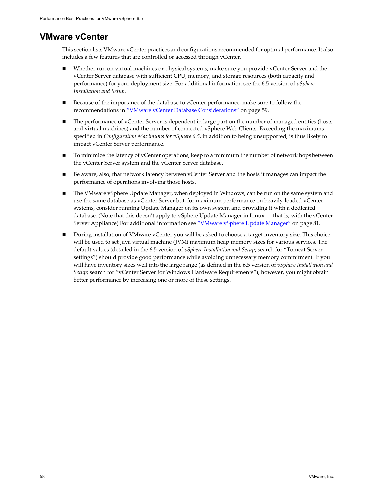## **VMware vCenter**

This section lists VMware vCenter practices and configurations recommended for optimal performance. It also includes a few features that are controlled or accessed through vCenter.

- Whether run on virtual machines or physical systems, make sure you provide vCenter Server and the vCenter Server database with sufficient CPU, memory, and storage resources (both capacity and performance) for your deployment size. For additional information see the 6.5 version of *vSphere Installation and Setup*.
- **Because of the importance of the database to vCenter performance, make sure to follow the** recommendations in ["VMware vCenter Database Considerations" on page 59.](#page-58-0)
- The performance of vCenter Server is dependent in large part on the number of managed entities (hosts and virtual machines) and the number of connected vSphere Web Clients. Exceeding the maximums specified in *Configuration Maximums for vSphere 6.5*, in addition to being unsupported, is thus likely to impact vCenter Server performance.
- To minimize the latency of vCenter operations, keep to a minimum the number of network hops between the vCenter Server system and the vCenter Server database.
- Be aware, also, that network latency between vCenter Server and the hosts it manages can impact the performance of operations involving those hosts.
- The VMware vSphere Update Manager, when deployed in Windows, can be run on the same system and use the same database as vCenter Server but, for maximum performance on heavily-loaded vCenter systems, consider running Update Manager on its own system and providing it with a dedicated database. (Note that this doesn't apply to vSphere Update Manager in Linux — that is, with the vCenter Server Appliance) For additional information see ["VMware vSphere Update Manager" on page 81.](#page-80-0)
- **During installation of VMware vCenter you will be asked to choose a target inventory size. This choice** will be used to set Java virtual machine (JVM) maximum heap memory sizes for various services. The default values (detailed in the 6.5 version of *vSphere Installation and Setup*; search for "Tomcat Server settings") should provide good performance while avoiding unnecessary memory commitment. If you will have inventory sizes well into the large range (as defined in the 6.5 version of *vSphere Installation and Setup*; search for "vCenter Server for Windows Hardware Requirements"), however, you might obtain better performance by increasing one or more of these settings.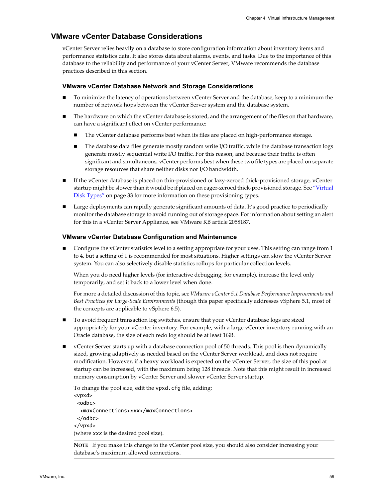## <span id="page-58-0"></span>**VMware vCenter Database Considerations**

vCenter Server relies heavily on a database to store configuration information about inventory items and performance statistics data. It also stores data about alarms, events, and tasks. Due to the importance of this database to the reliability and performance of your vCenter Server, VMware recommends the database practices described in this section.

#### **VMware vCenter Database Network and Storage Considerations**

- To minimize the latency of operations between vCenter Server and the database, keep to a minimum the number of network hops between the vCenter Server system and the database system.
- The hardware on which the vCenter database is stored, and the arrangement of the files on that hardware, can have a significant effect on vCenter performance:
	- The vCenter database performs best when its files are placed on high-performance storage.
	- The database data files generate mostly random write I/O traffic, while the database transaction logs generate mostly sequential write I/O traffic. For this reason, and because their traffic is often significant and simultaneous, vCenter performs best when these two file types are placed on separate storage resources that share neither disks nor I/O bandwidth.
- If the vCenter database is placed on thin-provisioned or lazy-zeroed thick-provisioned storage, vCenter startup might be slower than it would be if placed on eager-zeroed thick-provisioned storage. See ["Virtual](#page-32-0)  [Disk Types" on page 33](#page-32-0) for more information on these provisioning types.
- Large deployments can rapidly generate significant amounts of data. It's good practice to periodically monitor the database storage to avoid running out of storage space. For information about setting an alert for this in a vCenter Server Appliance, see VMware KB article 2058187.

#### **VMware vCenter Database Configuration and Maintenance**

 Configure the vCenter statistics level to a setting appropriate for your uses. This setting can range from 1 to 4, but a setting of 1 is recommended for most situations. Higher settings can slow the vCenter Server system. You can also selectively disable statistics rollups for particular collection levels.

When you do need higher levels (for interactive debugging, for example), increase the level only temporarily, and set it back to a lower level when done.

For more a detailed discussion of this topic, see *VMware vCenter 5.1 Database Performance Improvements and Best Practices for Large-Scale Environments* (though this paper specifically addresses vSphere 5.1, most of the concepts are applicable to vSphere 6.5).

- To avoid frequent transaction log switches, ensure that your vCenter database logs are sized appropriately for your vCenter inventory. For example, with a large vCenter inventory running with an Oracle database, the size of each redo log should be at least 1GB.
- vCenter Server starts up with a database connection pool of 50 threads. This pool is then dynamically sized, growing adaptively as needed based on the vCenter Server workload, and does not require modification. However, if a heavy workload is expected on the vCenter Server, the size of this pool at startup can be increased, with the maximum being 128 threads. Note that this might result in increased memory consumption by vCenter Server and slower vCenter Server startup.

```
To change the pool size, edit the vpxd.cfg file, adding:
<vpxd>
  <odbc>
   <maxConnections>xxx</maxConnections>
  </odbc>
</vpxd>
(where xxx is the desired pool size).
```
**NOTE** If you make this change to the vCenter pool size, you should also consider increasing your database's maximum allowed connections.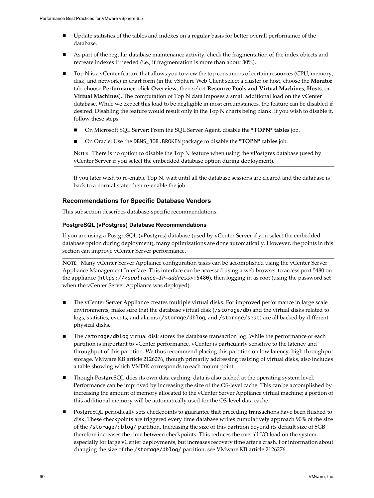- Update statistics of the tables and indexes on a regular basis for better overall performance of the database.
- As part of the regular database maintenance activity, check the fragmentation of the index objects and recreate indexes if needed (i.e., if fragmentation is more than about 30%).
- Top N is a vCenter feature that allows you to view the top consumers of certain resources (CPU, memory, disk, and network) in chart form (in the vSphere Web Client select a cluster or host, choose the **Monitor** tab, choose **Performance**, click **Overview**, then select **Resource Pools and Virtual Machines**, **Hosts**, or **Virtual Machines**). The computation of Top N data imposes a small additional load on the vCenter database. While we expect this load to be negligible in most circumstances, the feature can be disabled if desired. Disabling the feature would result only in the Top N charts being blank. If you wish to disable it, follow these steps:
	- On Microsoft SQL Server: From the SQL Server Agent, disable the **\*TOPN\* tables** job.
	- On Oracle: Use the DBMS\_JOB.BROKEN package to disable the **\*TOPN\* tables** job.

**NOTE** There is no option to disable the Top N feature when using the vPostgres database (used by vCenter Server if you select the embedded database option during deployment).

If you later wish to re-enable Top N, wait until all the database sessions are cleared and the database is back to a normal state, then re-enable the job.

#### **Recommendations for Specific Database Vendors**

This subsection describes database-specific recommendations.

#### **PostgreSQL (vPostgres) Database Recommendations**

If you are using a PostgreSQL (vPostgres) database (used by vCenter Server if you select the embedded database option during deployment), many optimizations are done automatically. However, the points in this section can improve vCenter Server performance.

**NOTE** Many vCenter Server Appliance configuration tasks can be accomplished using the vCenter Server Appliance Management Interface. This interface can be accessed using a web browser to access port 5480 on the appliance (https://*<appliance-IP-address>*:5480), then logging in as root (using the password set when the vCenter Server Appliance was deployed).

- The vCenter Server Appliance creates multiple virtual disks. For improved performance in large scale environments, make sure that the database virtual disk (/storage/db) and the virtual disks related to logs, statistics, events, and alarms (/storage/dblog, and /storage/seat) are all backed by different physical disks.
- The /storage/dblog virtual disk stores the database transaction log. While the performance of each partition is important to vCenter performance, vCenter is particularly sensitive to the latency and throughput of this partition. We thus recommend placing this partition on low latency, high throughput storage. VMware KB article 2126276, though primarily addressing resizing of virtual disks, also includes a table showing which VMDK corresponds to each mount point.
- Though PostgreSQL does its own data caching, data is also cached at the operating system level. Performance can be improved by increasing the size of the OS-level cache. This can be accomplished by increasing the amount of memory allocated to the vCenter Server Appliance virtual machine; a portion of this additional memory will be automatically used for the OS-level data cache.
- PostgreSQL periodically sets checkpoints to guarantee that preceding transactions have been flushed to disk. These checkpoints are triggered every time database writes cumulatively approach 90% of the size of the /storage/dblog/ partition. Increasing the size of this partition beyond its default size of 5GB therefore increases the time between checkpoints. This reduces the overall I/O load on the system, especially for large vCenter deployments, but increases recovery time after a crash. For information about changing the size of the /storage/dblog/ partition, see VMware KB article 2126276.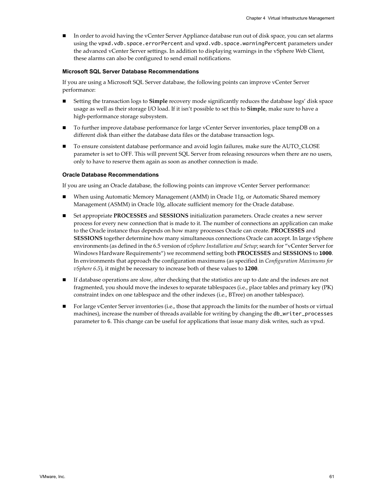In order to avoid having the vCenter Server Appliance database run out of disk space, you can set alarms using the vpxd.vdb.space.errorPercent and vpxd.vdb.space.warningPercent parameters under the advanced vCenter Server settings. In addition to displaying warnings in the vSphere Web Client, these alarms can also be configured to send email notifications.

#### **Microsoft SQL Server Database Recommendations**

If you are using a Microsoft SQL Server database, the following points can improve vCenter Server performance:

- Setting the transaction logs to **Simple** recovery mode significantly reduces the database logs' disk space usage as well as their storage I/O load. If it isn't possible to set this to **Simple**, make sure to have a high-performance storage subsystem.
- To further improve database performance for large vCenter Server inventories, place tempDB on a different disk than either the database data files or the database transaction logs.
- To ensure consistent database performance and avoid login failures, make sure the AUTO\_CLOSE parameter is set to OFF. This will prevent SQL Server from releasing resources when there are no users, only to have to reserve them again as soon as another connection is made.

#### **Oracle Database Recommendations**

If you are using an Oracle database, the following points can improve vCenter Server performance:

- When using Automatic Memory Management (AMM) in Oracle 11g, or Automatic Shared memory Management (ASMM) in Oracle 10g, allocate sufficient memory for the Oracle database.
- Set appropriate **PROCESSES** and **SESSIONS** initialization parameters. Oracle creates a new server process for every new connection that is made to it. The number of connections an application can make to the Oracle instance thus depends on how many processes Oracle can create. **PROCESSES** and **SESSIONS** together determine how many simultaneous connections Oracle can accept. In large vSphere environments (as defined in the 6.5 version of *vSphere Installation and Setup*; search for "vCenter Server for Windows Hardware Requirements") we recommend setting both **PROCESSES** and **SESSIONS** to **1000**. In environments that approach the configuration maximums (as specified in *Configuration Maximums for vSphere 6.5*), it might be necessary to increase both of these values to **1200**.
- If database operations are slow, after checking that the statistics are up to date and the indexes are not fragmented, you should move the indexes to separate tablespaces (i.e., place tables and primary key (PK) constraint index on one tablespace and the other indexes (i.e., BTree) on another tablespace).
- For large vCenter Server inventories (i.e., those that approach the limits for the number of hosts or virtual machines), increase the number of threads available for writing by changing the db\_writer\_processes parameter to 6. This change can be useful for applications that issue many disk writes, such as vpxd.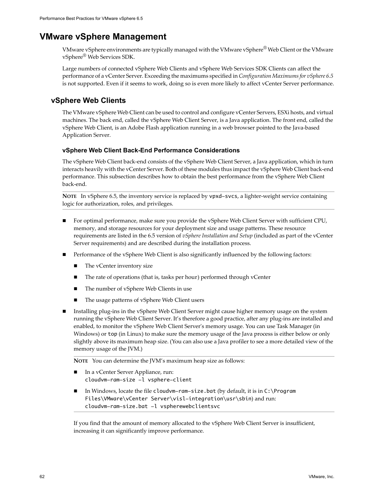## **VMware vSphere Management**

VMware vSphere environments are typically managed with the VMware vSphere® Web Client or the VMware vSphere® Web Services SDK.

Large numbers of connected vSphere Web Clients and vSphere Web Services SDK Clients can affect the performance of a vCenter Server. Exceeding the maximums specified in *Configuration Maximums for vSphere 6.5* is not supported. Even if it seems to work, doing so is even more likely to affect vCenter Server performance.

## **vSphere Web Clients**

The VMware vSphere Web Client can be used to control and configure vCenter Servers, ESXi hosts, and virtual machines. The back end, called the vSphere Web Client Server, is a Java application. The front end, called the vSphere Web Client, is an Adobe Flash application running in a web browser pointed to the Java-based Application Server.

#### **vSphere Web Client Back-End Performance Considerations**

The vSphere Web Client back-end consists of the vSphere Web Client Server, a Java application, which in turn interacts heavily with the vCenter Server. Both of these modules thus impact the vSphere Web Client back-end performance. This subsection describes how to obtain the best performance from the vSphere Web Client back-end.

**NOTE** In vSphere 6.5, the inventory service is replaced by vpxd-svcs, a lighter-weight service containing logic for authorization, roles, and privileges.

- For optimal performance, make sure you provide the vSphere Web Client Server with sufficient CPU, memory, and storage resources for your deployment size and usage patterns. These resource requirements are listed in the 6.5 version of *vSphere Installation and Setup* (included as part of the vCenter Server requirements) and are described during the installation process.
- Performance of the vSphere Web Client is also significantly influenced by the following factors:
	- The vCenter inventory size
	- The rate of operations (that is, tasks per hour) performed through vCenter
	- The number of vSphere Web Clients in use
	- The usage patterns of vSphere Web Client users
- Installing plug-ins in the vSphere Web Client Server might cause higher memory usage on the system running the vSphere Web Client Server. It's therefore a good practice, after any plug-ins are installed and enabled, to monitor the vSphere Web Client Serverʹs memory usage. You can use Task Manager (in Windows) or top (in Linux) to make sure the memory usage of the Java process is either below or only slightly above its maximum heap size. (You can also use a Java profiler to see a more detailed view of the memory usage of the JVM.)

**NOTE** You can determine the JVM's maximum heap size as follows:

- In a vCenter Server Appliance, run: cloudvm-ram-size -l vsphere-client
- In Windows, locate the file cloudvm-ram-size.bat (by default, it is in C:\Program Files\VMware\vCenter Server\visl-integration\usr\sbin) and run: cloudvm-ram-size.bat -l vspherewebclientsvc

If you find that the amount of memory allocated to the vSphere Web Client Server is insufficient, increasing it can significantly improve performance.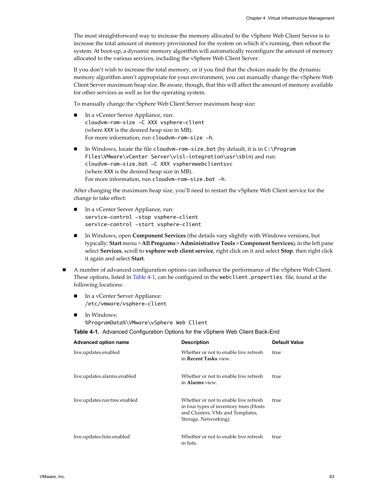The most straightforward way to increase the memory allocated to the vSphere Web Client Server is to increase the total amount of memory provisioned for the system on which it's running, then reboot the system. At boot-up, a dynamic memory algorithm will automatically reconfigure the amount of memory allocated to the various services, including the vSphere Web Client Server.

If you don't wish to increase the total memory, or if you find that the choices made by the dynamic memory algorithm aren't appropriate for your environment, you can manually change the vSphere Web Client Server maximum heap size. Be aware, though, that this will affect the amount of memory available for other services as well as for the operating system.

To manually change the vSphere Web Client Server maximum heap size:

- In a vCenter Server Appliance, run: cloudvm-ram-size -C *XXX* vsphere-client (where *XXX* is the desired heap size in MB). For more information, run cloudvm-ram-size -h.
- In Windows, locate the file cloudvm-ram-size.bat (by default, it is in C:\Program Files\VMware\vCenter Server\visl-integration\usr\sbin) and run: cloudvm-ram-size.bat -C *XXX* vspherewebclientsvc (where *XXX* is the desired heap size in MB). For more information, run cloudvm-ram-size.bat -h.

After changing the maximum heap size, you'll need to restart the vSphere Web Client service for the change to take effect:

- In a vCenter Server Appliance, run: service-control -stop vsphere-client service-control -start vsphere-client
- In Windows, open **Component Services** (the details vary slightly with Windows versions, but typically: **Start** menu > **All Programs** > **Administrative Tools** > **Component Services**), in the left pane select **Services**, scroll to **vsphere web client service**, right click on it and select **Stop**, then right click it again and select **Start**.
- A number of advanced configuration options can influence the performance of the vSphere Web Client. These options, listed in [Table 4-1](#page-62-0), can be configured in the webclient.properties file, found at the following locations:
	- In a vCenter Server Appliance: /etc/vmware/vsphere-client
	- In Windows: %ProgramData%\VMware\vSphere Web Client

<span id="page-62-0"></span>**Table 4-1.** Advanced Configuration Options for the vSphere Web Client Back-End

| <b>Advanced option name</b>  | <b>Description</b>                                                                                                                            | <b>Default Value</b> |
|------------------------------|-----------------------------------------------------------------------------------------------------------------------------------------------|----------------------|
| live.updates.enabled         | Whether or not to enable live refresh<br>in Recent Tasks view.                                                                                | true                 |
| live.updates.alarms.enabled  | Whether or not to enable live refresh<br>in <b>Alarms</b> view.                                                                               | true                 |
| live.updates.navtree.enabled | Whether or not to enable live refresh<br>in four types of inventory trees (Hosts<br>and Clusters, VMs and Templates,<br>Storage, Networking). | true                 |
| live.updates.lists.enabled   | Whether or not to enable live refresh<br>in lists.                                                                                            | true                 |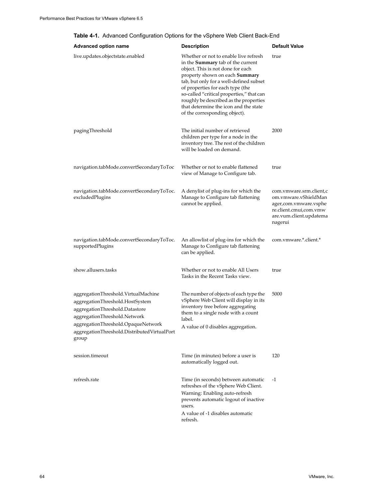| <b>Advanced option name</b>                                                                                                                                                                                                            | <b>Description</b>                                                                                                                                                                                                                                                                                                                                                                                       | <b>Default Value</b>                                                                                                                     |
|----------------------------------------------------------------------------------------------------------------------------------------------------------------------------------------------------------------------------------------|----------------------------------------------------------------------------------------------------------------------------------------------------------------------------------------------------------------------------------------------------------------------------------------------------------------------------------------------------------------------------------------------------------|------------------------------------------------------------------------------------------------------------------------------------------|
| live.updates.objectstate.enabled                                                                                                                                                                                                       | Whether or not to enable live refresh<br>in the <b>Summary</b> tab of the current<br>object. This is not done for each<br>property shown on each Summary<br>tab, but only for a well-defined subset<br>of properties for each type (the<br>so-called "critical properties," that can<br>roughly be described as the properties<br>that determine the icon and the state<br>of the corresponding object). | true                                                                                                                                     |
| pagingThreshold                                                                                                                                                                                                                        | The initial number of retrieved<br>children per type for a node in the<br>inventory tree. The rest of the children<br>will be loaded on demand.                                                                                                                                                                                                                                                          | 2000                                                                                                                                     |
| navigation.tabMode.convertSecondaryToToc                                                                                                                                                                                               | Whether or not to enable flattened<br>view of Manage to Configure tab.                                                                                                                                                                                                                                                                                                                                   | true                                                                                                                                     |
| navigation.tabMode.convertSecondaryToToc.<br>excludedPlugins                                                                                                                                                                           | A denylist of plug-ins for which the<br>Manage to Configure tab flattening<br>cannot be applied.                                                                                                                                                                                                                                                                                                         | com.vmware.srm.client,c<br>om.vmware.vShieldMan<br>ager,com.vmware.vsphe<br>re.client.cmui,com.vmw<br>are.vum.client.updatema<br>nagerui |
| navigation.tabMode.convertSecondaryToToc.<br>supportedPlugins                                                                                                                                                                          | An allowlist of plug-ins for which the<br>Manage to Configure tab flattening<br>can be applied.                                                                                                                                                                                                                                                                                                          | com.vmware.*.client.*                                                                                                                    |
| show.allusers.tasks                                                                                                                                                                                                                    | Whether or not to enable All Users<br>Tasks in the Recent Tasks view.                                                                                                                                                                                                                                                                                                                                    | true                                                                                                                                     |
| aggregationThreshold.VirtualMachine<br>aggregationThreshold.HostSystem<br>aggregationThreshold.Datastore<br>aggregationThreshold.Network<br>aggregationThreshold.OpaqueNetwork<br>aggregationThreshold.DistributedVirtualPort<br>group | The number of objects of each type the<br>vSphere Web Client will display in its<br>inventory tree before aggregating<br>them to a single node with a count<br>label.<br>A value of 0 disables aggregation.                                                                                                                                                                                              | 5000                                                                                                                                     |
| session.timeout                                                                                                                                                                                                                        | Time (in minutes) before a user is<br>automatically logged out.                                                                                                                                                                                                                                                                                                                                          | 120                                                                                                                                      |
| refresh.rate                                                                                                                                                                                                                           | Time (in seconds) between automatic<br>refreshes of the vSphere Web Client.<br>Warning: Enabling auto-refresh<br>prevents automatic logout of inactive<br>users.<br>A value of -1 disables automatic<br>refresh.                                                                                                                                                                                         | $-1$                                                                                                                                     |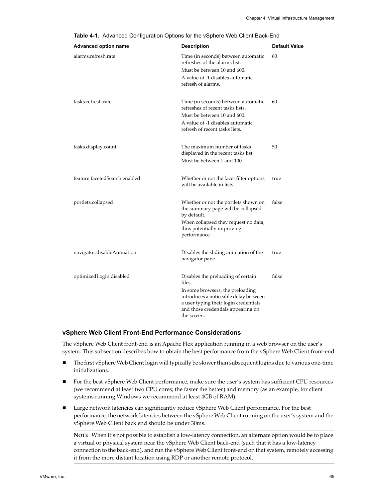| <b>Advanced option name</b>   | <b>Description</b>                                                                                                                                                                                                      | <b>Default Value</b> |
|-------------------------------|-------------------------------------------------------------------------------------------------------------------------------------------------------------------------------------------------------------------------|----------------------|
| alarms.refresh.rate           | Time (in seconds) between automatic<br>refreshes of the alarms list.<br>Must be between 10 and 600.<br>A value of -1 disables automatic<br>refresh of alarms.                                                           | 60                   |
| tasks.refresh.rate            | Time (in seconds) between automatic<br>refreshes of recent tasks lists.<br>Must be between 10 and 600.<br>A value of -1 disables automatic<br>refresh of recent tasks lists.                                            | 60                   |
| tasks.display.count           | The maximum number of tasks<br>displayed in the recent tasks list.<br>Must be between 1 and 100.                                                                                                                        | 50                   |
| feature.facetedSearch.enabled | Whether or not the facet filter options<br>will be available in lists.                                                                                                                                                  | true                 |
| portlets.collapsed            | Whether or not the portlets shown on<br>the summary page will be collapsed<br>by default.<br>When collapsed they request no data,<br>thus potentially improving<br>performance.                                         | false                |
| navigator.disableAnimation    | Disables the sliding animation of the<br>navigator pane                                                                                                                                                                 | true                 |
| optimizedLogin.disabled       | Disables the preloading of certain<br>files.<br>In some browsers, the preloading<br>introduces a noticeable delay between<br>a user typing their login credentials<br>and those credentials appearing on<br>the screen. | false                |

#### **Table 4-1.** Advanced Configuration Options for the vSphere Web Client Back-End

#### **vSphere Web Client Front-End Performance Considerations**

The vSphere Web Client front-end is an Apache Flex application running in a web browser on the user's system. This subsection describes how to obtain the best performance from the vSphere Web Client front-end

- The first vSphere Web Client login will typically be slower than subsequent logins due to various one-time initializations.
- **For the best vSphere Web Client performance, make sure the user's system has sufficient CPU resources** (we recommend at least two CPU cores; the faster the better) and memory (as an example, for client systems running Windows we recommend at least 4GB of RAM).
- **Example 1** Large network latencies can significantly reduce vSphere Web Client performance. For the best performance, the network latencies between the vSphere Web Client running on the user's system and the vSphere Web Client back end should be under 30ms.

**NOTE** When it's not possible to establish a low-latency connection, an alternate option would be to place a virtual or physical system near the vSphere Web Client back-end (such that it has a low-latency connection to the back-end), and run the vSphere Web Client front-end on that system, remotely accessing it from the more distant location using RDP or another remote protocol.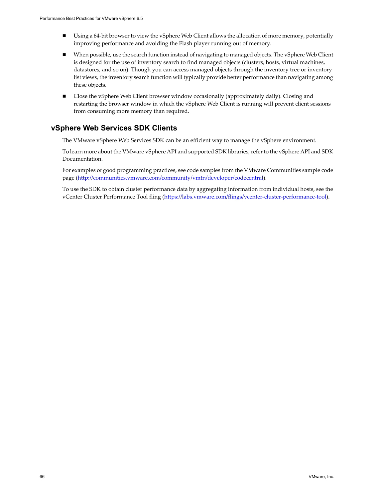- Using a 64-bit browser to view the vSphere Web Client allows the allocation of more memory, potentially improving performance and avoiding the Flash player running out of memory.
- When possible, use the search function instead of navigating to managed objects. The vSphere Web Client is designed for the use of inventory search to find managed objects (clusters, hosts, virtual machines, datastores, and so on). Though you can access managed objects through the inventory tree or inventory list views, the inventory search function will typically provide better performance than navigating among these objects.
- **D** Close the vSphere Web Client browser window occasionally (approximately daily). Closing and restarting the browser window in which the vSphere Web Client is running will prevent client sessions from consuming more memory than required.

## **vSphere Web Services SDK Clients**

The VMware vSphere Web Services SDK can be an efficient way to manage the vSphere environment.

To learn more about the VMware vSphere API and supported SDK libraries, refer to the vSphere API and SDK Documentation.

For examples of good programming practices, see code samples from the VMware Communities sample code page (http://communities.vmware.com/community/vmtn/developer/codecentral).

To use the SDK to obtain cluster performance data by aggregating information from individual hosts, see the vCenter Cluster Performance Tool fling (https://labs.vmware.com/flings/vcenter-cluster-performance-tool).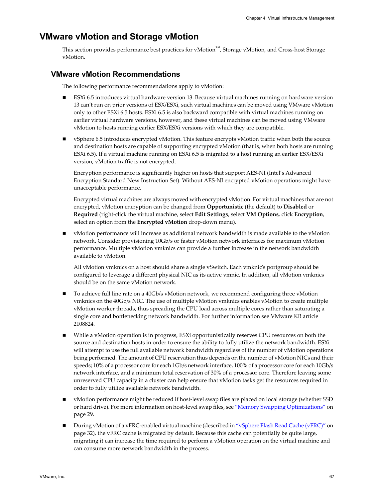## **VMware vMotion and Storage vMotion**

This section provides performance best practices for vMotion™, Storage vMotion, and Cross-host Storage vMotion.

#### <span id="page-66-0"></span>**VMware vMotion Recommendations**

The following performance recommendations apply to vMotion:

- ESXi 6.5 introduces virtual hardware version 13. Because virtual machines running on hardware version 13 can't run on prior versions of ESX/ESXi, such virtual machines can be moved using VMware vMotion only to other ESXi 6.5 hosts. ESXi 6.5 is also backward compatible with virtual machines running on earlier virtual hardware versions, however, and these virtual machines can be moved using VMware vMotion to hosts running earlier ESX/ESXi versions with which they are compatible.
- vSphere 6.5 introduces encrypted vMotion. This feature encrypts vMotion traffic when both the source and destination hosts are capable of supporting encrypted vMotion (that is, when both hosts are running ESXi 6.5). If a virtual machine running on ESXi 6.5 is migrated to a host running an earlier ESX/ESXi version, vMotion traffic is not encrypted.

Encryption performance is significantly higher on hosts that support AES-NI (Intel's Advanced Encryption Standard New Instruction Set). Without AES-NI encrypted vMotion operations might have unacceptable performance.

Encrypted virtual machines are always moved with encrypted vMotion. For virtual machines that are not encrypted, vMotion encryption can be changed from **Opportunistic** (the default) to **Disabled** or **Required** (right-click the virtual machine, select **Edit Settings**, select **VM Options**, click **Encryption**, select an option from the **Encrypted vMotion** drop-down menu).

 vMotion performance will increase as additional network bandwidth is made available to the vMotion network. Consider provisioning 10Gb/s or faster vMotion network interfaces for maximum vMotion performance. Multiple vMotion vmknics can provide a further increase in the network bandwidth available to vMotion.

All vMotion vmknics on a host should share a single vSwitch. Each vmknicʹs portgroup should be configured to leverage a different physical NIC as its active vmnic. In addition, all vMotion vmknics should be on the same vMotion network.

- To achieve full line rate on a 40Gb/s vMotion network, we recommend configuring three vMotion vmknics on the 40Gb/s NIC. The use of multiple vMotion vmknics enables vMotion to create multiple vMotion worker threads, thus spreading the CPU load across multiple cores rather than saturating a single core and bottlenecking network bandwidth. For further information see VMware KB article 2108824.
- While a vMotion operation is in progress, ESXi opportunistically reserves CPU resources on both the source and destination hosts in order to ensure the ability to fully utilize the network bandwidth. ESXi will attempt to use the full available network bandwidth regardless of the number of vMotion operations being performed. The amount of CPU reservation thus depends on the number of vMotion NICs and their speeds; 10% of a processor core for each 1Gb/s network interface, 100% of a processor core for each 10Gb/s network interface, and a minimum total reservation of 30% of a processor core. Therefore leaving some unreserved CPU capacity in a cluster can help ensure that vMotion tasks get the resources required in order to fully utilize available network bandwidth.
- vMotion performance might be reduced if host-level swap files are placed on local storage (whether SSD or hard drive). For more information on host-level swap files, see ["Memory Swapping Optimizations" on](#page-28-0)  [page 29](#page-28-0).
- During vMotion of a vFRC-enabled virtual machine (described in ["vSphere Flash Read Cache \(vFRC\)" on](#page-31-0)  [page 32](#page-31-0)), the vFRC cache is migrated by default. Because this cache can potentially be quite large, migrating it can increase the time required to perform a vMotion operation on the virtual machine and can consume more network bandwidth in the process.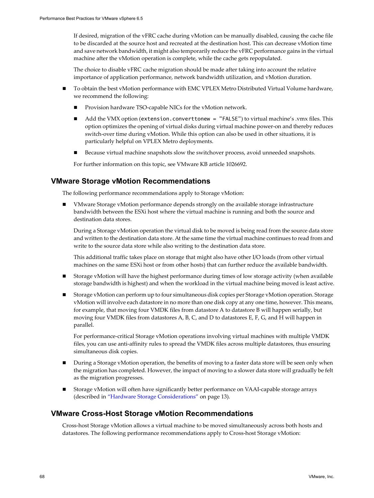If desired, migration of the vFRC cache during vMotion can be manually disabled, causing the cache file to be discarded at the source host and recreated at the destination host. This can decrease vMotion time and save network bandwidth, it might also temporarily reduce the vFRC performance gains in the virtual machine after the vMotion operation is complete, while the cache gets repopulated.

The choice to disable vFRC cache migration should be made after taking into account the relative importance of application performance, network bandwidth utilization, and vMotion duration.

- To obtain the best vMotion performance with EMC VPLEX Metro Distributed Virtual Volume hardware, we recommend the following:
	- Provision hardware TSO-capable NICs for the vMotion network.
	- Add the VMX option (extension.converttonew = "FALSE") to virtual machine's .vmx files. This option optimizes the opening of virtual disks during virtual machine power-on and thereby reduces switch-over time during vMotion. While this option can also be used in other situations, it is particularly helpful on VPLEX Metro deployments.
	- Because virtual machine snapshots slow the switchover process, avoid unneeded snapshots.

For further information on this topic, see VMware KB article 1026692.

#### <span id="page-67-0"></span>**VMware Storage vMotion Recommendations**

The following performance recommendations apply to Storage vMotion:

 VMware Storage vMotion performance depends strongly on the available storage infrastructure bandwidth between the ESXi host where the virtual machine is running and both the source and destination data stores.

During a Storage vMotion operation the virtual disk to be moved is being read from the source data store and written to the destination data store. At the same time the virtual machine continues to read from and write to the source data store while also writing to the destination data store.

This additional traffic takes place on storage that might also have other I/O loads (from other virtual machines on the same ESXi host or from other hosts) that can further reduce the available bandwidth.

- Storage vMotion will have the highest performance during times of low storage activity (when available storage bandwidth is highest) and when the workload in the virtual machine being moved is least active.
- Storage vMotion can perform up to four simultaneous disk copies per Storage vMotion operation. Storage vMotion will involve each datastore in no more than one disk copy at any one time, however. This means, for example, that moving four VMDK files from datastore A to datastore B will happen serially, but moving four VMDK files from datastores A, B, C, and D to datastores E, F, G, and H will happen in parallel.

For performance-critical Storage vMotion operations involving virtual machines with multiple VMDK files, you can use anti-affinity rules to spread the VMDK files across multiple datastores, thus ensuring simultaneous disk copies.

- **During a Storage vMotion operation, the benefits of moving to a faster data store will be seen only when** the migration has completed. However, the impact of moving to a slower data store will gradually be felt as the migration progresses.
- Storage vMotion will often have significantly better performance on VAAI-capable storage arrays (described in ["Hardware Storage Considerations" on page 13](#page-12-0)).

#### **VMware Cross-Host Storage vMotion Recommendations**

Cross-host Storage vMotion allows a virtual machine to be moved simultaneously across both hosts and datastores. The following performance recommendations apply to Cross-host Storage vMotion: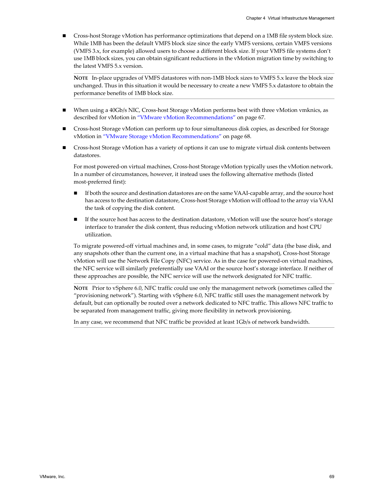Cross-host Storage vMotion has performance optimizations that depend on a 1MB file system block size. While 1MB has been the default VMFS block size since the early VMFS versions, certain VMFS versions (VMFS 3.x, for example) allowed users to choose a different block size. If your VMFS file systems don't use 1MB block sizes, you can obtain significant reductions in the vMotion migration time by switching to the latest VMFS 5.x version.

**NOTE** In-place upgrades of VMFS datastores with non-1MB block sizes to VMFS 5.x leave the block size unchanged. Thus in this situation it would be necessary to create a new VMFS 5.x datastore to obtain the performance benefits of 1MB block size.

- When using a 40Gb/s NIC, Cross-host Storage vMotion performs best with three vMotion vmknics, as described for vMotion in ["VMware vMotion Recommendations" on page 67](#page-66-0).
- Cross-host Storage vMotion can perform up to four simultaneous disk copies, as described for Storage vMotion in ["VMware Storage vMotion Recommendations" on page 68](#page-67-0).
- Cross-host Storage vMotion has a variety of options it can use to migrate virtual disk contents between datastores.

For most powered-on virtual machines, Cross-host Storage vMotion typically uses the vMotion network. In a number of circumstances, however, it instead uses the following alternative methods (listed most-preferred first):

- If both the source and destination datastores are on the same VAAI-capable array, and the source host has access to the destination datastore, Cross-host Storage vMotion will offload to the array via VAAI the task of copying the disk content.
- If the source host has access to the destination datastore, vMotion will use the source host's storage interface to transfer the disk content, thus reducing vMotion network utilization and host CPU utilization.

To migrate powered-off virtual machines and, in some cases, to migrate "cold" data (the base disk, and any snapshots other than the current one, in a virtual machine that has a snapshot), Cross-host Storage vMotion will use the Network File Copy (NFC) service. As in the case for powered-on virtual machines, the NFC service will similarly preferentially use VAAI or the source host's storage interface. If neither of these approaches are possible, the NFC service will use the network designated for NFC traffic.

**NOTE** Prior to vSphere 6.0, NFC traffic could use only the management network (sometimes called the "provisioning network"). Starting with vSphere 6.0, NFC traffic still uses the management network by default, but can optionally be routed over a network dedicated to NFC traffic. This allows NFC traffic to be separated from management traffic, giving more flexibility in network provisioning.

In any case, we recommend that NFC traffic be provided at least 1Gb/s of network bandwidth.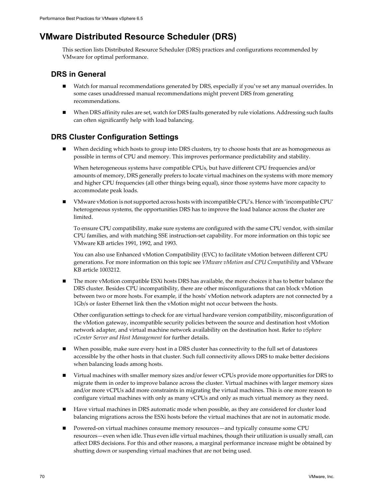## <span id="page-69-0"></span>**VMware Distributed Resource Scheduler (DRS)**

This section lists Distributed Resource Scheduler (DRS) practices and configurations recommended by VMware for optimal performance.

## **DRS in General**

- Watch for manual recommendations generated by DRS, especially if you've set any manual overrides. In some cases unaddressed manual recommendations might prevent DRS from generating recommendations.
- When DRS affinity rules are set, watch for DRS faults generated by rule violations. Addressing such faults can often significantly help with load balancing.

## **DRS Cluster Configuration Settings**

When deciding which hosts to group into DRS clusters, try to choose hosts that are as homogeneous as possible in terms of CPU and memory. This improves performance predictability and stability.

When heterogeneous systems have compatible CPUs, but have different CPU frequencies and/or amounts of memory, DRS generally prefers to locate virtual machines on the systems with more memory and higher CPU frequencies (all other things being equal), since those systems have more capacity to accommodate peak loads.

■ VMware vMotion is not supported across hosts with incompatible CPU's. Hence with 'incompatible CPU' heterogeneous systems, the opportunities DRS has to improve the load balance across the cluster are limited.

To ensure CPU compatibility, make sure systems are configured with the same CPU vendor, with similar CPU families, and with matching SSE instruction-set capability. For more information on this topic see VMware KB articles 1991, 1992, and 1993.

You can also use Enhanced vMotion Compatibility (EVC) to facilitate vMotion between different CPU generations. For more information on this topic see *VMware vMotion and CPU Compatibility* and VMware KB article 1003212.

The more vMotion compatible ESXi hosts DRS has available, the more choices it has to better balance the DRS cluster. Besides CPU incompatibility, there are other misconfigurations that can block vMotion between two or more hosts. For example, if the hostsʹ vMotion network adapters are not connected by a 1Gb/s or faster Ethernet link then the vMotion might not occur between the hosts.

Other configuration settings to check for are virtual hardware version compatibility, misconfiguration of the vMotion gateway, incompatible security policies between the source and destination host vMotion network adapter, and virtual machine network availability on the destination host. Refer to *vSphere vCenter Server and Host Management* for further details.

- When possible, make sure every host in a DRS cluster has connectivity to the full set of datastores accessible by the other hosts in that cluster. Such full connectivity allows DRS to make better decisions when balancing loads among hosts.
- Virtual machines with smaller memory sizes and/or fewer vCPUs provide more opportunities for DRS to migrate them in order to improve balance across the cluster. Virtual machines with larger memory sizes and/or more vCPUs add more constraints in migrating the virtual machines. This is one more reason to configure virtual machines with only as many vCPUs and only as much virtual memory as they need.
- Have virtual machines in DRS automatic mode when possible, as they are considered for cluster load balancing migrations across the ESXi hosts before the virtual machines that are not in automatic mode.
- Powered-on virtual machines consume memory resources—and typically consume some CPU resources—even when idle. Thus even idle virtual machines, though their utilization is usually small, can affect DRS decisions. For this and other reasons, a marginal performance increase might be obtained by shutting down or suspending virtual machines that are not being used.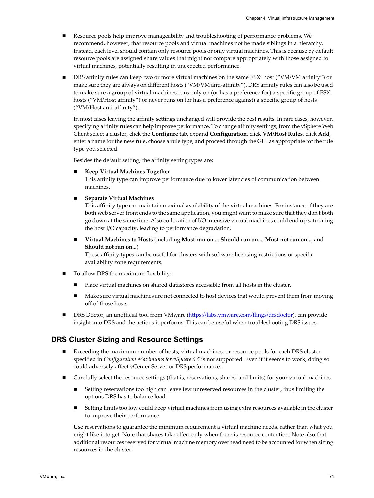- Resource pools help improve manageability and troubleshooting of performance problems. We recommend, however, that resource pools and virtual machines not be made siblings in a hierarchy. Instead, each level should contain only resource pools or only virtual machines. This is because by default resource pools are assigned share values that might not compare appropriately with those assigned to virtual machines, potentially resulting in unexpected performance.
- DRS affinity rules can keep two or more virtual machines on the same ESXi host ("VM/VM affinity") or make sure they are always on different hosts ("VM/VM anti-affinity"). DRS affinity rules can also be used to make sure a group of virtual machines runs only on (or has a preference for) a specific group of ESXi hosts ("VM/Host affinity") or never runs on (or has a preference against) a specific group of hosts ("VM/Host anti-affinity").

In most cases leaving the affinity settings unchanged will provide the best results. In rare cases, however, specifying affinity rules can help improve performance. To change affinity settings, from the vSphere Web Client select a cluster, click the **Configure** tab, expand **Configuration**, click **VM/Host Rules**, click **Add**, enter a name for the new rule, choose a rule type, and proceed through the GUI as appropriate for the rule type you selected.

Besides the default setting, the affinity setting types are:

**Keep Virtual Machines Together**

This affinity type can improve performance due to lower latencies of communication between machines.

**Separate Virtual Machines**

This affinity type can maintain maximal availability of the virtual machines. For instance, if they are both web server front ends to the same application, you might want to make sure that they don't both go down at the same time. Also co-location of I/O intensive virtual machines could end up saturating the host I/O capacity, leading to performance degradation.

 **Virtual Machines to Hosts** (including **Must run on...**, **Should run on...**, **Must not run on...**, and **Should not run on...**)

These affinity types can be useful for clusters with software licensing restrictions or specific availability zone requirements.

- To allow DRS the maximum flexibility:
	- Place virtual machines on shared datastores accessible from all hosts in the cluster.
	- Make sure virtual machines are not connected to host devices that would prevent them from moving off of those hosts.
- DRS Doctor, an unofficial tool from VMware (https://labs.vmware.com/flings/drsdoctor), can provide insight into DRS and the actions it performs. This can be useful when troubleshooting DRS issues.

## **DRS Cluster Sizing and Resource Settings**

- Exceeding the maximum number of hosts, virtual machines, or resource pools for each DRS cluster specified in *Configuration Maximums for vSphere 6.5* is not supported. Even if it seems to work, doing so could adversely affect vCenter Server or DRS performance.
- Carefully select the resource settings (that is, reservations, shares, and limits) for your virtual machines.
	- Setting reservations too high can leave few unreserved resources in the cluster, thus limiting the options DRS has to balance load.
	- Setting limits too low could keep virtual machines from using extra resources available in the cluster to improve their performance.

Use reservations to guarantee the minimum requirement a virtual machine needs, rather than what you might like it to get. Note that shares take effect only when there is resource contention. Note also that additional resources reserved for virtual machine memory overhead need to be accounted for when sizing resources in the cluster.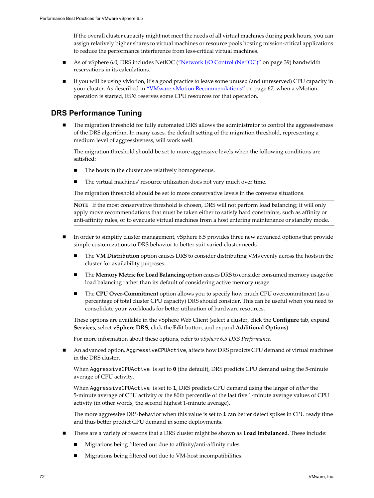If the overall cluster capacity might not meet the needs of all virtual machines during peak hours, you can assign relatively higher shares to virtual machines or resource pools hosting mission-critical applications to reduce the performance interference from less-critical virtual machines.

- As of vSphere 6.0, DRS includes NetIOC (["Network I/O Control \(NetIOC\)" on page 39\)](#page-38-0) bandwidth reservations in its calculations.
- If you will be using vMotion, it's a good practice to leave some unused (and unreserved) CPU capacity in your cluster. As described in ["VMware vMotion Recommendations" on page 67](#page-66-0), when a vMotion operation is started, ESXi reserves some CPU resources for that operation.

### **DRS Performance Tuning**

 The migration threshold for fully automated DRS allows the administrator to control the aggressiveness of the DRS algorithm. In many cases, the default setting of the migration threshold, representing a medium level of aggressiveness, will work well.

The migration threshold should be set to more aggressive levels when the following conditions are satisfied:

- The hosts in the cluster are relatively homogeneous.
- The virtual machinesʹ resource utilization does not vary much over time.

The migration threshold should be set to more conservative levels in the converse situations.

**NOTE** If the most conservative threshold is chosen, DRS will not perform load balancing; it will only apply move recommendations that must be taken either to satisfy hard constraints, such as affinity or anti-affinity rules, or to evacuate virtual machines from a host entering maintenance or standby mode.

- In order to simplify cluster management, vSphere 6.5 provides three new advanced options that provide simple customizations to DRS behavior to better suit varied cluster needs.
	- The **VM Distribution** option causes DRS to consider distributing VMs evenly across the hosts in the cluster for availability purposes.
	- The **Memory Metric for Load Balancing** option causes DRS to consider consumed memory usage for load balancing rather than its default of considering active memory usage.
	- The **CPU Over-Commitment** option allows you to specify how much CPU overcommitment (as a percentage of total cluster CPU capacity) DRS should consider. This can be useful when you need to consolidate your workloads for better utilization of hardware resources.

These options are available in the vSphere Web Client (select a cluster, click the **Configure** tab, expand **Services**, select **vSphere DRS**, click the **Edit** button, and expand **Additional Options**).

For more information about these options, refer to *vSphere 6.5 DRS Performance*.

 An advanced option, AggressiveCPUActive, affects how DRS predicts CPU demand of virtual machines in the DRS cluster.

When AggressiveCPUActive is set to  $\theta$  (the default), DRS predicts CPU demand using the 5-minute average of CPU activity.

When AggressiveCPUActive is set to **1**, DRS predicts CPU demand using the larger of *either* the 5-minute average of CPU activity *or* the 80th percentile of the last five 1-minute average values of CPU activity (in other words, the second highest 1-minute average).

The more aggressive DRS behavior when this value is set to **1** can better detect spikes in CPU ready time and thus better predict CPU demand in some deployments.

- There are a variety of reasons that a DRS cluster might be shown as **Load imbalanced**. These include:
	- Migrations being filtered out due to affinity/anti-affinity rules.
	- Migrations being filtered out due to VM-host incompatibilities.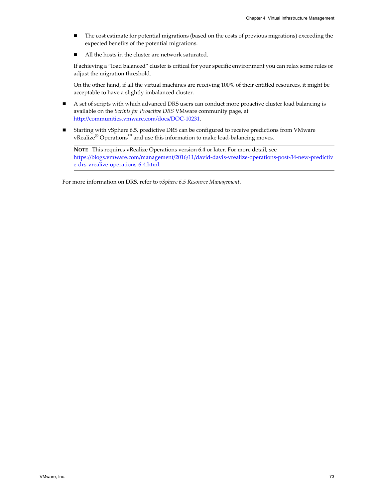- The cost estimate for potential migrations (based on the costs of previous migrations) exceeding the expected benefits of the potential migrations.
- All the hosts in the cluster are network saturated.

If achieving a "load balanced" cluster is critical for your specific environment you can relax some rules or adjust the migration threshold.

On the other hand, if all the virtual machines are receiving 100% of their entitled resources, it might be acceptable to have a slightly imbalanced cluster.

- A set of scripts with which advanced DRS users can conduct more proactive cluster load balancing is available on the *Scripts for Proactive DRS* VMware community page, at http://communities.vmware.com/docs/DOC-10231.
- Starting with vSphere 6.5, predictive DRS can be configured to receive predictions from VMware vRealize<sup>®</sup> Operations<sup>™</sup> and use this information to make load-balancing moves.

**NOTE** This requires vRealize Operations version 6.4 or later. For more detail, see https://blogs.vmware.com/management/2016/11/david-davis-vrealize-operations-post-34-new-predictiv e-drs-vrealize-operations-6-4.html.

For more information on DRS, refer to *vSphere 6.5 Resource Management*.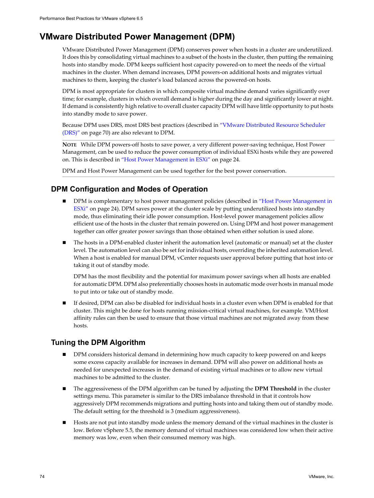## **VMware Distributed Power Management (DPM)**

<span id="page-73-1"></span><span id="page-73-0"></span>VMware Distributed Power Management (DPM) conserves power when hosts in a cluster are underutilized. It does this by consolidating virtual machines to a subset of the hosts in the cluster, then putting the remaining hosts into standby mode. DPM keeps sufficient host capacity powered-on to meet the needs of the virtual machines in the cluster. When demand increases, DPM powers-on additional hosts and migrates virtual machines to them, keeping the cluster's load balanced across the powered-on hosts.

DPM is most appropriate for clusters in which composite virtual machine demand varies significantly over time; for example, clusters in which overall demand is higher during the day and significantly lower at night. If demand is consistently high relative to overall cluster capacity DPM will have little opportunity to put hosts into standby mode to save power.

Because DPM uses DRS, most DRS best practices (described in ["VMware Distributed Resource Scheduler](#page-69-0)  [\(DRS\)" on page 70](#page-69-0)) are also relevant to DPM.

**NOTE** While DPM powers-off hosts to save power, a very different power-saving technique, Host Power Management, can be used to reduce the power consumption of individual ESXi hosts while they are powered on. This is described in ["Host Power Management in ESXi" on page 24](#page-23-0).

DPM and Host Power Management can be used together for the best power conservation.

## **DPM Configuration and Modes of Operation**

- <span id="page-73-5"></span> DPM is complementary to host power management policies (described in ["Host Power Management in](#page-23-0)  [ESXi" on page 24](#page-23-0)). DPM saves power at the cluster scale by putting underutilized hosts into standby mode, thus eliminating their idle power consumption. Host-level power management policies allow efficient use of the hosts in the cluster that remain powered on. Using DPM and host power management together can offer greater power savings than those obtained when either solution is used alone.
- The hosts in a DPM-enabled cluster inherit the automation level (automatic or manual) set at the cluster level. The automation level can also be set for individual hosts, overriding the inherited automation level. When a host is enabled for manual DPM, vCenter requests user approval before putting that host into or taking it out of standby mode.

<span id="page-73-4"></span>DPM has the most flexibility and the potential for maximum power savings when all hosts are enabled for automatic DPM. DPM also preferentially chooses hosts in automatic mode over hosts in manual mode to put into or take out of standby mode.

 If desired, DPM can also be disabled for individual hosts in a cluster even when DPM is enabled for that cluster. This might be done for hosts running mission-critical virtual machines, for example. VM/Host affinity rules can then be used to ensure that those virtual machines are not migrated away from these hosts.

## **Tuning the DPM Algorithm**

- <span id="page-73-3"></span>**DPM** considers historical demand in determining how much capacity to keep powered on and keeps some excess capacity available for increases in demand. DPM will also power on additional hosts as needed for unexpected increases in the demand of existing virtual machines or to allow new virtual machines to be admitted to the cluster.
- <span id="page-73-2"></span> The aggressiveness of the DPM algorithm can be tuned by adjusting the **DPM Threshold** in the cluster settings menu. This parameter is similar to the DRS imbalance threshold in that it controls how aggressively DPM recommends migrations and putting hosts into and taking them out of standby mode. The default setting for the threshold is 3 (medium aggressiveness).
- Hosts are not put into standby mode unless the memory demand of the virtual machines in the cluster is low. Before vSphere 5.5, the memory demand of virtual machines was considered low when their active memory was low, even when their consumed memory was high.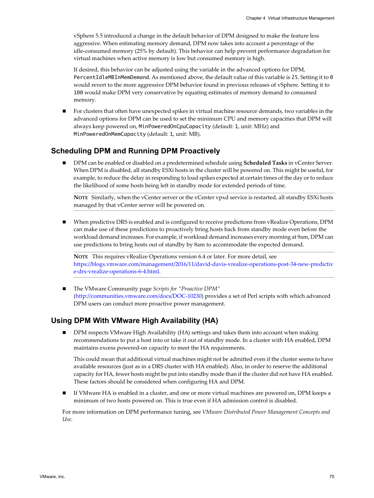vSphere 5.5 introduced a change in the default behavior of DPM designed to make the feature less aggressive. When estimating memory demand, DPM now takes into account a percentage of the idle-consumed memory (25% by default). This behavior can help prevent performance degradation for virtual machines when active memory is low but consumed memory is high.

If desired, this behavior can be adjusted using the variable in the advanced options for DPM, PercentIdleMBInMemDemand. As mentioned above, the default value of this variable is 25. Setting it to 0 would revert to the more aggressive DPM behavior found in previous releases of vSphere. Setting it to 100 would make DPM very conservative by equating estimates of memory demand to consumed memory.

 For clusters that often have unexpected spikes in virtual machine resource demands, two variables in the advanced options for DPM can be used to set the minimum CPU and memory capacities that DPM will always keep powered on, MinPoweredOnCpuCapacity (default: 1, unit: MHz) and MinPoweredOnMemCapacity (default: 1, unit: MB).

## **Scheduling DPM and Running DPM Proactively**

 DPM can be enabled or disabled on a predetermined schedule using **Scheduled Tasks** in vCenter Server. When DPM is disabled, all standby ESXi hosts in the cluster will be powered on. This might be useful, for example, to reduce the delay in responding to load spikes expected at certain times of the day or to reduce the likelihood of some hosts being left in standby mode for extended periods of time.

**NOTE** Similarly, when the vCenter server or the vCenter vpxd service is restarted, all standby ESXi hosts managed by that vCenter server will be powered on.

 When predictive DRS is enabled and is configured to receive predictions from vRealize Operations, DPM can make use of these predictions to proactively bring hosts back from standby mode even before the workload demand increases. For example, if workload demand increases every morning at 9am, DPM can use predictions to bring hosts out of standby by 8am to accommodate the expected demand.

**NOTE** This requires vRealize Operations version 6.4 or later. For more detail, see https://blogs.vmware.com/management/2016/11/david-davis-vrealize-operations-post-34-new-predictiv e-drs-vrealize-operations-6-4.html.

■ The VMware Community page *Scripts for "Proactive DPM"* (http://communities.vmware.com/docs/DOC-10230) provides a set of Perl scripts with which advanced DPM users can conduct more proactive power management.

## **Using DPM With VMware High Availability (HA)**

 DPM respects VMware High Availability (HA) settings and takes them into account when making recommendations to put a host into or take it out of standby mode. In a cluster with HA enabled, DPM maintains excess powered-on capacity to meet the HA requirements.

<span id="page-74-0"></span>This could mean that additional virtual machines might not be admitted even if the cluster seems to have available resources (just as in a DRS cluster with HA enabled). Also, in order to reserve the additional capacity for HA, fewer hosts might be put into standby mode than if the cluster did not have HA enabled. These factors should be considered when configuring HA and DPM.

 If VMware HA is enabled in a cluster, and one or more virtual machines are powered on, DPM keeps a minimum of two hosts powered on. This is true even if HA admission control is disabled.

For more information on DPM performance tuning, see *VMware Distributed Power Management Concepts and Use*.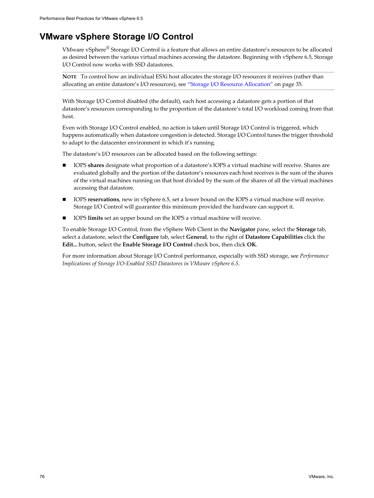## **VMware vSphere Storage I/O Control**

<span id="page-75-0"></span>VMware vSphere® Storage I/O Control is a feature that allows an entire datastore's resources to be allocated as desired between the various virtual machines accessing the datastore. Beginning with vSphere 6.5, Storage I/O Control now works with SSD datastores.

**NOTE** To control how an individual ESXi host allocates the storage I/O resources it receives (rather than allocating an entire datastore's I/O resources), see ["Storage I/O Resource Allocation" on page 35.](#page-34-0)

With Storage I/O Control disabled (the default), each host accessing a datastore gets a portion of that datastore's resources corresponding to the proportion of the datastore's total I/O workload coming from that host.

Even with Storage I/O Control enabled, no action is taken until Storage I/O Control is triggered, which happens automatically when datastore congestion is detected. Storage I/O Control tunes the trigger threshold to adapt to the datacenter environment in which it's running.

The datastore's I/O resources can be allocated based on the following settings:

- IOPS **shares** designate what proportion of a datastore's IOPS a virtual machine will receive. Shares are evaluated globally and the portion of the datastore's resources each host receives is the sum of the shares of the virtual machines running on that host divided by the sum of the shares of all the virtual machines accessing that datastore.
- **IOPS reservations**, new in vSphere 6.5, set a lower bound on the IOPS a virtual machine will receive. Storage I/O Control will guarantee this minimum provided the hardware can support it.
- **IOPS limits** set an upper bound on the IOPS a virtual machine will receive.

To enable Storage I/O Control, from the vSphere Web Client in the **Navigator** pane, select the **Storage** tab, select a datastore, select the **Configure** tab, select **General**, to the right of **Datastore Capabilities** click the **Edit...** button, select the **Enable Storage I/O Control** check box, then click **OK**.

For more information about Storage I/O Control performance, especially with SSD storage, see *Performance Implications of Storage I/O-Enabled SSD Datastores in VMware vSphere 6.5*.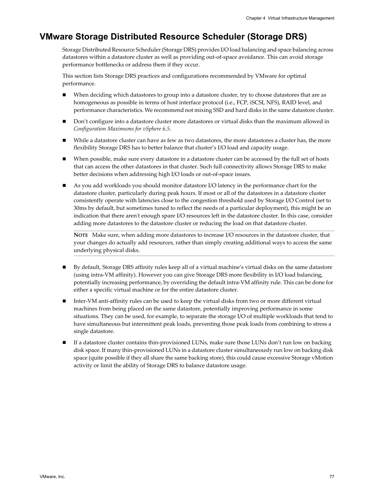## **VMware Storage Distributed Resource Scheduler (Storage DRS)**

<span id="page-76-4"></span><span id="page-76-3"></span><span id="page-76-0"></span>Storage Distributed Resource Scheduler (Storage DRS) provides I/O load balancing and space balancing across datastores within a datastore cluster as well as providing out-of-space avoidance. This can avoid storage performance bottlenecks or address them if they occur.

This section lists Storage DRS practices and configurations recommended by VMware for optimal performance.

- When deciding which datastores to group into a datastore cluster, try to choose datastores that are as homogeneous as possible in terms of host interface protocol (i.e., FCP, iSCSI, NFS), RAID level, and performance characteristics. We recommend not mixing SSD and hard disks in the same datastore cluster.
- Don't configure into a datastore cluster more datastores or virtual disks than the maximum allowed in *Configuration Maximums for vSphere 6.5*.
- While a datastore cluster can have as few as two datastores, the more datastores a cluster has, the more flexibility Storage DRS has to better balance that cluster's I/O load and capacity usage.
- When possible, make sure every datastore in a datastore cluster can be accessed by the full set of hosts that can access the other datastores in that cluster. Such full connectivity allows Storage DRS to make better decisions when addressing high I/O loads or out-of-space issues.
- As you add workloads you should monitor datastore I/O latency in the performance chart for the datastore cluster, particularly during peak hours. If most or all of the datastores in a datastore cluster consistently operate with latencies close to the congestion threshold used by Storage I/O Control (set to 30ms by default, but sometimes tuned to reflect the needs of a particular deployment), this might be an indication that there arenʹt enough spare I/O resources left in the datastore cluster. In this case, consider adding more datastores to the datastore cluster or reducing the load on that datastore cluster.

**NOTE** Make sure, when adding more datastores to increase I/O resources in the datastore cluster, that your changes do actually add resources, rather than simply creating additional ways to access the same underlying physical disks.

- <span id="page-76-2"></span> By default, Storage DRS affinity rules keep all of a virtual machine's virtual disks on the same datastore (using intra-VM affinity). However you can give Storage DRS more flexibility in I/O load balancing, potentially increasing performance, by overriding the default intra-VM affinity rule. This can be done for either a specific virtual machine or for the entire datastore cluster.
- <span id="page-76-1"></span> Inter-VM anti-affinity rules can be used to keep the virtual disks from two or more different virtual machines from being placed on the same datastore, potentially improving performance in some situations. They can be used, for example, to separate the storage I/O of multiple workloads that tend to have simultaneous but intermittent peak loads, preventing those peak loads from combining to stress a single datastore.
- If a datastore cluster contains thin-provisioned LUNs, make sure those LUNs don't run low on backing disk space. If many thin-provisioned LUNs in a datastore cluster simultaneously run low on backing disk space (quite possible if they all share the same backing store), this could cause excessive Storage vMotion activity or limit the ability of Storage DRS to balance datastore usage.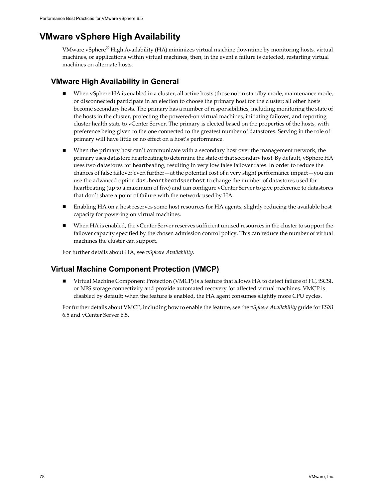## <span id="page-77-0"></span>**VMware vSphere High Availability**

<span id="page-77-3"></span><span id="page-77-2"></span><span id="page-77-1"></span>VMware vSphere® High Availability (HA) minimizes virtual machine downtime by monitoring hosts, virtual machines, or applications within virtual machines, then, in the event a failure is detected, restarting virtual machines on alternate hosts.

## **VMware High Availability in General**

- When vSphere HA is enabled in a cluster, all active hosts (those not in standby mode, maintenance mode, or disconnected) participate in an election to choose the primary host for the cluster; all other hosts become secondary hosts. The primary has a number of responsibilities, including monitoring the state of the hosts in the cluster, protecting the powered-on virtual machines, initiating failover, and reporting cluster health state to vCenter Server. The primary is elected based on the properties of the hosts, with preference being given to the one connected to the greatest number of datastores. Serving in the role of primary will have little or no effect on a host's performance.
- When the primary host can't communicate with a secondary host over the management network, the primary uses datastore heartbeating to determine the state of that secondary host. By default, vSphere HA uses two datastores for heartbeating, resulting in very low false failover rates. In order to reduce the chances of false failover even further—at the potential cost of a very slight performance impact—you can use the advanced option das.heartbeatdsperhost to change the number of datastores used for heartbeating (up to a maximum of five) and can configure vCenter Server to give preference to datastores that don't share a point of failure with the network used by HA.
- Enabling HA on a host reserves some host resources for HA agents, slightly reducing the available host capacity for powering on virtual machines.
- When HA is enabled, the vCenter Server reserves sufficient unused resources in the cluster to support the failover capacity specified by the chosen admission control policy. This can reduce the number of virtual machines the cluster can support.

For further details about HA, see *vSphere Availability*.

## **Virtual Machine Component Protection (VMCP)**

 Virtual Machine Component Protection (VMCP) is a feature that allows HA to detect failure of FC, iSCSI, or NFS storage connectivity and provide automated recovery for affected virtual machines. VMCP is disabled by default; when the feature is enabled, the HA agent consumes slightly more CPU cycles.

For further details about VMCP, including how to enable the feature, see the *vSphere Availability* guide for ESXi 6.5 and vCenter Server 6.5.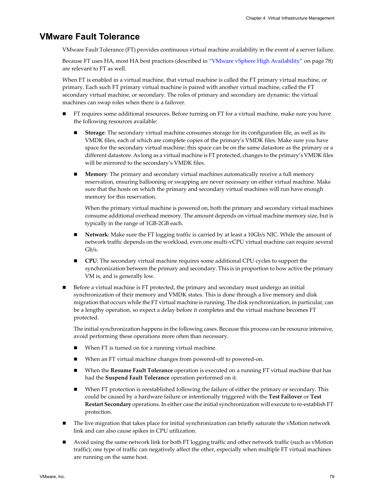## **VMware Fault Tolerance**

<span id="page-78-1"></span><span id="page-78-0"></span>VMware Fault Tolerance (FT) provides continuous virtual machine availability in the event of a server failure.

<span id="page-78-2"></span>Because FT uses HA, most HA best practices (described in ["VMware vSphere High Availability" on page 78\)](#page-77-0) are relevant to FT as well.

When FT is enabled in a virtual machine, that virtual machine is called the FT primary virtual machine, or primary. Each such FT primary virtual machine is paired with another virtual machine, called the FT secondary virtual machine, or secondary. The roles of primary and secondary are dynamic: the virtual machines can swap roles when there is a failover.

- FT requires some additional resources. Before turning on FT for a virtual machine, make sure you have the following resources available:
	- **Storage**: The secondary virtual machine consumes storage for its configuration file, as well as its VMDK files, each of which are complete copies of the primaryʹs VMDK files. Make sure you have space for the secondary virtual machine; this space can be on the same datastore as the primary or a different datastore. As long as a virtual machine is FT protected, changes to the primary's VMDK files will be mirrored to the secondary's VMDK files.
	- **Memory**: The primary and secondary virtual machines automatically receive a full memory reservation, ensuring ballooning or swapping are never necessary on either virtual machine. Make sure that the hosts on which the primary and secondary virtual machines will run have enough memory for this reservation.

When the primary virtual machine is powered on, both the primary and secondary virtual machines consume additional overhead memory. The amount depends on virtual machine memory size, but is typically in the range of 1GB-2GB each.

- **Network**: Make sure the FT logging traffic is carried by at least a 10Gb/s NIC. While the amount of network traffic depends on the workload, even one multi-vCPU virtual machine can require several Gb/s.
- **CPU**: The secondary virtual machine requires some additional CPU cycles to support the synchronization between the primary and secondary. This is in proportion to how active the primary VM is, and is generally low.
- Before a virtual machine is FT protected, the primary and secondary must undergo an initial synchronization of their memory and VMDK states. This is done through a live memory and disk migration that occurs while the FT virtual machine is running. The disk synchronization, in particular, can be a lengthy operation, so expect a delay before it completes and the virtual machine becomes FT protected.

The initial synchronization happens in the following cases. Because this process can be resource intensive, avoid performing these operations more often than necessary.

- When FT is turned on for a running virtual machine.
- When an FT virtual machine changes from powered-off to powered-on.
- When the **Resume Fault Tolerance** operation is executed on a running FT virtual machine that has had the **Suspend Fault Tolerance** operation performed on it.
- When FT protection is reestablished following the failure of either the primary or secondary. This could be caused by a hardware failure or intentionally triggered with the **Test Failover** or **Test Restart Secondary** operations. In either case the initial synchronization will execute to re-establish FT protection.
- The live migration that takes place for initial synchronization can briefly saturate the vMotion network link and can also cause spikes in CPU utilization.
- Avoid using the same network link for both FT logging traffic and other network traffic (such as vMotion traffic); one type of traffic can negatively affect the other, especially when multiple FT virtual machines are running on the same host.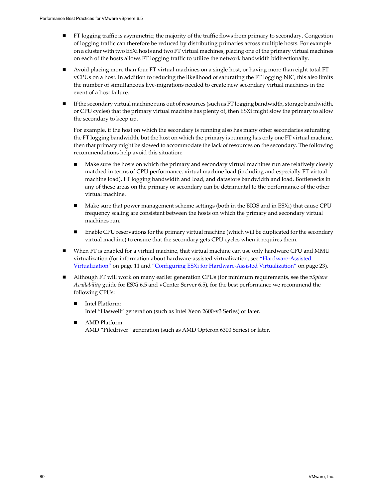- **FT** logging traffic is asymmetric; the majority of the traffic flows from primary to secondary. Congestion of logging traffic can therefore be reduced by distributing primaries across multiple hosts. For example on a cluster with two ESXi hosts and two FT virtual machines, placing one of the primary virtual machines on each of the hosts allows FT logging traffic to utilize the network bandwidth bidirectionally.
- Avoid placing more than four FT virtual machines on a single host, or having more than eight total FT vCPUs on a host. In addition to reducing the likelihood of saturating the FT logging NIC, this also limits the number of simultaneous live-migrations needed to create new secondary virtual machines in the event of a host failure.
- If the secondary virtual machine runs out of resources (such as FT logging bandwidth, storage bandwidth, or CPU cycles) that the primary virtual machine has plenty of, then ESXi might slow the primary to allow the secondary to keep up.

For example, if the host on which the secondary is running also has many other secondaries saturating the FT logging bandwidth, but the host on which the primary is running has only one FT virtual machine, then that primary might be slowed to accommodate the lack of resources on the secondary. The following recommendations help avoid this situation:

- Make sure the hosts on which the primary and secondary virtual machines run are relatively closely matched in terms of CPU performance, virtual machine load (including and especially FT virtual machine load), FT logging bandwidth and load, and datastore bandwidth and load. Bottlenecks in any of these areas on the primary or secondary can be detrimental to the performance of the other virtual machine.
- Make sure that power management scheme settings (both in the BIOS and in ESXi) that cause CPU frequency scaling are consistent between the hosts on which the primary and secondary virtual machines run.
- Enable CPU reservations for the primary virtual machine (which will be duplicated for the secondary virtual machine) to ensure that the secondary gets CPU cycles when it requires them.
- When FT is enabled for a virtual machine, that virtual machine can use only hardware CPU and MMU virtualization (for information about hardware-assisted virtualization, see ["Hardware-Assisted](#page-10-0)  [Virtualization" on page 11](#page-10-0) and ["Configuring ESXi for Hardware-Assisted Virtualization" on page 23](#page-22-0)).
- Although FT will work on many earlier generation CPUs (for minimum requirements, see the *vSphere Availability* guide for ESXi 6.5 and vCenter Server 6.5), for the best performance we recommend the following CPUs:
	- Intel Platform: Intel "Haswell" generation (such as Intel Xeon 2600-v3 Series) or later.
	- AMD Platform: AMD "Piledriver" generation (such as AMD Opteron 6300 Series) or later.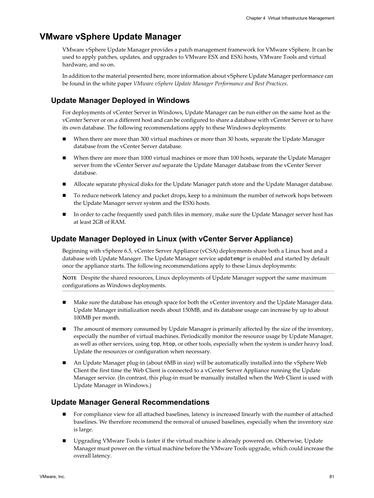## **VMware vSphere Update Manager**

<span id="page-80-0"></span>VMware vSphere Update Manager provides a patch management framework for VMware vSphere. It can be used to apply patches, updates, and upgrades to VMware ESX and ESXi hosts, VMware Tools and virtual hardware, and so on.

In addition to the material presented here, more information about vSphere Update Manager performance can be found in the white paper *VMware vSphere Update Manager Performance and Best Practices*.

## **Update Manager Deployed in Windows**

For deployments of vCenter Server in Windows, Update Manager can be run either on the same host as the vCenter Server or on a different host and can be configured to share a database with vCenter Server or to have its own database. The following recommendations apply to these Windows deployments:

- When there are more than 300 virtual machines or more than 30 hosts, separate the Update Manager database from the vCenter Server database.
- When there are more than 1000 virtual machines or more than 100 hosts, separate the Update Manager server from the vCenter Server *and* separate the Update Manager database from the vCenter Server database.
- Allocate separate physical disks for the Update Manager patch store and the Update Manager database.
- To reduce network latency and packet drops, keep to a minimum the number of network hops between the Update Manager server system and the ESXi hosts.
- In order to cache frequently used patch files in memory, make sure the Update Manager server host has at least 2GB of RAM.

## **Update Manager Deployed in Linux (with vCenter Server Appliance)**

Beginning with vSphere 6.5, vCenter Server Appliance (vCSA) deployments share both a Linux host and a database with Update Manager. The Update Manager service updatemgr is enabled and started by default once the appliance starts. The following recommendations apply to these Linux deployments:

**NOTE** Despite the shared resources, Linux deployments of Update Manager support the same maximum configurations as Windows deployments.

- Make sure the database has enough space for both the vCenter inventory and the Update Manager data. Update Manager initialization needs about 150MB, and its database usage can increase by up to about 100MB per month.
- The amount of memory consumed by Update Manager is primarily affected by the size of the inventory, especially the number of virtual machines. Periodically monitor the resource usage by Update Manager, as well as other services, using top, htop, or other tools, especially when the system is under heavy load. Update the resources or configuration when necessary.
- An Update Manager plug-in (about 6MB in size) will be automatically installed into the vSphere Web Client the first time the Web Client is connected to a vCenter Server Appliance running the Update Manager service. (In contrast, this plug-in must be manually installed when the Web Client is used with Update Manager in Windows.)

### **Update Manager General Recommendations**

- For compliance view for all attached baselines, latency is increased linearly with the number of attached baselines. We therefore recommend the removal of unused baselines, especially when the inventory size is large.
- Upgrading VMware Tools is faster if the virtual machine is already powered on. Otherwise, Update Manager must power on the virtual machine before the VMware Tools upgrade, which could increase the overall latency.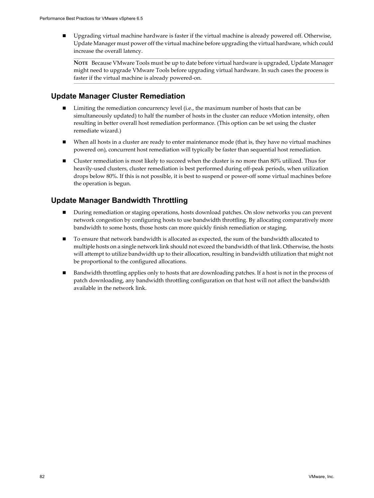Upgrading virtual machine hardware is faster if the virtual machine is already powered off. Otherwise, Update Manager must power off the virtual machine before upgrading the virtual hardware, which could increase the overall latency.

**NOTE** Because VMware Tools must be up to date before virtual hardware is upgraded, Update Manager might need to upgrade VMware Tools before upgrading virtual hardware. In such cases the process is faster if the virtual machine is already powered-on.

## **Update Manager Cluster Remediation**

- Limiting the remediation concurrency level (i.e., the maximum number of hosts that can be simultaneously updated) to half the number of hosts in the cluster can reduce vMotion intensity, often resulting in better overall host remediation performance. (This option can be set using the cluster remediate wizard.)
- When all hosts in a cluster are ready to enter maintenance mode (that is, they have no virtual machines powered on), concurrent host remediation will typically be faster than sequential host remediation.
- Cluster remediation is most likely to succeed when the cluster is no more than 80% utilized. Thus for heavily-used clusters, cluster remediation is best performed during off-peak periods, when utilization drops below 80%. If this is not possible, it is best to suspend or power-off some virtual machines before the operation is begun.

## **Update Manager Bandwidth Throttling**

- During remediation or staging operations, hosts download patches. On slow networks you can prevent network congestion by configuring hosts to use bandwidth throttling. By allocating comparatively more bandwidth to some hosts, those hosts can more quickly finish remediation or staging.
- To ensure that network bandwidth is allocated as expected, the sum of the bandwidth allocated to multiple hosts on a single network link should not exceed the bandwidth of that link. Otherwise, the hosts will attempt to utilize bandwidth up to their allocation, resulting in bandwidth utilization that might not be proportional to the configured allocations.
- Bandwidth throttling applies only to hosts that are downloading patches. If a host is not in the process of patch downloading, any bandwidth throttling configuration on that host will not affect the bandwidth available in the network link.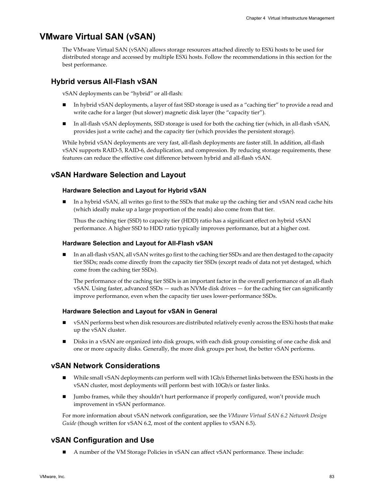## **VMware Virtual SAN (vSAN)**

The VMware Virtual SAN (vSAN) allows storage resources attached directly to ESXi hosts to be used for distributed storage and accessed by multiple ESXi hosts. Follow the recommendations in this section for the best performance.

### **Hybrid versus All-Flash vSAN**

vSAN deployments can be "hybrid" or all-flash:

- In hybrid vSAN deployments, a layer of fast SSD storage is used as a "caching tier" to provide a read and write cache for a larger (but slower) magnetic disk layer (the "capacity tier").
- In all-flash vSAN deployments, SSD storage is used for both the caching tier (which, in all-flash vSAN, provides just a write cache) and the capacity tier (which provides the persistent storage).

While hybrid vSAN deployments are very fast, all-flash deployments are faster still. In addition, all-flash vSAN supports RAID-5, RAID-6, deduplication, and compression. By reducing storage requirements, these features can reduce the effective cost difference between hybrid and all-flash vSAN.

### **vSAN Hardware Selection and Layout**

### **Hardware Selection and Layout for Hybrid vSAN**

 In a hybrid vSAN, all writes go first to the SSDs that make up the caching tier and vSAN read cache hits (which ideally make up a large proportion of the reads) also come from that tier.

Thus the caching tier (SSD) to capacity tier (HDD) ratio has a significant effect on hybrid vSAN performance. A higher SSD to HDD ratio typically improves performance, but at a higher cost.

### **Hardware Selection and Layout for All-Flash vSAN**

 In an all-flash vSAN, all vSAN writes go first to the caching tier SSDs and are then destaged to the capacity tier SSDs; reads come directly from the capacity tier SSDs (except reads of data not yet destaged, which come from the caching tier SSDs).

The performance of the caching tier SSDs is an important factor in the overall performance of an all-flash vSAN. Using faster, advanced SSDs — such as NVMe disk drives — for the caching tier can significantly improve performance, even when the capacity tier uses lower-performance SSDs.

### **Hardware Selection and Layout for vSAN in General**

- vSAN performs best when disk resources are distributed relatively evenly across the ESXi hosts that make up the vSAN cluster.
- Disks in a vSAN are organized into disk groups, with each disk group consisting of one cache disk and one or more capacity disks. Generally, the more disk groups per host, the better vSAN performs.

### **vSAN Network Considerations**

- While small vSAN deployments can perform well with 1Gb/s Ethernet links between the ESXi hosts in the vSAN cluster, most deployments will perform best with 10Gb/s or faster links.
- Jumbo frames, while they shouldn't hurt performance if properly configured, won't provide much improvement in vSAN performance.

For more information about vSAN network configuration, see the *VMware Virtual SAN 6.2 Network Design Guide* (though written for vSAN 6.2, most of the content applies to vSAN 6.5).

### **vSAN Configuration and Use**

A number of the VM Storage Policies in vSAN can affect vSAN performance. These include: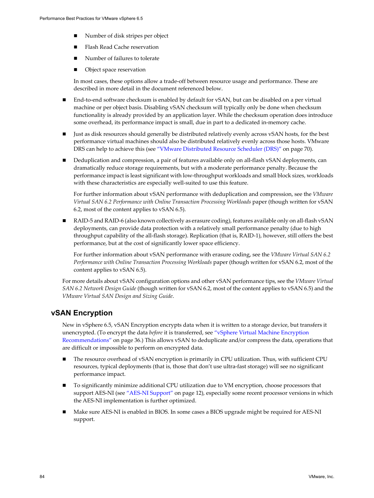- Number of disk stripes per object
- Flash Read Cache reservation
- Number of failures to tolerate
- Object space reservation

In most cases, these options allow a trade-off between resource usage and performance. These are described in more detail in the document referenced below.

- End-to-end software checksum is enabled by default for vSAN, but can be disabled on a per virtual machine or per object basis. Disabling vSAN checksum will typically only be done when checksum functionality is already provided by an application layer. While the checksum operation does introduce some overhead, its performance impact is small, due in part to a dedicated in-memory cache.
- Just as disk resources should generally be distributed relatively evenly across vSAN hosts, for the best performance virtual machines should also be distributed relatively evenly across those hosts. VMware DRS can help to achieve this (see ["VMware Distributed Resource Scheduler \(DRS\)" on page 70](#page-69-0)).
- Deduplication and compression, a pair of features available only on all-flash vSAN deployments, can dramatically reduce storage requirements, but with a moderate performance penalty. Because the performance impact is least significant with low-throughput workloads and small block sizes, workloads with these characteristics are especially well-suited to use this feature.

For further information about vSAN performance with deduplication and compression, see the *VMware Virtual SAN 6.2 Performance with Online Transaction Processing Workloads* paper (though written for vSAN 6.2, most of the content applies to vSAN 6.5).

 RAID-5 and RAID-6 (also known collectively as erasure coding), features available only on all-flash vSAN deployments, can provide data protection with a relatively small performance penalty (due to high throughput capability of the all-flash storage). Replication (that is, RAID-1), however, still offers the best performance, but at the cost of significantly lower space efficiency.

For further information about vSAN performance with erasure coding, see the *VMware Virtual SAN 6.2 Performance with Online Transaction Processing Workloads* paper (though written for vSAN 6.2, most of the content applies to vSAN 6.5).

For more details about vSAN configuration options and other vSAN performance tips, see the *VMware Virtual SAN 6.2 Network Design Guide* (though written for vSAN 6.2, most of the content applies to vSAN 6.5) and the *VMware Virtual SAN Design and Sizing Guide*.

## **vSAN Encryption**

New in vSphere 6.5, vSAN Encryption encrypts data when it is written to a storage device, but transfers it unencrypted. (To encrypt the data *before* it is transferred, see ["vSphere Virtual Machine Encryption](#page-35-0)  [Recommendations" on page 36.](#page-35-0)) This allows vSAN to deduplicate and/or compress the data, operations that are difficult or impossible to perform on encrypted data.

- The resource overhead of vSAN encryption is primarily in CPU utilization. Thus, with sufficient CPU resources, typical deployments (that is, those that don't use ultra-fast storage) will see no significant performance impact.
- To significantly minimize additional CPU utilization due to VM encryption, choose processors that support AES-NI (see ["AES-NI Support" on page 12](#page-11-0)), especially some recent processor versions in which the AES-NI implementation is further optimized.
- Make sure AES-NI is enabled in BIOS. In some cases a BIOS upgrade might be required for AES-NI support.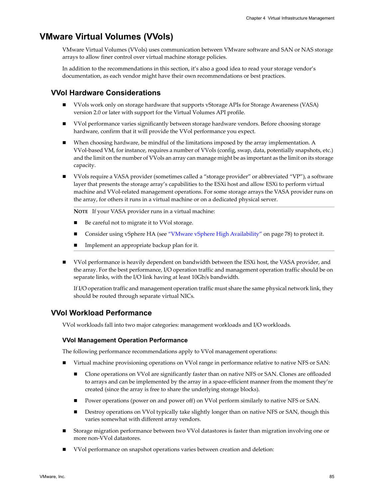## **VMware Virtual Volumes (VVols)**

VMware Virtual Volumes (VVols) uses communication between VMware software and SAN or NAS storage arrays to allow finer control over virtual machine storage policies.

In addition to the recommendations in this section, it's also a good idea to read your storage vendor's documentation, as each vendor might have their own recommendations or best practices.

### **VVol Hardware Considerations**

- VVols work only on storage hardware that supports vStorage APIs for Storage Awareness (VASA) version 2.0 or later with support for the Virtual Volumes API profile.
- VVol performance varies significantly between storage hardware vendors. Before choosing storage hardware, confirm that it will provide the VVol performance you expect.
- When choosing hardware, be mindful of the limitations imposed by the array implementation. A VVol-based VM, for instance, requires a number of VVols (config, swap, data, potentially snapshots, etc.) and the limit on the number of VVols an array can manage might be as important as the limit on its storage capacity.
- VVols require a VASA provider (sometimes called a "storage provider" or abbreviated "VP"), a software layer that presents the storage array's capabilities to the ESXi host and allow ESXi to perform virtual machine and VVol-related management operations. For some storage arrays the VASA provider runs on the array, for others it runs in a virtual machine or on a dedicated physical server.

**NOTE** If your VASA provider runs in a virtual machine:

- Be careful not to migrate it to VVol storage.
- Consider using vSphere HA (see ["VMware vSphere High Availability" on page 78](#page-77-0)) to protect it.
- Implement an appropriate backup plan for it.
- VVol performance is heavily dependent on bandwidth between the ESXi host, the VASA provider, and the array. For the best performance, I/O operation traffic and management operation traffic should be on separate links, with the I/O link having at least 10Gb/s bandwidth.

If I/O operation traffic and management operation traffic must share the same physical network link, they should be routed through separate virtual NICs.

### **VVol Workload Performance**

VVol workloads fall into two major categories: management workloads and I/O workloads.

### **VVol Management Operation Performance**

The following performance recommendations apply to VVol management operations:

- Virtual machine provisioning operations on VVol range in performance relative to native NFS or SAN:
	- Clone operations on VVol are significantly faster than on native NFS or SAN. Clones are offloaded to arrays and can be implemented by the array in a space-efficient manner from the moment they're created (since the array is free to share the underlying storage blocks).
	- **Power operations (power on and power off) on VVol perform similarly to native NFS or SAN.**
	- Destroy operations on VVol typically take slightly longer than on native NFS or SAN, though this varies somewhat with different array vendors.
- Storage migration performance between two VVol datastores is faster than migration involving one or more non-VVol datastores.
- VVol performance on snapshot operations varies between creation and deletion: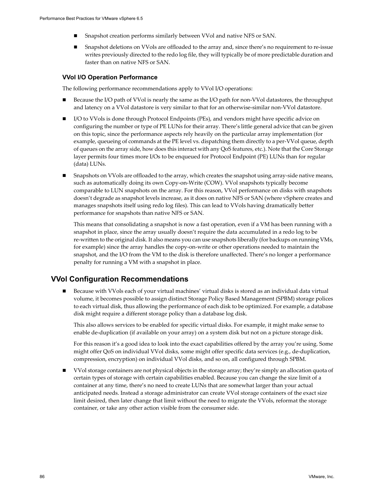- Snapshot creation performs similarly between VVol and native NFS or SAN.
- Snapshot deletions on VVols are offloaded to the array and, since there's no requirement to re-issue writes previously directed to the redo log file, they will typically be of more predictable duration and faster than on native NFS or SAN.

### **VVol I/O Operation Performance**

The following performance recommendations apply to VVol I/O operations:

- Because the I/O path of VVol is nearly the same as the I/O path for non-VVol datastores, the throughput and latency on a VVol datastore is very similar to that for an otherwise-similar non-VVol datastore.
- I/O to VVols is done through Protocol Endpoints (PEs), and vendors might have specific advice on configuring the number or type of PE LUNs for their array. There's little general advice that can be given on this topic, since the performance aspects rely heavily on the particular array implementation (for example, queueing of commands at the PE level vs. dispatching them directly to a per-VVol queue, depth of queues on the array side, how does this interact with any QoS features, etc.). Note that the Core Storage layer permits four times more I/Os to be enqueued for Protocol Endpoint (PE) LUNs than for regular (data) LUNs.
- **Shapshots on VVols are offloaded to the array, which creates the snapshot using array-side native means,** such as automatically doing its own Copy-on-Write (COW). VVol snapshots typically become comparable to LUN snapshots on the array. For this reason, VVol performance on disks with snapshots doesn't degrade as snapshot levels increase, as it does on native NFS or SAN (where vSphere creates and manages snapshots itself using redo log files). This can lead to VVols having dramatically better performance for snapshots than native NFS or SAN.

This means that consolidating a snapshot is now a fast operation, even if a VM has been running with a snapshot in place, since the array usually doesn't require the data accumulated in a redo log to be re-written to the original disk. It also means you can use snapshots liberally (for backups on running VMs, for example) since the array handles the copy-on-write or other operations needed to maintain the snapshot, and the I/O from the VM to the disk is therefore unaffected. There's no longer a performance penalty for running a VM with a snapshot in place.

## **VVol Configuration Recommendations**

 Because with VVols each of your virtual machines' virtual disks is stored as an individual data virtual volume, it becomes possible to assign distinct Storage Policy Based Management (SPBM) storage polices to each virtual disk, thus allowing the performance of each disk to be optimized. For example, a database disk might require a different storage policy than a database log disk.

This also allows services to be enabled for specific virtual disks. For example, it might make sense to enable de-duplication (if available on your array) on a system disk but not on a picture storage disk.

For this reason it's a good idea to look into the exact capabilities offered by the array you're using. Some might offer QoS on individual VVol disks, some might offer specific data services (e.g., de-duplication, compression, encryption) on individual VVol disks, and so on, all configured through SPBM.

 VVol storage containers are not physical objects in the storage array; they're simply an allocation quota of certain types of storage with certain capabilities enabled. Because you can change the size limit of a container at any time, there's no need to create LUNs that are somewhat larger than your actual anticipated needs. Instead a storage administrator can create VVol storage containers of the exact size limit desired, then later change that limit without the need to migrate the VVols, reformat the storage container, or take any other action visible from the consumer side.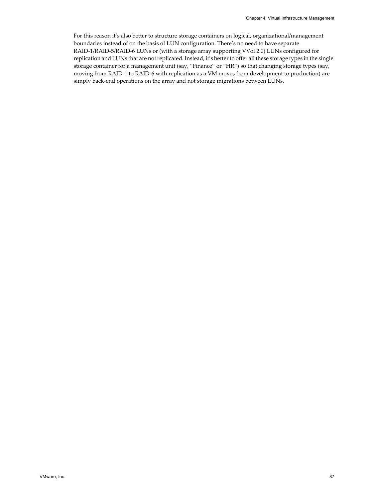For this reason it's also better to structure storage containers on logical, organizational/management boundaries instead of on the basis of LUN configuration. There's no need to have separate RAID-1/RAID-5/RAID-6 LUNs or (with a storage array supporting VVol 2.0) LUNs configured for replication and LUNs that are not replicated. Instead, it's better to offer all these storage types in the single storage container for a management unit (say, "Finance" or "HR") so that changing storage types (say, moving from RAID-1 to RAID-6 with replication as a VM moves from development to production) are simply back-end operations on the array and not storage migrations between LUNs.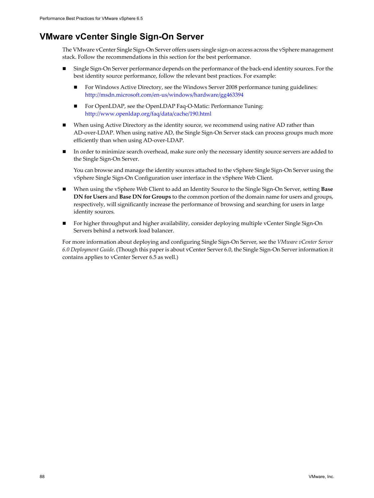## **VMware vCenter Single Sign-On Server**

The VMware vCenter Single Sign-On Server offers users single sign-on access across the vSphere management stack. Follow the recommendations in this section for the best performance.

- **Single Sign-On Server performance depends on the performance of the back-end identity sources. For the** best identity source performance, follow the relevant best practices. For example:
	- For Windows Active Directory, see the Windows Server 2008 performance tuning guidelines: http://msdn.microsoft.com/en-us/windows/hardware/gg463394
	- For OpenLDAP, see the OpenLDAP Faq-O-Matic: Performance Tuning: http://www.openldap.org/faq/data/cache/190.html
- When using Active Directory as the identity source, we recommend using native AD rather than AD-over-LDAP. When using native AD, the Single Sign-On Server stack can process groups much more efficiently than when using AD-over-LDAP.
- In order to minimize search overhead, make sure only the necessary identity source servers are added to the Single Sign-On Server.

You can browse and manage the identity sources attached to the vSphere Single Sign-On Server using the vSphere Single Sign-On Configuration user interface in the vSphere Web Client.

- When using the vSphere Web Client to add an Identity Source to the Single Sign-On Server, setting **Base DN for Users** and **Base DN for Groups** to the common portion of the domain name for users and groups, respectively, will significantly increase the performance of browsing and searching for users in large identity sources.
- **For higher throughput and higher availability, consider deploying multiple vCenter Single Sign-On** Servers behind a network load balancer.

For more information about deploying and configuring Single Sign-On Server, see the *VMware vCenter Server 6.0 Deployment Guide*. (Though this paper is about vCenter Server 6.0, the Single Sign-On Server information it contains applies to vCenter Server 6.5 as well.)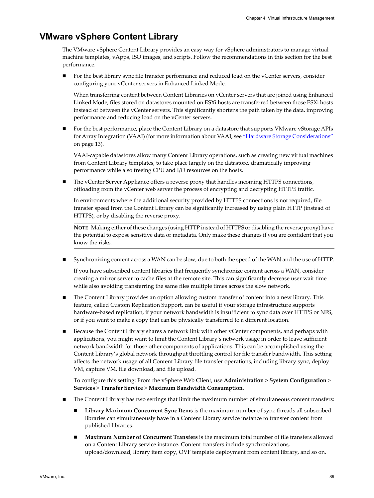## **VMware vSphere Content Library**

The VMware vSphere Content Library provides an easy way for vSphere administrators to manage virtual machine templates, vApps, ISO images, and scripts. Follow the recommendations in this section for the best performance.

 For the best library sync file transfer performance and reduced load on the vCenter servers, consider configuring your vCenter servers in Enhanced Linked Mode.

When transferring content between Content Libraries on vCenter servers that are joined using Enhanced Linked Mode, files stored on datastores mounted on ESXi hosts are transferred between those ESXi hosts instead of between the vCenter servers. This significantly shortens the path taken by the data, improving performance and reducing load on the vCenter servers.

 For the best performance, place the Content Library on a datastore that supports VMware vStorage APIs for Array Integration (VAAI) (for more information about VAAI, see ["Hardware Storage Considerations"](#page-12-0) [on page 13\)](#page-12-0).

<span id="page-88-0"></span>VAAI-capable datastores allow many Content Library operations, such as creating new virtual machines from Content Library templates, to take place largely on the datastore, dramatically improving performance while also freeing CPU and I/O resources on the hosts.

■ The vCenter Server Appliance offers a reverse proxy that handles incoming HTTPS connections, offloading from the vCenter web server the process of encrypting and decrypting HTTPS traffic.

In environments where the additional security provided by HTTPS connections is not required, file transfer speed from the Content Library can be significantly increased by using plain HTTP (instead of HTTPS), or by disabling the reverse proxy.

**NOTE** Making either of these changes (using HTTP instead of HTTPS or disabling the reverse proxy) have the potential to expose sensitive data or metadata. Only make these changes if you are confident that you know the risks.

Synchronizing content across a WAN can be slow, due to both the speed of the WAN and the use of HTTP.

If you have subscribed content libraries that frequently synchronize content across a WAN, consider creating a mirror server to cache files at the remote site. This can significantly decrease user wait time while also avoiding transferring the same files multiple times across the slow network.

- The Content Library provides an option allowing custom transfer of content into a new library. This feature, called Custom Replication Support, can be useful if your storage infrastructure supports hardware-based replication, if your network bandwidth is insufficient to sync data over HTTPS or NFS, or if you want to make a copy that can be physically transferred to a different location.
- Because the Content Library shares a network link with other vCenter components, and perhaps with applications, you might want to limit the Content Library's network usage in order to leave sufficient network bandwidth for those other components of applications. This can be accomplished using the Content Library's global network throughput throttling control for file transfer bandwidth. This setting affects the network usage of all Content Library file transfer operations, including library sync, deploy VM, capture VM, file download, and file upload.

To configure this setting: From the vSphere Web Client, use **Administration** > **System Configuration** > **Services** > **Transfer Service** > **Maximum Bandwidth Consumption**.

- The Content Library has two settings that limit the maximum number of simultaneous content transfers:
	- **Library Maximum Concurrent Sync Items** is the maximum number of sync threads all subscribed libraries can simultaneously have in a Content Library service instance to transfer content from published libraries.
	- **Maximum Number of Concurrent Transfers** is the maximum total number of file transfers allowed on a Content Library service instance. Content transfers include synchronizations, upload/download, library item copy, OVF template deployment from content library, and so on.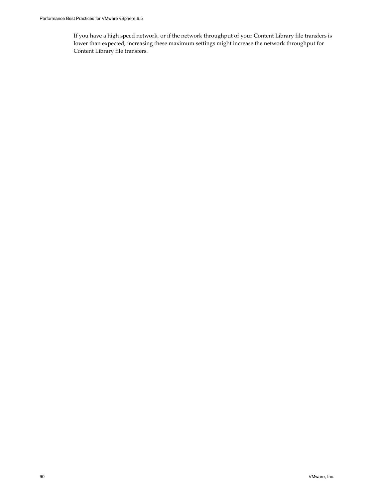If you have a high speed network, or if the network throughput of your Content Library file transfers is lower than expected, increasing these maximum settings might increase the network throughput for Content Library file transfers.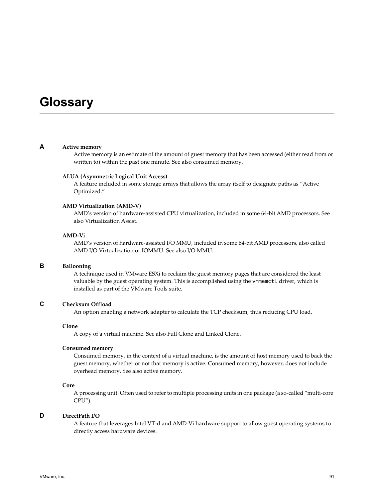# **Glossary**

#### **A Active memory**

Active memory is an estimate of the amount of guest memory that has been accessed (either read from or written to) within the past one minute. See also consumed memory.

#### **ALUA (Asymmetric Logical Unit Access)**

A feature included in some storage arrays that allows the array itself to designate paths as "Active Optimized."

#### **AMD Virtualization (AMD-V)**

AMD's version of hardware-assisted CPU virtualization, included in some 64-bit AMD processors. See also Virtualization Assist.

#### **AMD-Vi**

AMD's version of hardware-assisted I/O MMU, included in some 64-bit AMD processors, also called AMD I/O Virtualization or IOMMU. See also I/O MMU.

### **B Ballooning**

A technique used in VMware ESXi to reclaim the guest memory pages that are considered the least valuable by the guest operating system. This is accomplished using the vmmemctl driver, which is installed as part of the VMware Tools suite.

### **C Checksum Offload**

An option enabling a network adapter to calculate the TCP checksum, thus reducing CPU load.

#### **Clone**

A copy of a virtual machine. See also Full Clone and Linked Clone.

### **Consumed memory**

Consumed memory, in the context of a virtual machine, is the amount of host memory used to back the guest memory, whether or not that memory is active. Consumed memory, however, does not include overhead memory. See also active memory.

#### **Core**

A processing unit. Often used to refer to multiple processing units in one package (a so-called "multi-core CPU").

### **D DirectPath I/O**

A feature that leverages Intel VT-d and AMD-Vi hardware support to allow guest operating systems to directly access hardware devices.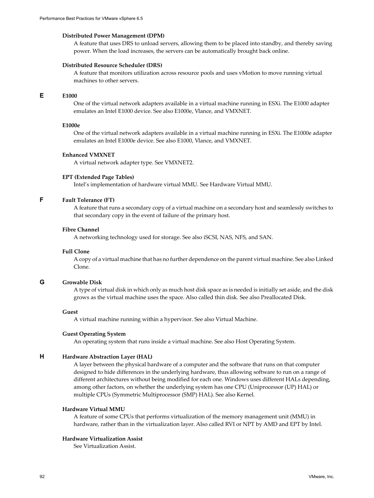#### **Distributed Power Management (DPM)**

A feature that uses DRS to unload servers, allowing them to be placed into standby, and thereby saving power. When the load increases, the servers can be automatically brought back online.

#### **Distributed Resource Scheduler (DRS)**

A feature that monitors utilization across resource pools and uses vMotion to move running virtual machines to other servers.

#### **E E1000**

One of the virtual network adapters available in a virtual machine running in ESXi. The E1000 adapter emulates an Intel E1000 device. See also E1000e, Vlance, and VMXNET.

### **E1000e**

One of the virtual network adapters available in a virtual machine running in ESXi. The E1000e adapter emulates an Intel E1000e device. See also E1000, Vlance, and VMXNET.

### **Enhanced VMXNET**

A virtual network adapter type. See VMXNET2.

#### **EPT (Extended Page Tables)**

Intel's implementation of hardware virtual MMU. See Hardware Virtual MMU.

### **F Fault Tolerance (FT)**

A feature that runs a secondary copy of a virtual machine on a secondary host and seamlessly switches to that secondary copy in the event of failure of the primary host.

#### **Fibre Channel**

A networking technology used for storage. See also iSCSI, NAS, NFS, and SAN.

#### **Full Clone**

A copy of a virtual machine that has no further dependence on the parent virtual machine. See also Linked Clone.

### **G Growable Disk**

A type of virtual disk in which only as much host disk space as is needed is initially set aside, and the disk grows as the virtual machine uses the space. Also called thin disk. See also Preallocated Disk.

#### **Guest**

A virtual machine running within a hypervisor. See also Virtual Machine.

#### **Guest Operating System**

An operating system that runs inside a virtual machine. See also Host Operating System.

### **H Hardware Abstraction Layer (HAL)**

A layer between the physical hardware of a computer and the software that runs on that computer designed to hide differences in the underlying hardware, thus allowing software to run on a range of different architectures without being modified for each one. Windows uses different HALs depending, among other factors, on whether the underlying system has one CPU (Uniprocessor (UP) HAL) or multiple CPUs (Symmetric Multiprocessor (SMP) HAL). See also Kernel.

#### **Hardware Virtual MMU**

A feature of some CPUs that performs virtualization of the memory management unit (MMU) in hardware, rather than in the virtualization layer. Also called RVI or NPT by AMD and EPT by Intel.

### **Hardware Virtualization Assist**

See Virtualization Assist.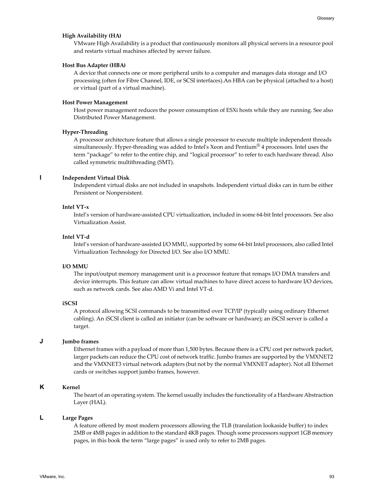### **High Availability (HA)**

VMware High Availability is a product that continuously monitors all physical servers in a resource pool and restarts virtual machines affected by server failure.

#### **Host Bus Adapter (HBA)**

A device that connects one or more peripheral units to a computer and manages data storage and I/O processing (often for Fibre Channel, IDE, or SCSI interfaces).An HBA can be physical (attached to a host) or virtual (part of a virtual machine).

#### **Host Power Management**

Host power management reduces the power consumption of ESXi hosts while they are running. See also Distributed Power Management.

#### **Hyper-Threading**

A processor architecture feature that allows a single processor to execute multiple independent threads simultaneously. Hyper-threading was added to Intel's Xeon and Pentium<sup>®</sup> 4 processors. Intel uses the term "package" to refer to the entire chip, and "logical processor" to refer to each hardware thread. Also called symmetric multithreading (SMT).

### **I Independent Virtual Disk**

Independent virtual disks are not included in snapshots. Independent virtual disks can in turn be either Persistent or Nonpersistent.

#### **Intel VT-x**

Intel's version of hardware-assisted CPU virtualization, included in some 64-bit Intel processors. See also Virtualization Assist.

#### **Intel VT-d**

Intel's version of hardware-assisted I/O MMU, supported by some 64-bit Intel processors, also called Intel Virtualization Technology for Directed I/O. See also I/O MMU.

#### **I/O MMU**

The input/output memory management unit is a processor feature that remaps I/O DMA transfers and device interrupts. This feature can allow virtual machines to have direct access to hardware I/O devices, such as network cards. See also AMD Vi and Intel VT-d.

#### **iSCSI**

A protocol allowing SCSI commands to be transmitted over TCP/IP (typically using ordinary Ethernet cabling). An iSCSI client is called an initiator (can be software or hardware); an iSCSI server is called a target.

#### **J Jumbo frames**

Ethernet frames with a payload of more than 1,500 bytes. Because there is a CPU cost per network packet, larger packets can reduce the CPU cost of network traffic. Jumbo frames are supported by the VMXNET2 and the VMXNET3 virtual network adapters (but not by the normal VMXNET adapter). Not all Ethernet cards or switches support jumbo frames, however.

### **K Kernel**

The heart of an operating system. The kernel usually includes the functionality of a Hardware Abstraction Layer (HAL).

#### **L Large Pages**

A feature offered by most modern processors allowing the TLB (translation lookaside buffer) to index 2MB or 4MB pages in addition to the standard 4KB pages. Though some processors support 1GB memory pages, in this book the term "large pages" is used only to refer to 2MB pages.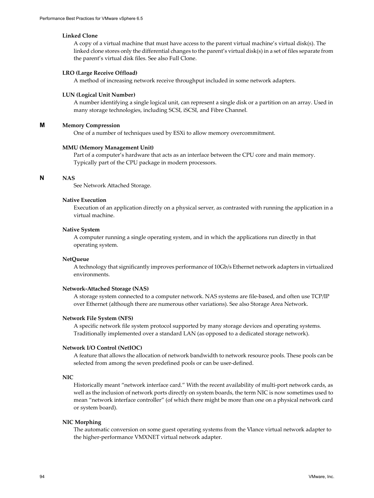#### **Linked Clone**

A copy of a virtual machine that must have access to the parent virtual machine's virtual disk(s). The linked clone stores only the differential changes to the parent's virtual disk(s) in a set of files separate from the parent's virtual disk files. See also Full Clone.

#### **LRO (Large Receive Offload)**

A method of increasing network receive throughput included in some network adapters.

#### **LUN (Logical Unit Number)**

A number identifying a single logical unit, can represent a single disk or a partition on an array. Used in many storage technologies, including SCSI, iSCSI, and Fibre Channel.

### **M Memory Compression**

One of a number of techniques used by ESXi to allow memory overcommitment.

#### **MMU (Memory Management Unit)**

Part of a computer's hardware that acts as an interface between the CPU core and main memory. Typically part of the CPU package in modern processors.

#### **N NAS**

See Network Attached Storage.

### **Native Execution**

Execution of an application directly on a physical server, as contrasted with running the application in a virtual machine.

#### **Native System**

A computer running a single operating system, and in which the applications run directly in that operating system.

#### **NetQueue**

A technology that significantly improves performance of 10Gb/s Ethernet network adapters in virtualized environments.

#### **Network-Attached Storage (NAS)**

A storage system connected to a computer network. NAS systems are file-based, and often use TCP/IP over Ethernet (although there are numerous other variations). See also Storage Area Network.

#### **Network File System (NFS)**

A specific network file system protocol supported by many storage devices and operating systems. Traditionally implemented over a standard LAN (as opposed to a dedicated storage network).

#### **Network I/O Control (NetIOC)**

A feature that allows the allocation of network bandwidth to network resource pools. These pools can be selected from among the seven predefined pools or can be user-defined.

#### **NIC**

Historically meant "network interface card." With the recent availability of multi-port network cards, as well as the inclusion of network ports directly on system boards, the term NIC is now sometimes used to mean "network interface controller" (of which there might be more than one on a physical network card or system board).

### **NIC Morphing**

The automatic conversion on some guest operating systems from the Vlance virtual network adapter to the higher-performance VMXNET virtual network adapter.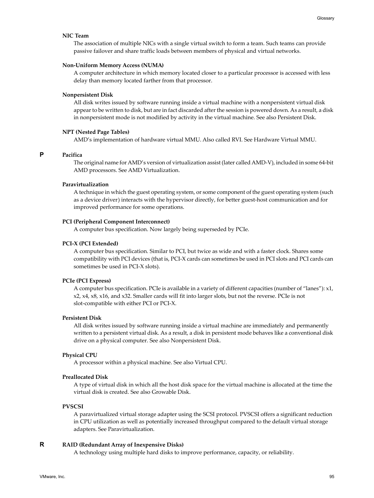### **NIC Team**

The association of multiple NICs with a single virtual switch to form a team. Such teams can provide passive failover and share traffic loads between members of physical and virtual networks.

#### **Non-Uniform Memory Access (NUMA)**

A computer architecture in which memory located closer to a particular processor is accessed with less delay than memory located farther from that processor.

#### **Nonpersistent Disk**

All disk writes issued by software running inside a virtual machine with a nonpersistent virtual disk appear to be written to disk, but are in fact discarded after the session is powered down. As a result, a disk in nonpersistent mode is not modified by activity in the virtual machine. See also Persistent Disk.

#### **NPT (Nested Page Tables)**

AMD's implementation of hardware virtual MMU. Also called RVI. See Hardware Virtual MMU.

#### **P Pacifica**

The original name for AMD's version of virtualization assist (later called AMD-V), included in some 64-bit AMD processors. See AMD Virtualization.

#### **Paravirtualization**

A technique in which the guest operating system, or some component of the guest operating system (such as a device driver) interacts with the hypervisor directly, for better guest-host communication and for improved performance for some operations.

#### **PCI (Peripheral Component Interconnect)**

A computer bus specification. Now largely being superseded by PCIe.

#### **PCI-X (PCI Extended)**

A computer bus specification. Similar to PCI, but twice as wide and with a faster clock. Shares some compatibility with PCI devices (that is, PCI-X cards can sometimes be used in PCI slots and PCI cards can sometimes be used in PCI-X slots).

#### **PCIe (PCI Express)**

A computer bus specification. PCIe is available in a variety of different capacities (number of "lanes"): x1, x2, x4, x8, x16, and x32. Smaller cards will fit into larger slots, but not the reverse. PCIe is not slot-compatible with either PCI or PCI-X.

#### **Persistent Disk**

All disk writes issued by software running inside a virtual machine are immediately and permanently written to a persistent virtual disk. As a result, a disk in persistent mode behaves like a conventional disk drive on a physical computer. See also Nonpersistent Disk.

#### **Physical CPU**

A processor within a physical machine. See also Virtual CPU.

### **Preallocated Disk**

A type of virtual disk in which all the host disk space for the virtual machine is allocated at the time the virtual disk is created. See also Growable Disk.

#### **PVSCSI**

A paravirtualized virtual storage adapter using the SCSI protocol. PVSCSI offers a significant reduction in CPU utilization as well as potentially increased throughput compared to the default virtual storage adapters. See Paravirtualization.

### **R RAID (Redundant Array of Inexpensive Disks)**

A technology using multiple hard disks to improve performance, capacity, or reliability.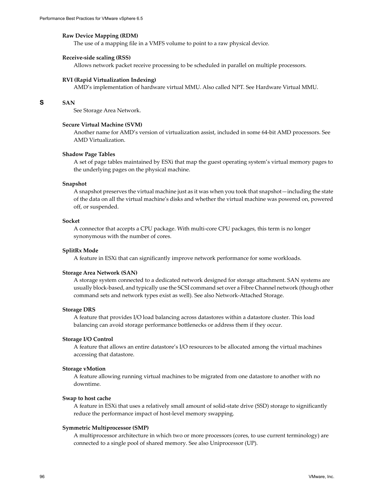#### **Raw Device Mapping (RDM)**

The use of a mapping file in a VMFS volume to point to a raw physical device.

#### **Receive-side scaling (RSS)**

Allows network packet receive processing to be scheduled in parallel on multiple processors.

#### **RVI (Rapid Virtualization Indexing)**

AMD's implementation of hardware virtual MMU. Also called NPT. See Hardware Virtual MMU.

### **S SAN**

See Storage Area Network.

### **Secure Virtual Machine (SVM)**

Another name for AMD's version of virtualization assist, included in some 64-bit AMD processors. See AMD Virtualization.

### **Shadow Page Tables**

A set of page tables maintained by ESXi that map the guest operating system's virtual memory pages to the underlying pages on the physical machine.

#### **Snapshot**

A snapshot preserves the virtual machine just as it was when you took that snapshot—including the state of the data on all the virtual machineʹs disks and whether the virtual machine was powered on, powered off, or suspended.

#### **Socket**

A connector that accepts a CPU package. With multi-core CPU packages, this term is no longer synonymous with the number of cores.

#### **SplitRx Mode**

A feature in ESXi that can significantly improve network performance for some workloads.

#### **Storage Area Network (SAN)**

A storage system connected to a dedicated network designed for storage attachment. SAN systems are usually block-based, and typically use the SCSI command set over a Fibre Channel network (though other command sets and network types exist as well). See also Network-Attached Storage.

#### **Storage DRS**

A feature that provides I/O load balancing across datastores within a datastore cluster. This load balancing can avoid storage performance bottlenecks or address them if they occur.

#### **Storage I/O Control**

A feature that allows an entire datastore's I/O resources to be allocated among the virtual machines accessing that datastore.

#### **Storage vMotion**

A feature allowing running virtual machines to be migrated from one datastore to another with no downtime.

#### **Swap to host cache**

A feature in ESXi that uses a relatively small amount of solid-state drive (SSD) storage to significantly reduce the performance impact of host-level memory swapping.

#### **Symmetric Multiprocessor (SMP)**

A multiprocessor architecture in which two or more processors (cores, to use current terminology) are connected to a single pool of shared memory. See also Uniprocessor (UP).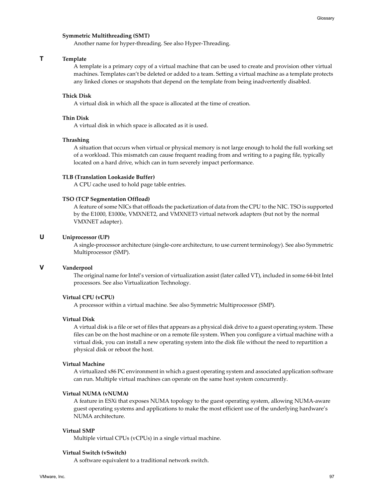### **Symmetric Multithreading (SMT)**

Another name for hyper-threading. See also Hyper-Threading.

### **T Template**

A template is a primary copy of a virtual machine that can be used to create and provision other virtual machines. Templates can't be deleted or added to a team. Setting a virtual machine as a template protects any linked clones or snapshots that depend on the template from being inadvertently disabled.

#### **Thick Disk**

A virtual disk in which all the space is allocated at the time of creation.

### **Thin Disk**

A virtual disk in which space is allocated as it is used.

#### **Thrashing**

A situation that occurs when virtual or physical memory is not large enough to hold the full working set of a workload. This mismatch can cause frequent reading from and writing to a paging file, typically located on a hard drive, which can in turn severely impact performance.

#### **TLB (Translation Lookaside Buffer)**

A CPU cache used to hold page table entries.

#### **TSO (TCP Segmentation Offload)**

A feature of some NICs that offloads the packetization of data from the CPU to the NIC. TSO is supported by the E1000, E1000e, VMXNET2, and VMXNET3 virtual network adapters (but not by the normal VMXNET adapter).

### **U Uniprocessor (UP)**

A single-processor architecture (single-core architecture, to use current terminology). See also Symmetric Multiprocessor (SMP).

#### **V Vanderpool**

The original name for Intel's version of virtualization assist (later called VT), included in some 64-bit Intel processors. See also Virtualization Technology.

### **Virtual CPU (vCPU)**

A processor within a virtual machine. See also Symmetric Multiprocessor (SMP).

#### **Virtual Disk**

A virtual disk is a file or set of files that appears as a physical disk drive to a guest operating system. These files can be on the host machine or on a remote file system. When you configure a virtual machine with a virtual disk, you can install a new operating system into the disk file without the need to repartition a physical disk or reboot the host.

### **Virtual Machine**

A virtualized x86 PC environment in which a guest operating system and associated application software can run. Multiple virtual machines can operate on the same host system concurrently.

#### **Virtual NUMA (vNUMA)**

A feature in ESXi that exposes NUMA topology to the guest operating system, allowing NUMA-aware guest operating systems and applications to make the most efficient use of the underlying hardware's NUMA architecture.

#### **Virtual SMP**

Multiple virtual CPUs (vCPUs) in a single virtual machine.

#### **Virtual Switch (vSwitch)**

A software equivalent to a traditional network switch.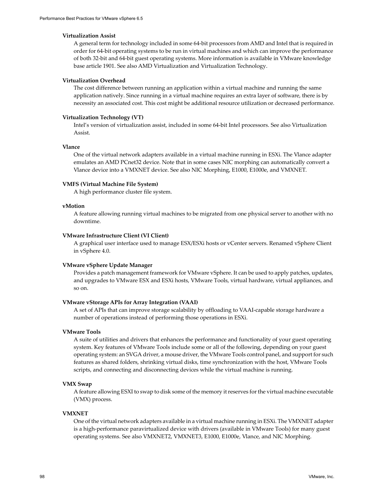#### **Virtualization Assist**

A general term for technology included in some 64-bit processors from AMD and Intel that is required in order for 64-bit operating systems to be run in virtual machines and which can improve the performance of both 32-bit and 64-bit guest operating systems. More information is available in VMware knowledge base article 1901. See also AMD Virtualization and Virtualization Technology.

#### **Virtualization Overhead**

The cost difference between running an application within a virtual machine and running the same application natively. Since running in a virtual machine requires an extra layer of software, there is by necessity an associated cost. This cost might be additional resource utilization or decreased performance.

#### **Virtualization Technology (VT)**

Intel's version of virtualization assist, included in some 64-bit Intel processors. See also Virtualization Assist.

#### **Vlance**

One of the virtual network adapters available in a virtual machine running in ESXi. The Vlance adapter emulates an AMD PCnet32 device. Note that in some cases NIC morphing can automatically convert a Vlance device into a VMXNET device. See also NIC Morphing, E1000, E1000e, and VMXNET.

#### **VMFS (Virtual Machine File System)**

A high performance cluster file system.

### **vMotion**

A feature allowing running virtual machines to be migrated from one physical server to another with no downtime.

#### **VMware Infrastructure Client (VI Client)**

A graphical user interface used to manage ESX/ESXi hosts or vCenter servers. Renamed vSphere Client in vSphere 4.0.

### **VMware vSphere Update Manager**

Provides a patch management framework for VMware vSphere. It can be used to apply patches, updates, and upgrades to VMware ESX and ESXi hosts, VMware Tools, virtual hardware, virtual appliances, and so on.

#### **VMware vStorage APIs for Array Integration (VAAI)**

A set of APIs that can improve storage scalability by offloading to VAAI-capable storage hardware a number of operations instead of performing those operations in ESXi.

#### **VMware Tools**

A suite of utilities and drivers that enhances the performance and functionality of your guest operating system. Key features of VMware Tools include some or all of the following, depending on your guest operating system: an SVGA driver, a mouse driver, the VMware Tools control panel, and support for such features as shared folders, shrinking virtual disks, time synchronization with the host, VMware Tools scripts, and connecting and disconnecting devices while the virtual machine is running.

#### **VMX Swap**

A feature allowing ESXI to swap to disk some of the memory it reserves for the virtual machine executable (VMX) process.

#### **VMXNET**

One of the virtual network adapters available in a virtual machine running in ESXi. The VMXNET adapter is a high-performance paravirtualized device with drivers (available in VMware Tools) for many guest operating systems. See also VMXNET2, VMXNET3, E1000, E1000e, Vlance, and NIC Morphing.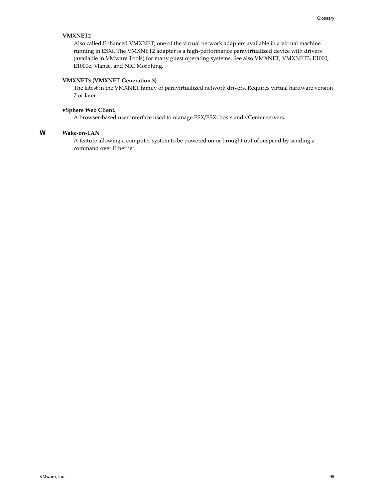### **VMXNET2**

Also called Enhanced VMXNET; one of the virtual network adapters available in a virtual machine running in ESXi. The VMXNET2 adapter is a high-performance paravirtualized device with drivers (available in VMware Tools) for many guest operating systems. See also VMXNET, VMXNET3, E1000, E1000e, Vlance, and NIC Morphing.

### **VMXNET3 (VMXNET Generation 3)**

The latest in the VMXNET family of paravirtualized network drivers. Requires virtual hardware version 7 or later.

#### **vSphere Web Client.**

A browser-based user interface used to manage ESX/ESXi hosts and vCenter servers.

### **W Wake-on-LAN**

A feature allowing a computer system to be powered on or brought out of suspend by sending a command over Ethernet.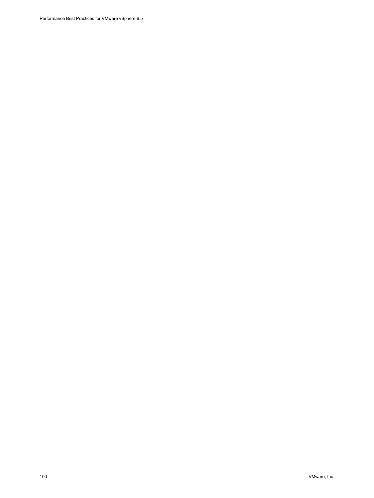Performance Best Practices for VMware vSphere 6.5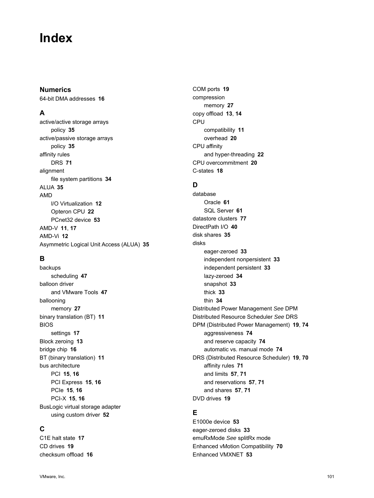# **Index**

### **Numerics**

64-bit DMA addresses **[16](#page-15-0)**

## **A**

active/active storage arrays policy **[35](#page-34-1)** active/passive storage arrays policy **[35](#page-34-2)** affinity rules DRS **[71](#page-70-0)** alignment file system partitions **[34](#page-33-0)** ALUA **[35](#page-34-3)** AMD I/O Virtualization **[12](#page-11-1)** Opteron CPU **[22](#page-21-0)** PCnet32 device **[53](#page-52-0)** AMD-V **[11](#page-10-1)**, **[17](#page-16-0)** AMD-Vi **[12](#page-11-2)** Asymmetric Logical Unit Access (ALUA) **[35](#page-34-3)**

## **B**

backups scheduling **[47](#page-46-0)** balloon driver and VMware Tools **[47](#page-46-1)** ballooning memory **[27](#page-26-0)** binary translation (BT) **[11](#page-10-2)** BIOS settings **[17](#page-16-1)** Block zeroing **[13](#page-12-1)** bridge chip **[16](#page-15-1)** BT (binary translation) **[11](#page-10-2)** bus architecture PCI **[15](#page-14-0)**, **[16](#page-15-2)** PCI Express **[15](#page-14-1)**, **[16](#page-15-2)** PCIe **[15](#page-14-2)**, **[16](#page-15-2)** PCI-X **[15](#page-14-3)**, **[16](#page-15-2)** BusLogic virtual storage adapter using custom driver **[52](#page-51-0)**

## **C**

C1E halt state **[17](#page-16-2)** CD drives **[19](#page-18-0)** checksum offload **[16](#page-15-3)**

COM ports **[19](#page-18-1)** compression memory **[27](#page-26-1)** copy offload **[13](#page-12-2)**, **[14](#page-13-0)** CPU compatibility **[11](#page-10-3)** overhead **[20](#page-19-0)** CPU affinity and hyper-threading **[22](#page-21-1)** CPU overcommitment **[20](#page-19-1)** C-states **[18](#page-17-0)**

## **D**

database Oracle **[61](#page-60-0)** SQL Server **[61](#page-60-1)** datastore clusters **[77](#page-76-0)** DirectPath I/O **[40](#page-39-0)** disk shares **[35](#page-34-4)** disks eager-zeroed **[33](#page-32-0)** independent nonpersistent **[33](#page-32-1)** independent persistent **[33](#page-32-2)** lazy-zeroed **[34](#page-33-1)** snapshot **[33](#page-32-3)** thick **[33](#page-32-4)** thin **[34](#page-33-2)** [Distributed Power Management](#page-73-0) *See* DPM [Distributed Resource Scheduler](#page-69-1) *See* DRS DPM (Distributed Power Management) **[19](#page-18-2)**, **[74](#page-73-1)** aggressiveness **[74](#page-73-2)** and reserve capacity **[74](#page-73-3)** automatic vs. manual mode **[74](#page-73-4)** DRS (Distributed Resource Scheduler) **[19](#page-18-3)**, **[70](#page-69-2)** affinity rules **[71](#page-70-0)** and limits **[57](#page-56-0)**, **[71](#page-70-1)** and reservations **[57](#page-56-1)**, **[71](#page-70-2)** and shares **[57](#page-56-2)**, **[71](#page-70-3)** DVD drives **[19](#page-18-4)**

## **E**

E1000e device **[53](#page-52-1)** eager-zeroed disks **[33](#page-32-0)** [emuRxMode](#page-41-0) *See* splitRx mode Enhanced vMotion Compatibility **[70](#page-69-3)** Enhanced VMXNET **[53](#page-52-2)**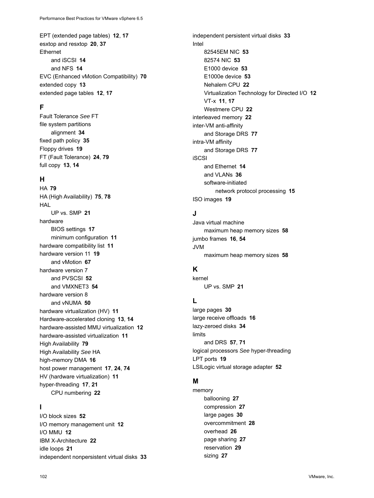EPT (extended page tables) **[12](#page-11-3)**, **[17](#page-16-3)** esxtop and resxtop **[20](#page-19-2)**, **[37](#page-36-0) Ethernet** and iSCSI **[14](#page-13-1)** and NFS **[14](#page-13-2)** EVC (Enhanced vMotion Compatibility) **[70](#page-69-4)** extended copy **[13](#page-12-3)** extended page tables **[12](#page-11-4)**, **[17](#page-16-3)**

## **F**

[Fault Tolerance](#page-78-0) *See* FT file system partitions alignment **[34](#page-33-0)** fixed path policy **[35](#page-34-5)** Floppy drives **[19](#page-18-5)** FT (Fault Tolerance) **[24](#page-23-1)**, **[79](#page-78-1)** full copy **[13](#page-12-4)**, **[14](#page-13-3)**

## **H**

HA **[79](#page-78-2)** HA (High Availability) **[75](#page-74-0)**, **[78](#page-77-1)** HAL UP vs. SMP **[21](#page-20-0)** hardware BIOS settings **[17](#page-16-1)** minimum configuration **[11](#page-10-4)** hardware compatibility list **[11](#page-10-5)** hardware version 11 **[19](#page-18-6)** and vMotion **[67](#page-66-0)** hardware version 7 and PVSCSI **[52](#page-51-1)** and VMXNET3 **[54](#page-53-0)** hardware version 8 and vNUMA **[50](#page-49-0)** hardware virtualization (HV) **[11](#page-10-6)** Hardware-accelerated cloning **[13](#page-12-3)**, **[14](#page-13-4)** hardware-assisted MMU virtualization **[12](#page-11-5)** hardware-assisted virtualization **[11](#page-10-7)** High Availability **[79](#page-78-2)** [High Availability](#page-77-2) *See* HA high-memory DMA **[16](#page-15-4)** host power management **[17](#page-16-4)**, **[24](#page-23-2)**, **[74](#page-73-5)** HV (hardware virtualization) **[11](#page-10-6)** hyper-threading **[17](#page-16-5)**, **[21](#page-20-1)** CPU numbering **[22](#page-21-2)**

## **I**

I/O block sizes **[52](#page-51-2)** I/O memory management unit **[12](#page-11-6)** I/O MMU **[12](#page-11-6)** IBM X-Architecture **[22](#page-21-3)** idle loops **[21](#page-20-2)** independent nonpersistent virtual disks **[33](#page-32-1)**

independent persistent virtual disks **[33](#page-32-2)** Intel 82545EM NIC **[53](#page-52-3)** 82574 NIC **[53](#page-52-4)** E1000 device **[53](#page-52-5)** E1000e device **[53](#page-52-6)** Nehalem CPU **[22](#page-21-4)** Virtualization Technology for Directed I/O **[12](#page-11-7)** VT-x **[11](#page-10-8)**, **[17](#page-16-6)** Westmere CPU **[22](#page-21-5)** interleaved memory **[22](#page-21-6)** inter-VM anti-affinity and Storage DRS **[77](#page-76-1)** intra-VM affinity and Storage DRS **[77](#page-76-2)** iSCSI and Ethernet **[14](#page-13-1)** and VLANs **[36](#page-35-1)** software-initiated network protocol processing **[15](#page-14-4)** ISO images **[19](#page-18-7)**

## **J**

Java virtual machine maximum heap memory sizes **[58](#page-57-0)** jumbo frames **[16](#page-15-5)**, **[54](#page-53-1)** JVM maximum heap memory sizes **[58](#page-57-0)**

## **K**

kernel UP vs. SMP **[21](#page-20-3)**

## **L**

large pages **[30](#page-29-0)** large receive offloads **[16](#page-15-6)** lazy-zeroed disks **[34](#page-33-1)** limits and DRS **[57](#page-56-0)**, **[71](#page-70-1)** [logical processors](#page-20-4) *See* hyper-threading LPT ports **[19](#page-18-8)** LSILogic virtual storage adapter **[52](#page-51-3)**

## **M**

memory ballooning **[27](#page-26-0)** compression **[27](#page-26-1)** large pages **[30](#page-29-0)** overcommitment **[28](#page-27-0)** overhead **[26](#page-25-0)** page sharing **[27](#page-26-2)** reservation **[29](#page-28-0)** sizing **[27](#page-26-3)**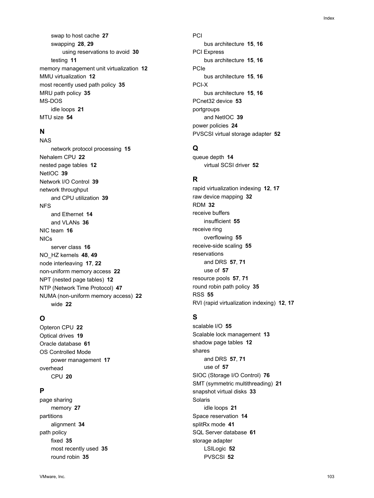swap to host cache **[27](#page-26-4)** swapping **[28](#page-27-1)**, **[29](#page-28-1)** using reservations to avoid **[30](#page-29-1)** testing **[11](#page-10-9)** memory management unit virtualization **[12](#page-11-8)** MMU virtualization **[12](#page-11-8)** most recently used path policy **[35](#page-34-6)** MRU path policy **[35](#page-34-6)** MS-DOS idle loops **[21](#page-20-5)** MTU size **[54](#page-53-2)**

## **N**

NAS network protocol processing **[15](#page-14-5)** Nehalem CPU **[22](#page-21-4)** nested page tables **[12](#page-11-9)** NetIOC **[39](#page-38-0)** Network I/O Control **[39](#page-38-0)** network throughput and CPU utilization **[39](#page-38-1)** NFS and Ethernet **[14](#page-13-2)** and VLANs **[36](#page-35-2)** NIC team **[16](#page-15-7)** NICs server class **[16](#page-15-8)** NO\_HZ kernels **[48](#page-47-0)**, **[49](#page-48-0)** node interleaving **[17](#page-16-7)**, **[22](#page-21-7)** non-uniform memory access **[22](#page-21-8)** NPT (nested page tables) **[12](#page-11-10)** NTP (Network Time Protocol) **[47](#page-46-2)** NUMA (non-uniform memory access) **[22](#page-21-9)** wide **[22](#page-21-10)**

## **O**

Opteron CPU **[22](#page-21-0)** Optical drives **[19](#page-18-9)** Oracle database **[61](#page-60-0)** OS Controlled Mode power management **[17](#page-16-8)** overhead CPU **[20](#page-19-0)**

### **P**

page sharing memory **[27](#page-26-2)** partitions alignment **[34](#page-33-0)** path policy fixed **[35](#page-34-5)** most recently used **[35](#page-34-6)** round robin **[35](#page-34-7)**

bus architecture **[15](#page-14-0)**, **[16](#page-15-2)**

**PCI** 

PCI Express bus architecture **[15](#page-14-1)**, **[16](#page-15-2)** PCIe bus architecture **[15](#page-14-2)**, **[16](#page-15-2)** PCI-X bus architecture **[15](#page-14-3)**, **[16](#page-15-2)** PCnet32 device **[53](#page-52-7)** portgroups and NetIOC **[39](#page-38-2)** power policies **[24](#page-23-3)** PVSCSI virtual storage adapter **[52](#page-51-4)**

## **Q**

queue depth **[14](#page-13-5)** virtual SCSI driver **[52](#page-51-5)**

## **R**

rapid virtualization indexing **[12](#page-11-11)**, **[17](#page-16-9)** raw device mapping **[32](#page-31-0)** RDM **[32](#page-31-1)** receive buffers insufficient **[55](#page-54-0)** receive ring overflowing **[55](#page-54-1)** receive-side scaling **[55](#page-54-2)** reservations and DRS **[57](#page-56-1)**, **[71](#page-70-2)** use of **[57](#page-56-3)** resource pools **[57](#page-56-4)**, **[71](#page-70-4)** round robin path policy **[35](#page-34-7)** RSS **[55](#page-54-2)** RVI (rapid virtualization indexing) **[12](#page-11-12)**, **[17](#page-16-9)**

## **S**

scalable I/O **[55](#page-54-3)** Scalable lock management **[13](#page-12-5)** shadow page tables **[12](#page-11-13)** shares and DRS **[57](#page-56-2)**, **[71](#page-70-3)** use of **[57](#page-56-5)** SIOC (Storage I/O Control) **[76](#page-75-0)** SMT (symmetric multithreading) **[21](#page-20-6)** snapshot virtual disks **[33](#page-32-3)** Solaris idle loops **[21](#page-20-7)** Space reservation **[14](#page-13-6)** splitRx mode **[41](#page-40-0)** SQL Server database **[61](#page-60-1)** storage adapter LSILogic **[52](#page-51-3)** PVSCSI **[52](#page-51-4)**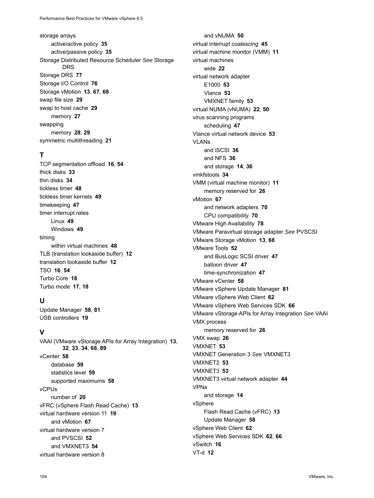storage arrays active/active policy **[35](#page-34-1)** active/passive policy **[35](#page-34-2)** [Storage Distributed Resource Scheduler](#page-76-3) *See* Storage DRS Storage DRS **[77](#page-76-4)** Storage I/O Control **[76](#page-75-0)** Storage vMotion **[13](#page-12-6)**, **[67](#page-66-1)**, **[68](#page-67-0)** swap file size **[29](#page-28-2)** swap to host cache **[29](#page-28-3)** memory **[27](#page-26-4)** swapping memory **[28](#page-27-1)**, **[29](#page-28-1)** symmetric multithreading **[21](#page-20-6)**

## **T**

TCP segmentation offload **[16](#page-15-9)**, **[54](#page-53-3)** thick disks **[33](#page-32-4)** thin disks **[34](#page-33-2)** tickless timer **[48](#page-47-1)** tickless timer kernels **[49](#page-48-1)** timekeeping **[47](#page-46-3)** timer interrupt rates Linux **[49](#page-48-2)** Windows **[49](#page-48-3)** timing within virtual machines **[48](#page-47-2)** TLB (translation lookaside buffer) **[12](#page-11-14)** translation lookaside buffer **[12](#page-11-15)** TSO **[16](#page-15-10)**, **[54](#page-53-3)** Turbo Core **[18](#page-17-1)** Turbo mode **[17](#page-16-10)**, **[18](#page-17-2)**

## **U**

Update Manager **[58](#page-57-1)**, **[81](#page-80-0)** USB controllers **[19](#page-18-10)**

## **V**

VAAI (VMware vStorage APIs for Array Integration) **[13](#page-12-7)**, **[32](#page-31-2)**, **[33](#page-32-5)**, **[34](#page-33-3)**, **[68](#page-67-1)**, **[89](#page-88-0)** vCenter **[58](#page-57-2)** database **[59](#page-58-0)** statistics level **[59](#page-58-1)** supported maximums **[58](#page-57-3)** vCPUs number of **[20](#page-19-3)** vFRC (vSphere Flash Read Cache) **[13](#page-12-8)** virtual hardware version 11 **[19](#page-18-6)** and vMotion **[67](#page-66-0)** virtual hardware version 7 and PVSCSI **[52](#page-51-1)** and VMXNET3 **[54](#page-53-0)** virtual hardware version 8

and vNUMA **[50](#page-49-0)** virtual interrupt coalescing **[45](#page-44-0)** virtual machine monitor (VMM) **[11](#page-10-10)** virtual machines wide **[22](#page-21-10)** virtual network adapter E1000 **[53](#page-52-8)** Vlance **[53](#page-52-8)** VMXNET family **[53](#page-52-8)** virtual NUMA (vNUMA) **[22](#page-21-11)**, **[50](#page-49-1)** virus scanning programs scheduling **[47](#page-46-4)** Vlance virtual network device **[53](#page-52-9)** VI AN<sub>S</sub> and iSCSI **[36](#page-35-1)** and NFS **[36](#page-35-2)** and storage **[14](#page-13-7)**, **[36](#page-35-3)** vmkfstools **[34](#page-33-4)** VMM (virtual machine monitor) **[11](#page-10-10)** memory reserved for **[26](#page-25-1)** vMotion **[67](#page-66-2)** and network adapters **[70](#page-69-5)** CPU compatibility **[70](#page-69-6)** VMware High Availability **[78](#page-77-3)** [VMware Paravirtual storage adapter](#page-51-6) *See* PVSCSI VMware Storage vMotion **[13](#page-12-6)**, **[68](#page-67-0)** VMware Tools **[52](#page-51-7)** and BusLogic SCSI driver **[47](#page-46-5)** balloon driver **[47](#page-46-1)** time-synchronization **[47](#page-46-6)** VMware vCenter **[58](#page-57-2)** VMware vSphere Update Manager **[81](#page-80-0)** VMware vSphere Web Client **[62](#page-61-0)** VMware vSphere Web Services SDK **[66](#page-65-0)** [VMware vStorage APIs for Array Integration](#page-12-9) *See* VAAI VMX process memory reserved for **[26](#page-25-2)** VMX swap **[26](#page-25-3)** VMXNET **[53](#page-52-10)** [VMXNET Generation 3](#page-52-11) *See* VMXNET3 VMXNET2 **[53](#page-52-12)** VMXNET3 **[53](#page-52-13)** VMXNET3 virtual network adapter **[44](#page-43-0)** VPNs and storage **[14](#page-13-8)** vSphere Flash Read Cache (vFRC) **[13](#page-12-10)** Update Manager **[58](#page-57-1)** vSphere Web Client **[62](#page-61-1)** vSphere Web Services SDK **[62](#page-61-2)**, **[66](#page-65-0)** vSwitch **[16](#page-15-11)** VT-d **[12](#page-11-16)**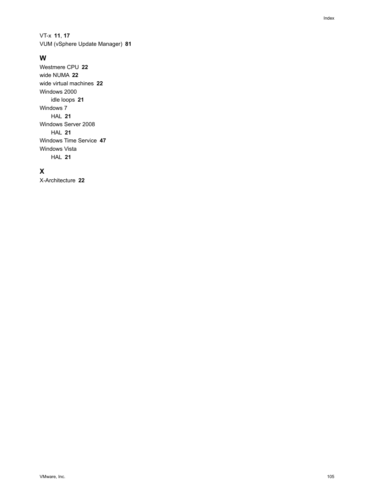VT-x **[11](#page-10-8)**, **[17](#page-16-6)** VUM (vSphere Update Manager) **[81](#page-80-0)**

## **W**

Westmere CPU **[22](#page-21-5)** wide NUMA **[22](#page-21-10)** wide virtual machines **[22](#page-21-10)** Windows 2000 idle loops **[21](#page-20-8)** Windows 7 HAL **[21](#page-20-9)** Windows Server 2008 HAL **[21](#page-20-10)** Windows Time Service **[47](#page-46-7)** Windows Vista HAL **[21](#page-20-11)**

## **X**

X-Architecture **[22](#page-21-3)**